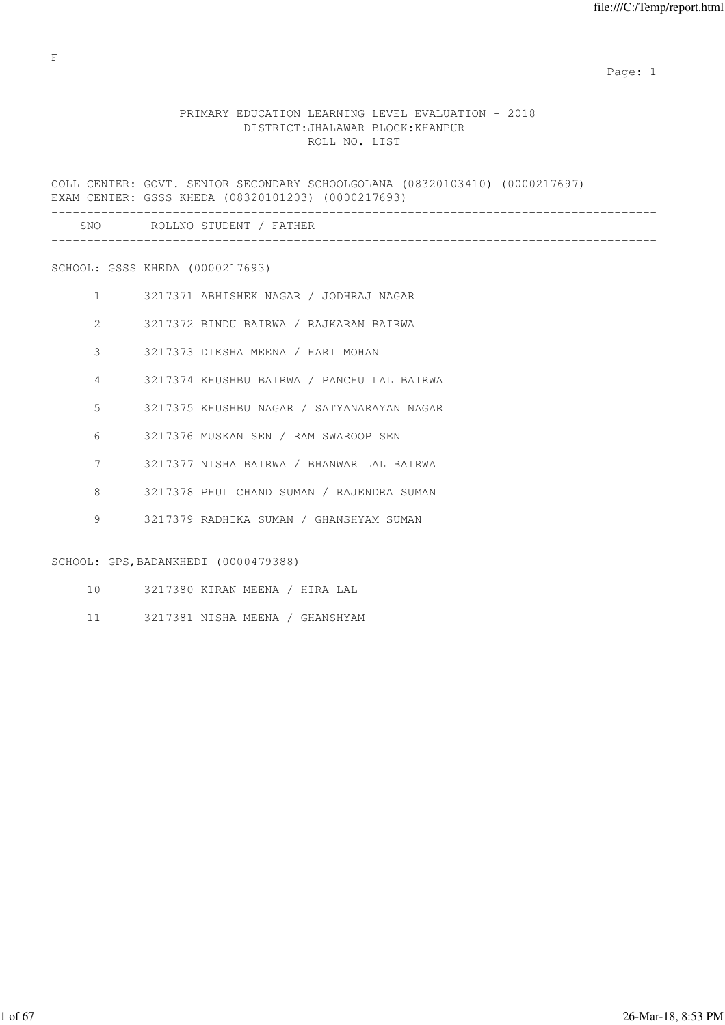-------------------------------------------------------------------------------------

### PRIMARY EDUCATION LEARNING LEVEL EVALUATION - 2018 DISTRICT:JHALAWAR BLOCK:KHANPUR ROLL NO. LIST

COLL CENTER: GOVT. SENIOR SECONDARY SCHOOLGOLANA (08320103410) (0000217697) EXAM CENTER: GSSS KHEDA (08320101203) (0000217693) ------------------------------------------------------------------------------------- SNO ROLLNO STUDENT / FATHER

# SCHOOL: GSSS KHEDA (0000217693)

- 1 3217371 ABHISHEK NAGAR / JODHRAJ NAGAR
- 2 3217372 BINDU BAIRWA / RAJKARAN BAIRWA
- 3 3217373 DIKSHA MEENA / HARI MOHAN
- 4 3217374 KHUSHBU BAIRWA / PANCHU LAL BAIRWA
- 5 3217375 KHUSHBU NAGAR / SATYANARAYAN NAGAR
- 6 3217376 MUSKAN SEN / RAM SWAROOP SEN
- 7 3217377 NISHA BAIRWA / BHANWAR LAL BAIRWA
- 8 3217378 PHUL CHAND SUMAN / RAJENDRA SUMAN
- 9 3217379 RADHIKA SUMAN / GHANSHYAM SUMAN

#### SCHOOL: GPS, BADANKHEDI (0000479388)

- 10 3217380 KIRAN MEENA / HIRA LAL
- 11 3217381 NISHA MEENA / GHANSHYAM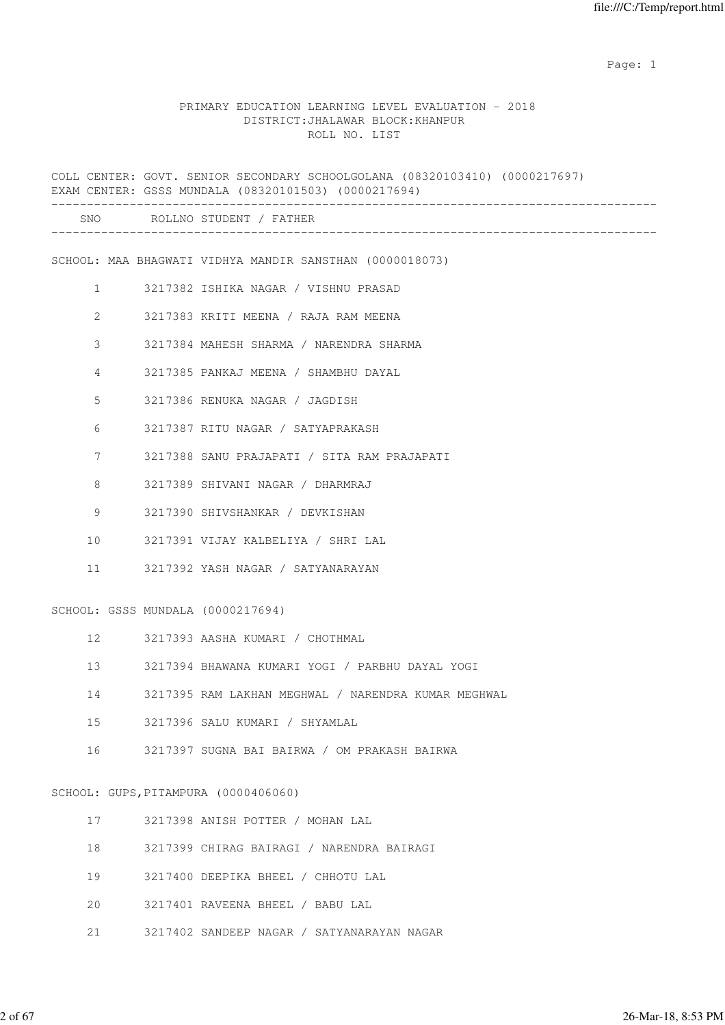#### PRIMARY EDUCATION LEARNING LEVEL EVALUATION - 2018 DISTRICT:JHALAWAR BLOCK:KHANPUR ROLL NO. LIST

COLL CENTER: GOVT. SENIOR SECONDARY SCHOOLGOLANA (08320103410) (0000217697) EXAM CENTER: GSSS MUNDALA (08320101503) (0000217694) ------------------------------------------------------------------------------------- SNO ROLLNO STUDENT / FATHER ------------------------------------------------------------------------------------- SCHOOL: MAA BHAGWATI VIDHYA MANDIR SANSTHAN (0000018073) 1 3217382 ISHIKA NAGAR / VISHNU PRASAD 2 3217383 KRITI MEENA / RAJA RAM MEENA 3 3217384 MAHESH SHARMA / NARENDRA SHARMA 4 3217385 PANKAJ MEENA / SHAMBHU DAYAL 5 3217386 RENUKA NAGAR / JAGDISH 6 3217387 RITU NAGAR / SATYAPRAKASH 7 3217388 SANU PRAJAPATI / SITA RAM PRAJAPATI 8 3217389 SHIVANI NAGAR / DHARMRAJ 9 3217390 SHIVSHANKAR / DEVKISHAN 10 3217391 VIJAY KALBELIYA / SHRI LAL 11 3217392 YASH NAGAR / SATYANARAYAN SCHOOL: GSSS MUNDALA (0000217694) 12 3217393 AASHA KUMARI / CHOTHMAL 13 3217394 BHAWANA KUMARI YOGI / PARBHU DAYAL YOGI 14 3217395 RAM LAKHAN MEGHWAL / NARENDRA KUMAR MEGHWAL 15 3217396 SALU KUMARI / SHYAMLAL 16 3217397 SUGNA BAI BAIRWA / OM PRAKASH BAIRWA SCHOOL: GUPS,PITAMPURA (0000406060) 17 3217398 ANISH POTTER / MOHAN LAL 18 3217399 CHIRAG BAIRAGI / NARENDRA BAIRAGI 19 3217400 DEEPIKA BHEEL / CHHOTU LAL 20 3217401 RAVEENA BHEEL / BABU LAL

21 3217402 SANDEEP NAGAR / SATYANARAYAN NAGAR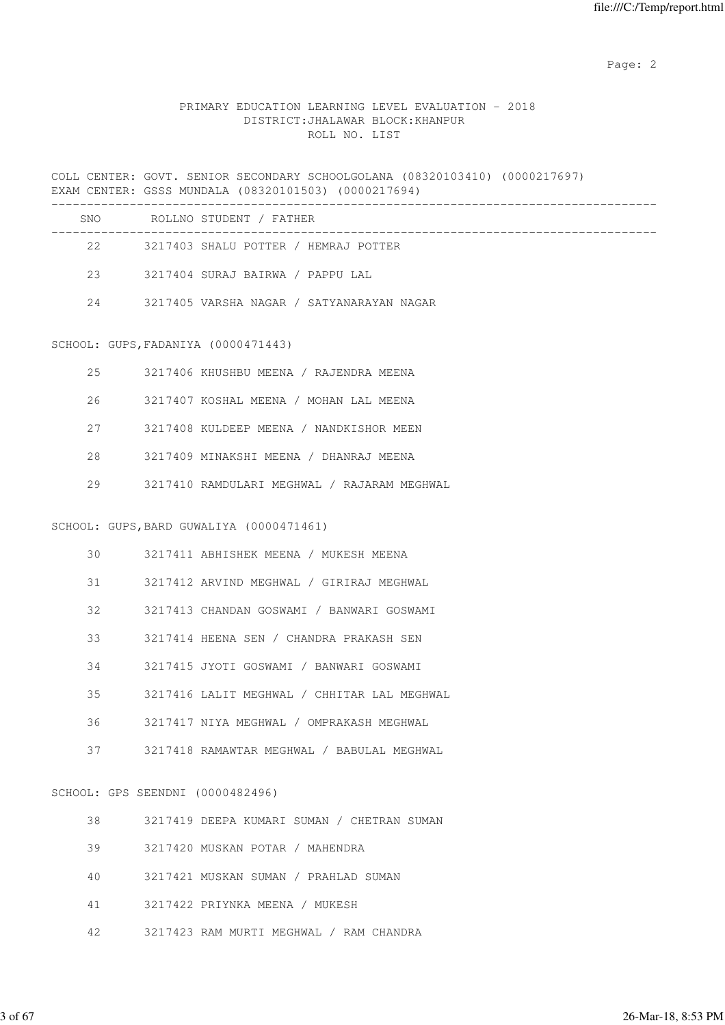Page: 2  $P$  and 2  $P$  and 2  $P$  and 2  $P$  and 2  $P$  and 2  $P$  and 2  $P$  and 2  $P$  and 2  $P$  and 2  $P$  and 2  $P$  and 2  $P$  and 2  $P$  and 2  $P$  and 2  $P$  and 2  $P$  and 2  $P$  and 2  $P$  and 2  $P$  and 2  $P$  and 2  $P$  and 2  $P$ 

### PRIMARY EDUCATION LEARNING LEVEL EVALUATION - 2018 DISTRICT:JHALAWAR BLOCK:KHANPUR ROLL NO. LIST

COLL CENTER: GOVT. SENIOR SECONDARY SCHOOLGOLANA (08320103410) (0000217697) EXAM CENTER: GSSS MUNDALA (08320101503) (0000217694)

| SNO. | ROLLNO STUDENT / FATHER                   |
|------|-------------------------------------------|
| 22   | 3217403 SHALU POTTER / HEMRAJ POTTER      |
| 23   | 3217404 SURAJ BAIRWA / PAPPU LAL          |
| 2.4  | 3217405 VARSHA NAGAR / SATYANARAYAN NAGAR |

#### SCHOOL: GUPS,FADANIYA (0000471443)

| 2.5 | 3217406 KHUSHBU MEENA / RAJENDRA MEENA      |
|-----|---------------------------------------------|
| 26  | 3217407 KOSHAL MEENA / MOHAN LAL MEENA      |
| 27  | 3217408 KULDEEP MEENA / NANDKISHOR MEEN     |
| 28  | 3217409 MINAKSHI MEENA / DHANRAJ MEENA      |
| 29  | 3217410 RAMDULARI MEGHWAL / RAJARAM MEGHWAL |

#### SCHOOL: GUPS,BARD GUWALIYA (0000471461)

| 30 | 3217411 ABHISHEK MEENA / MUKESH MEENA       |
|----|---------------------------------------------|
| 31 | 3217412 ARVIND MEGHWAL / GIRIRAJ MEGHWAL    |
| 32 | 3217413 CHANDAN GOSWAMI / BANWARI GOSWAMI   |
| 33 | 3217414 HEENA SEN / CHANDRA PRAKASH SEN     |
| 34 | 3217415 JYOTI GOSWAMI / BANWARI GOSWAMI     |
| 35 | 3217416 LALIT MEGHWAL / CHHITAR LAL MEGHWAL |
| 36 | 3217417 NIYA MEGHWAL / OMPRAKASH MEGHWAL    |
| 37 | 3217418 RAMAWTAR MEGHWAL / BABULAL MEGHWAL  |
|    |                                             |

# SCHOOL: GPS SEENDNI (0000482496)

| 38 | 3217419 DEEPA KUMARI SUMAN / CHETRAN SUMAN |
|----|--------------------------------------------|
| 39 | 3217420 MUSKAN POTAR / MAHENDRA            |
| 40 | 3217421 MUSKAN SUMAN / PRAHLAD SUMAN       |
| 41 | 3217422 PRIYNKA MEENA / MUKESH             |
| 42 | 3217423 RAM MURTI MEGHWAL / RAM CHANDRA    |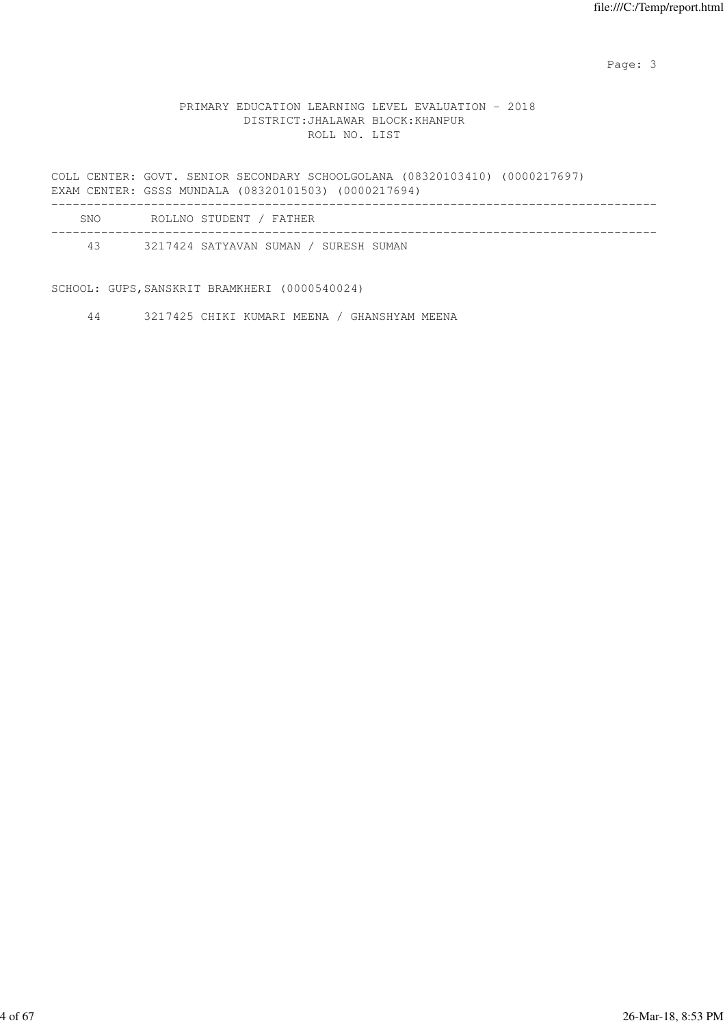#### PRIMARY EDUCATION LEARNING LEVEL EVALUATION - 2018 DISTRICT:JHALAWAR BLOCK:KHANPUR ROLL NO. LIST

COLL CENTER: GOVT. SENIOR SECONDARY SCHOOLGOLANA (08320103410) (0000217697) EXAM CENTER: GSSS MUNDALA (08320101503) (0000217694) -------------------------------------------------------------------------------------

| SNO | ROLLNO STUDENT / FATHER               |  |
|-----|---------------------------------------|--|
| 43  | 3217424 SATYAVAN SUMAN / SURESH SUMAN |  |

SCHOOL: GUPS,SANSKRIT BRAMKHERI (0000540024)

44 3217425 CHIKI KUMARI MEENA / GHANSHYAM MEENA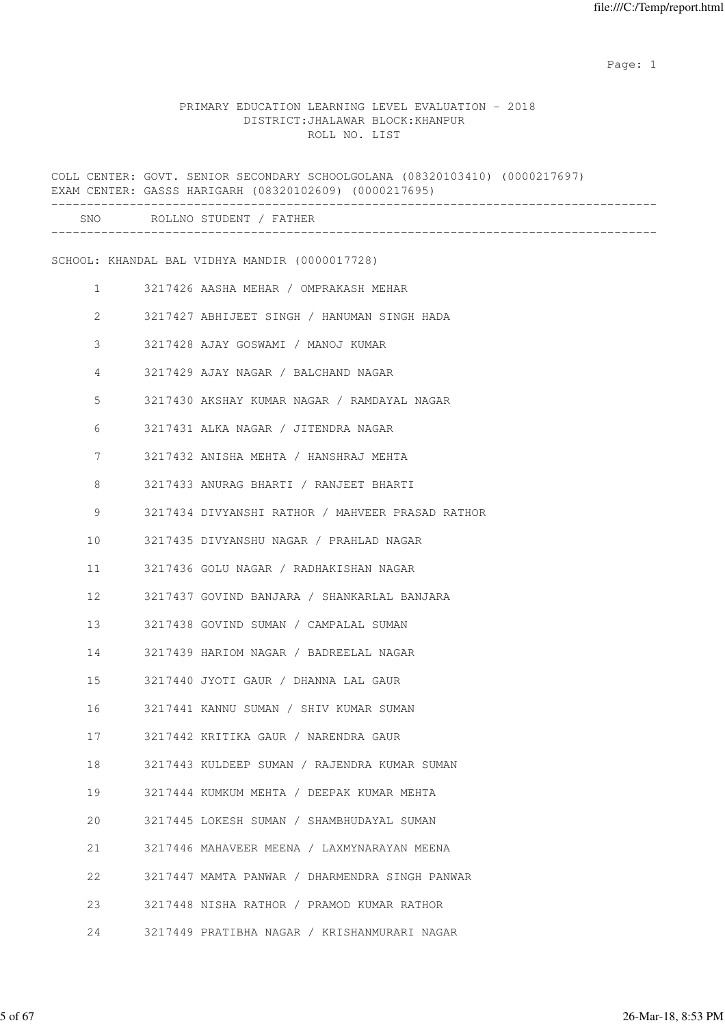#### PRIMARY EDUCATION LEARNING LEVEL EVALUATION - 2018 DISTRICT:JHALAWAR BLOCK:KHANPUR ROLL NO. LIST

|              | COLL CENTER: GOVT. SENIOR SECONDARY SCHOOLGOLANA (08320103410) (0000217697)<br>EXAM CENTER: GASSS HARIGARH (08320102609) (0000217695) |
|--------------|---------------------------------------------------------------------------------------------------------------------------------------|
|              | SNO ROLLNO STUDENT / FATHER                                                                                                           |
|              | SCHOOL: KHANDAL BAL VIDHYA MANDIR (0000017728)                                                                                        |
| $\mathbf{1}$ | 3217426 AASHA MEHAR / OMPRAKASH MEHAR                                                                                                 |
| $\mathbf{2}$ | 3217427 ABHIJEET SINGH / HANUMAN SINGH HADA                                                                                           |
| 3            | 3217428 AJAY GOSWAMI / MANOJ KUMAR                                                                                                    |
| 4            | 3217429 AJAY NAGAR / BALCHAND NAGAR                                                                                                   |
| 5            | 3217430 AKSHAY KUMAR NAGAR / RAMDAYAL NAGAR                                                                                           |
| 6            | 3217431 ALKA NAGAR / JITENDRA NAGAR                                                                                                   |
| 7            | 3217432 ANISHA MEHTA / HANSHRAJ MEHTA                                                                                                 |
| 8            | 3217433 ANURAG BHARTI / RANJEET BHARTI                                                                                                |
| 9            | 3217434 DIVYANSHI RATHOR / MAHVEER PRASAD RATHOR                                                                                      |
| 10           | 3217435 DIVYANSHU NAGAR / PRAHLAD NAGAR                                                                                               |
| 11           | 3217436 GOLU NAGAR / RADHAKISHAN NAGAR                                                                                                |
| 12           | 3217437 GOVIND BANJARA / SHANKARLAL BANJARA                                                                                           |
| 13           | 3217438 GOVIND SUMAN / CAMPALAL SUMAN                                                                                                 |
| 14           | 3217439 HARIOM NAGAR / BADREELAL NAGAR                                                                                                |
| 15           | 3217440 JYOTI GAUR / DHANNA LAL GAUR                                                                                                  |
| 16           | 3217441 KANNU SUMAN / SHIV KUMAR SUMAN                                                                                                |
| 17           | 3217442 KRITIKA GAUR / NARENDRA GAUR                                                                                                  |
| 18           | 3217443 KULDEEP SUMAN / RAJENDRA KUMAR SUMAN                                                                                          |
| 19           | 3217444 KUMKUM MEHTA / DEEPAK KUMAR MEHTA                                                                                             |
| 20           | 3217445 LOKESH SUMAN / SHAMBHUDAYAL SUMAN                                                                                             |
| 21           | 3217446 MAHAVEER MEENA / LAXMYNARAYAN MEENA                                                                                           |
| 22           | 3217447 MAMTA PANWAR / DHARMENDRA SINGH PANWAR                                                                                        |
| 23           | 3217448 NISHA RATHOR / PRAMOD KUMAR RATHOR                                                                                            |
| 24           | 3217449 PRATIBHA NAGAR / KRISHANMURARI NAGAR                                                                                          |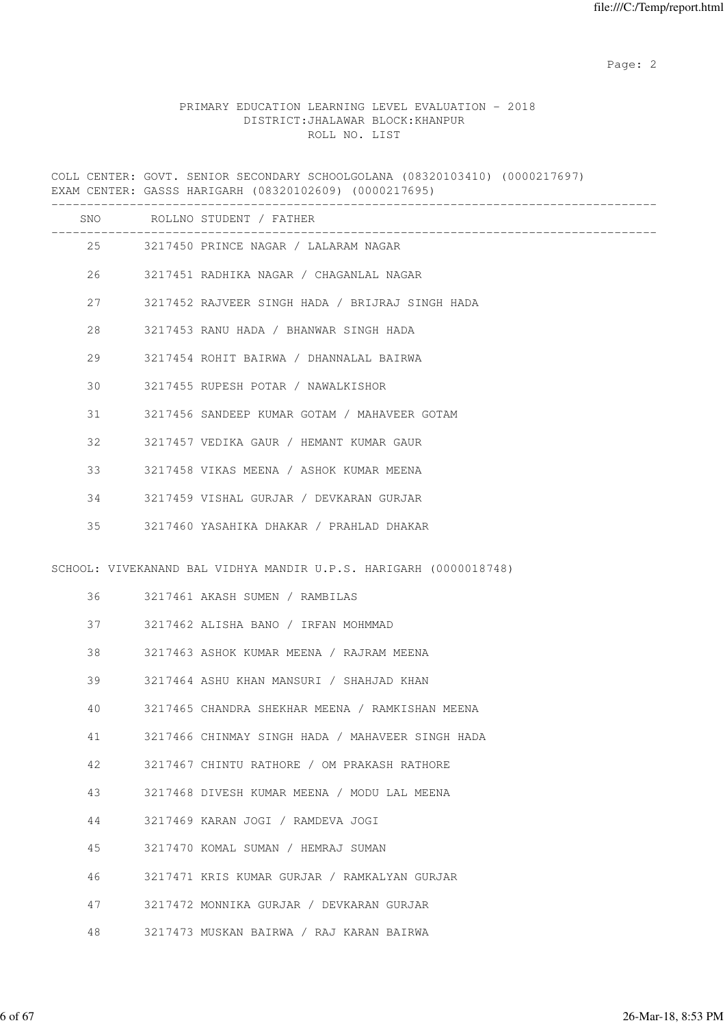Page: 2  $P$  and 2  $P$  and 2  $P$  and 2  $P$  and 2  $P$  and 2  $P$  and 2  $P$  and 2  $P$  and 2  $P$  and 2  $P$  and 2  $P$  and 2  $P$  and 2  $P$  and 2  $P$  and 2  $P$  and 2  $P$  and 2  $P$  and 2  $P$  and 2  $P$  and 2  $P$  and 2  $P$  and 2  $P$ 

#### PRIMARY EDUCATION LEARNING LEVEL EVALUATION - 2018 DISTRICT:JHALAWAR BLOCK:KHANPUR ROLL NO. LIST

COLL CENTER: GOVT. SENIOR SECONDARY SCHOOLGOLANA (08320103410) (0000217697) EXAM CENTER: GASSS HARIGARH (08320102609) (0000217695) ------------------------------------------------------------------------------------- SNO ROLLNO STUDENT / FATHER ------------------------------------------------------------------------------------- 25 3217450 PRINCE NAGAR / LALARAM NAGAR 26 3217451 RADHIKA NAGAR / CHAGANLAL NAGAR 27 3217452 RAJVEER SINGH HADA / BRIJRAJ SINGH HADA 28 3217453 RANU HADA / BHANWAR SINGH HADA 29 3217454 ROHIT BAIRWA / DHANNALAL BAIRWA 30 3217455 RUPESH POTAR / NAWALKISHOR 31 3217456 SANDEEP KUMAR GOTAM / MAHAVEER GOTAM 32 3217457 VEDIKA GAUR / HEMANT KUMAR GAUR 33 3217458 VIKAS MEENA / ASHOK KUMAR MEENA 34 3217459 VISHAL GURJAR / DEVKARAN GURJAR 35 3217460 YASAHIKA DHAKAR / PRAHLAD DHAKAR SCHOOL: VIVEKANAND BAL VIDHYA MANDIR U.P.S. HARIGARH (0000018748) 36 3217461 AKASH SUMEN / RAMBILAS 37 3217462 ALISHA BANO / IRFAN MOHMMAD 38 3217463 ASHOK KUMAR MEENA / RAJRAM MEENA 39 3217464 ASHU KHAN MANSURI / SHAHJAD KHAN 40 3217465 CHANDRA SHEKHAR MEENA / RAMKISHAN MEENA 41 3217466 CHINMAY SINGH HADA / MAHAVEER SINGH HADA 42 3217467 CHINTU RATHORE / OM PRAKASH RATHORE 43 3217468 DIVESH KUMAR MEENA / MODU LAL MEENA 44 3217469 KARAN JOGI / RAMDEVA JOGI 45 3217470 KOMAL SUMAN / HEMRAJ SUMAN 46 3217471 KRIS KUMAR GURJAR / RAMKALYAN GURJAR 47 3217472 MONNIKA GURJAR / DEVKARAN GURJAR

48 3217473 MUSKAN BAIRWA / RAJ KARAN BAIRWA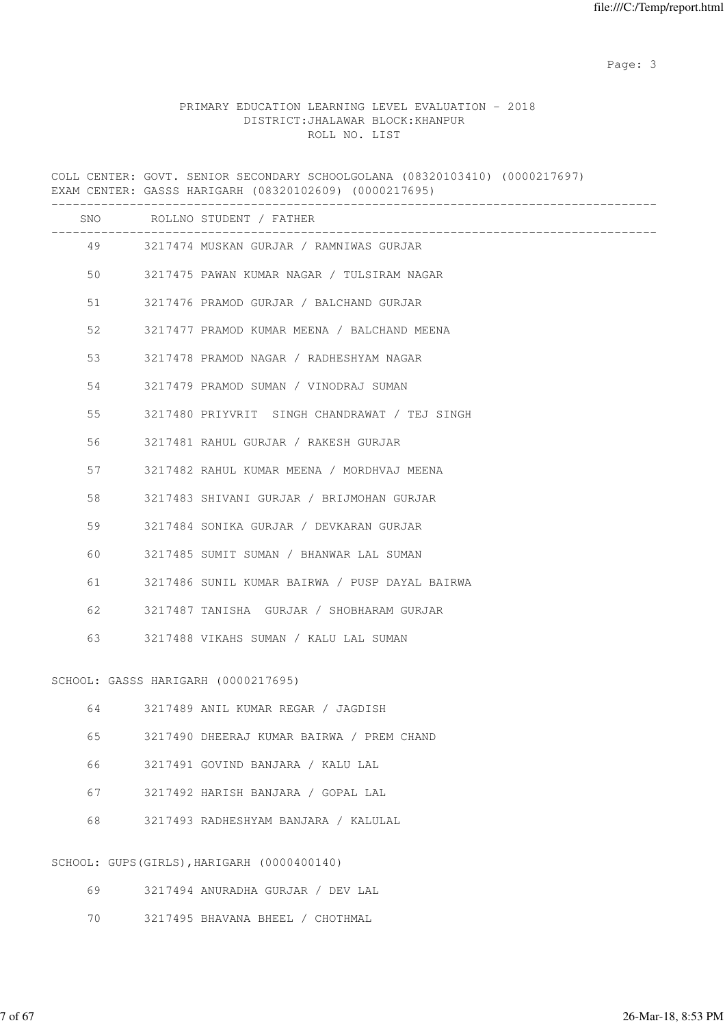# PRIMARY EDUCATION LEARNING LEVEL EVALUATION - 2018 DISTRICT:JHALAWAR BLOCK:KHANPUR ROLL NO. LIST

|    | COLL CENTER: GOVT. SENIOR SECONDARY SCHOOLGOLANA (08320103410) (0000217697)<br>EXAM CENTER: GASSS HARIGARH (08320102609) (0000217695) |
|----|---------------------------------------------------------------------------------------------------------------------------------------|
|    | SNO ROLLNO STUDENT / FATHER<br>____________________________                                                                           |
|    | 49 3217474 MUSKAN GURJAR / RAMNIWAS GURJAR                                                                                            |
| 50 | 3217475 PAWAN KUMAR NAGAR / TULSIRAM NAGAR                                                                                            |
| 51 | 3217476 PRAMOD GURJAR / BALCHAND GURJAR                                                                                               |
| 52 | 3217477 PRAMOD KUMAR MEENA / BALCHAND MEENA                                                                                           |
| 53 | 3217478 PRAMOD NAGAR / RADHESHYAM NAGAR                                                                                               |
| 54 | 3217479 PRAMOD SUMAN / VINODRAJ SUMAN                                                                                                 |
| 55 | 3217480 PRIYVRIT SINGH CHANDRAWAT / TEJ SINGH                                                                                         |
| 56 | 3217481 RAHUL GURJAR / RAKESH GURJAR                                                                                                  |
| 57 | 3217482 RAHUL KUMAR MEENA / MORDHVAJ MEENA                                                                                            |
| 58 | 3217483 SHIVANI GURJAR / BRIJMOHAN GURJAR                                                                                             |
| 59 | 3217484 SONIKA GURJAR / DEVKARAN GURJAR                                                                                               |
| 60 | 3217485 SUMIT SUMAN / BHANWAR LAL SUMAN                                                                                               |
| 61 | 3217486 SUNIL KUMAR BAIRWA / PUSP DAYAL BAIRWA                                                                                        |
| 62 | 3217487 TANISHA GURJAR / SHOBHARAM GURJAR                                                                                             |
| 63 | 3217488 VIKAHS SUMAN / KALU LAL SUMAN                                                                                                 |
|    | SCHOOL: GASSS HARIGARH (0000217695)                                                                                                   |
| 64 | 3217489 ANIL KUMAR REGAR / JAGDISH                                                                                                    |
| 65 | 3217490 DHEERAJ KUMAR BAIRWA / PREM CHAND                                                                                             |
| 66 | 3217491 GOVIND BANJARA / KALU LAL                                                                                                     |
| 67 | 3217492 HARISH BANJARA / GOPAL LAL                                                                                                    |
| 68 | 3217493 RADHESHYAM BANJARA / KALULAL                                                                                                  |
|    | SCHOOL: GUPS (GIRLS), HARIGARH (0000400140)                                                                                           |
| 69 | 3217494 ANURADHA GURJAR / DEV LAL                                                                                                     |
| 70 | 3217495 BHAVANA BHEEL / CHOTHMAL                                                                                                      |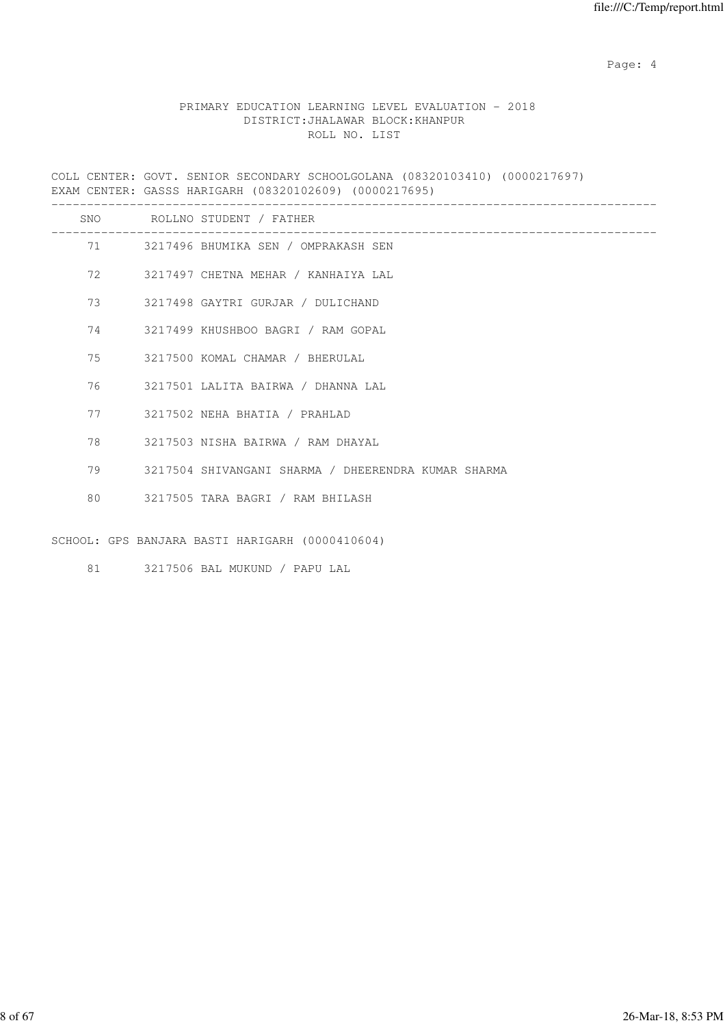Page: 4  $P$ 

#### PRIMARY EDUCATION LEARNING LEVEL EVALUATION - 2018 DISTRICT:JHALAWAR BLOCK:KHANPUR ROLL NO. LIST

COLL CENTER: GOVT. SENIOR SECONDARY SCHOOLGOLANA (08320103410) (0000217697) EXAM CENTER: GASSS HARIGARH (08320102609) (0000217695) -------------------------------------------------------------------------------------

| <b>SNO</b> |          | ROLLNO STUDENT / FATHER                             |
|------------|----------|-----------------------------------------------------|
|            |          | 71 3217496 BHUMIKA SEN / OMPRAKASH SEN              |
| 72         |          | 3217497 CHETNA MEHAR / KANHAIYA LAL                 |
| 73         |          | 3217498 GAYTRI GURJAR / DULICHAND                   |
|            |          | 74 3217499 KHUSHBOO BAGRI / RAM GOPAL               |
|            |          | 75 3217500 KOMAL CHAMAR / BHERULAL                  |
|            |          | 76 3217501 LALITA BAIRWA / DHANNA LAL               |
| 77         |          | 3217502 NEHA BHATIA / PRAHLAD                       |
|            | 78 — 178 | 3217503 NISHA BAIRWA / RAM DHAYAL                   |
|            | 79       | 3217504 SHIVANGANI SHARMA / DHEERENDRA KUMAR SHARMA |
|            |          | 80 3217505 TARA BAGRI / RAM BHILASH                 |
|            |          | SCHOOL: GPS BANJARA BASTI HARIGARH (0000410604)     |

81 3217506 BAL MUKUND / PAPU LAL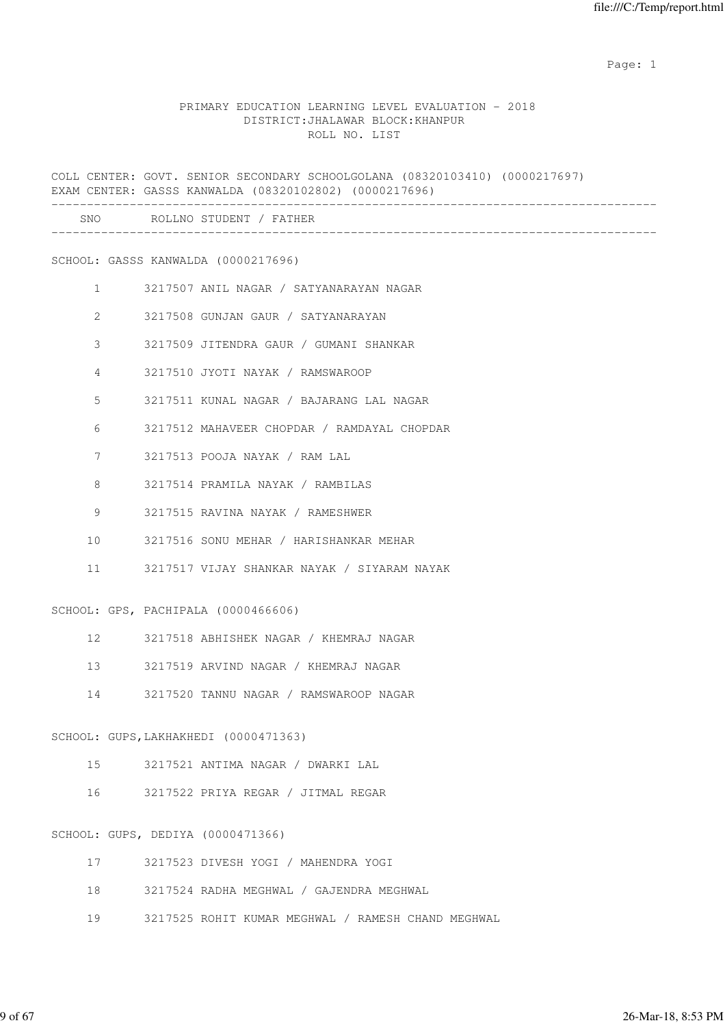#### PRIMARY EDUCATION LEARNING LEVEL EVALUATION - 2018 DISTRICT:JHALAWAR BLOCK:KHANPUR ROLL NO. LIST

COLL CENTER: GOVT. SENIOR SECONDARY SCHOOLGOLANA (08320103410) (0000217697) EXAM CENTER: GASSS KANWALDA (08320102802) (0000217696) ------------------------------------------------------------------------------------- SNO ROLLNO STUDENT / FATHER ------------------------------------------------------------------------------------- SCHOOL: GASSS KANWALDA (0000217696) 1 3217507 ANIL NAGAR / SATYANARAYAN NAGAR 2 3217508 GUNJAN GAUR / SATYANARAYAN 3 3217509 JITENDRA GAUR / GUMANI SHANKAR 4 3217510 JYOTI NAYAK / RAMSWAROOP 5 3217511 KUNAL NAGAR / BAJARANG LAL NAGAR 6 3217512 MAHAVEER CHOPDAR / RAMDAYAL CHOPDAR 7 3217513 POOJA NAYAK / RAM LAL 8 3217514 PRAMILA NAYAK / RAMBILAS 9 3217515 RAVINA NAYAK / RAMESHWER 10 3217516 SONU MEHAR / HARISHANKAR MEHAR 11 3217517 VIJAY SHANKAR NAYAK / SIYARAM NAYAK SCHOOL: GPS, PACHIPALA (0000466606) 12 3217518 ABHISHEK NAGAR / KHEMRAJ NAGAR 13 3217519 ARVIND NAGAR / KHEMRAJ NAGAR 14 3217520 TANNU NAGAR / RAMSWAROOP NAGAR SCHOOL: GUPS,LAKHAKHEDI (0000471363) 15 3217521 ANTIMA NAGAR / DWARKI LAL 16 3217522 PRIYA REGAR / JITMAL REGAR SCHOOL: GUPS, DEDIYA (0000471366) 17 3217523 DIVESH YOGI / MAHENDRA YOGI 18 3217524 RADHA MEGHWAL / GAJENDRA MEGHWAL

19 3217525 ROHIT KUMAR MEGHWAL / RAMESH CHAND MEGHWAL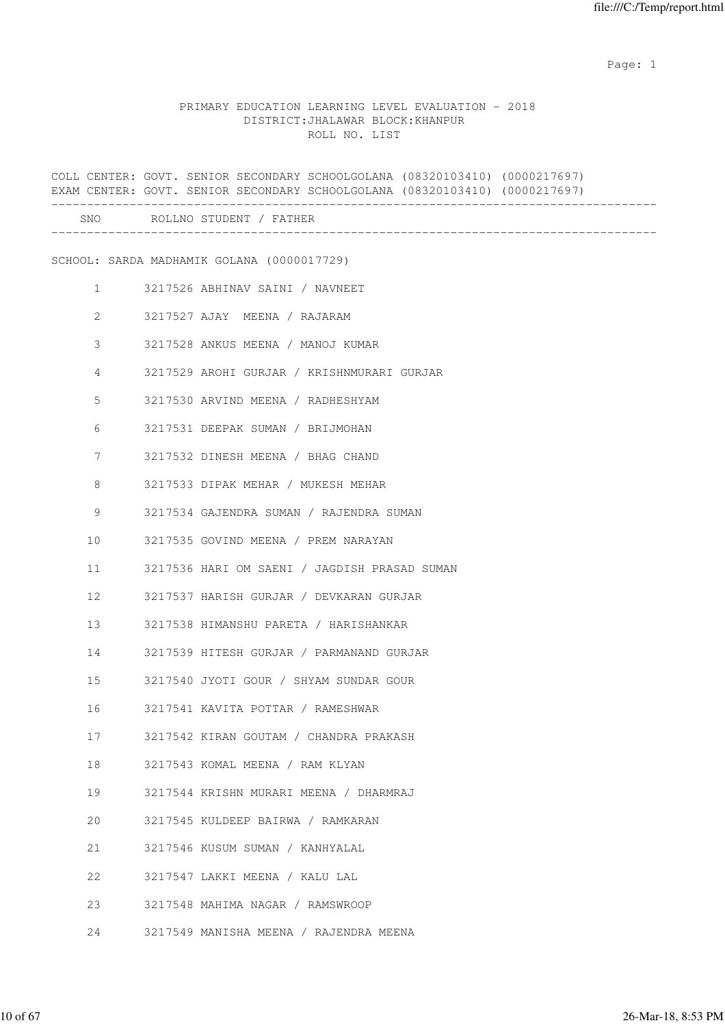### PRIMARY EDUCATION LEARNING LEVEL EVALUATION - 2018 DISTRICT:JHALAWAR BLOCK:KHANPUR ROLL NO. LIST

|                       |  |                                            |                                              | COLL CENTER: GOVT. SENIOR SECONDARY SCHOOLGOLANA (08320103410) (0000217697)<br>EXAM CENTER: GOVT. SENIOR SECONDARY SCHOOLGOLANA (08320103410) (0000217697) |  |
|-----------------------|--|--------------------------------------------|----------------------------------------------|------------------------------------------------------------------------------------------------------------------------------------------------------------|--|
|                       |  | SNO ROLLNO STUDENT / FATHER                |                                              |                                                                                                                                                            |  |
|                       |  | SCHOOL: SARDA MADHAMIK GOLANA (0000017729) |                                              |                                                                                                                                                            |  |
| $1 \qquad \qquad$     |  | 3217526 ABHINAV SAINI / NAVNEET            |                                              |                                                                                                                                                            |  |
| $\mathbf{2}^{\prime}$ |  | 3217527 AJAY MEENA / RAJARAM               |                                              |                                                                                                                                                            |  |
| 3                     |  |                                            | 3217528 ANKUS MEENA / MANOJ KUMAR            |                                                                                                                                                            |  |
| 4                     |  |                                            | 3217529 AROHI GURJAR / KRISHNMURARI GURJAR   |                                                                                                                                                            |  |
| 5                     |  |                                            | 3217530 ARVIND MEENA / RADHESHYAM            |                                                                                                                                                            |  |
| 6                     |  |                                            | 3217531 DEEPAK SUMAN / BRIJMOHAN             |                                                                                                                                                            |  |
| 7                     |  |                                            | 3217532 DINESH MEENA / BHAG CHAND            |                                                                                                                                                            |  |
| 8                     |  |                                            | 3217533 DIPAK MEHAR / MUKESH MEHAR           |                                                                                                                                                            |  |
| 9                     |  |                                            | 3217534 GAJENDRA SUMAN / RAJENDRA SUMAN      |                                                                                                                                                            |  |
| 10                    |  |                                            | 3217535 GOVIND MEENA / PREM NARAYAN          |                                                                                                                                                            |  |
| 11                    |  |                                            | 3217536 HARI OM SAENI / JAGDISH PRASAD SUMAN |                                                                                                                                                            |  |
| 12                    |  |                                            | 3217537 HARISH GURJAR / DEVKARAN GURJAR      |                                                                                                                                                            |  |
| 13                    |  |                                            | 3217538 HIMANSHU PARETA / HARISHANKAR        |                                                                                                                                                            |  |
| 14                    |  |                                            | 3217539 HITESH GURJAR / PARMANAND GURJAR     |                                                                                                                                                            |  |
| 15                    |  |                                            | 3217540 JYOTI GOUR / SHYAM SUNDAR GOUR       |                                                                                                                                                            |  |
| 16                    |  |                                            | 3217541 KAVITA POTTAR / RAMESHWAR            |                                                                                                                                                            |  |
| 17                    |  |                                            | 3217542 KIRAN GOUTAM / CHANDRA PRAKASH       |                                                                                                                                                            |  |
| 18                    |  | 3217543 KOMAL MEENA / RAM KLYAN            |                                              |                                                                                                                                                            |  |
| 19                    |  |                                            | 3217544 KRISHN MURARI MEENA / DHARMRAJ       |                                                                                                                                                            |  |
| 20                    |  |                                            | 3217545 KULDEEP BAIRWA / RAMKARAN            |                                                                                                                                                            |  |
| 21                    |  | 3217546 KUSUM SUMAN / KANHYALAL            |                                              |                                                                                                                                                            |  |
| 22                    |  | 3217547 LAKKI MEENA / KALU LAL             |                                              |                                                                                                                                                            |  |
| 23                    |  |                                            | 3217548 MAHIMA NAGAR / RAMSWROOP             |                                                                                                                                                            |  |
| 24                    |  |                                            | 3217549 MANISHA MEENA / RAJENDRA MEENA       |                                                                                                                                                            |  |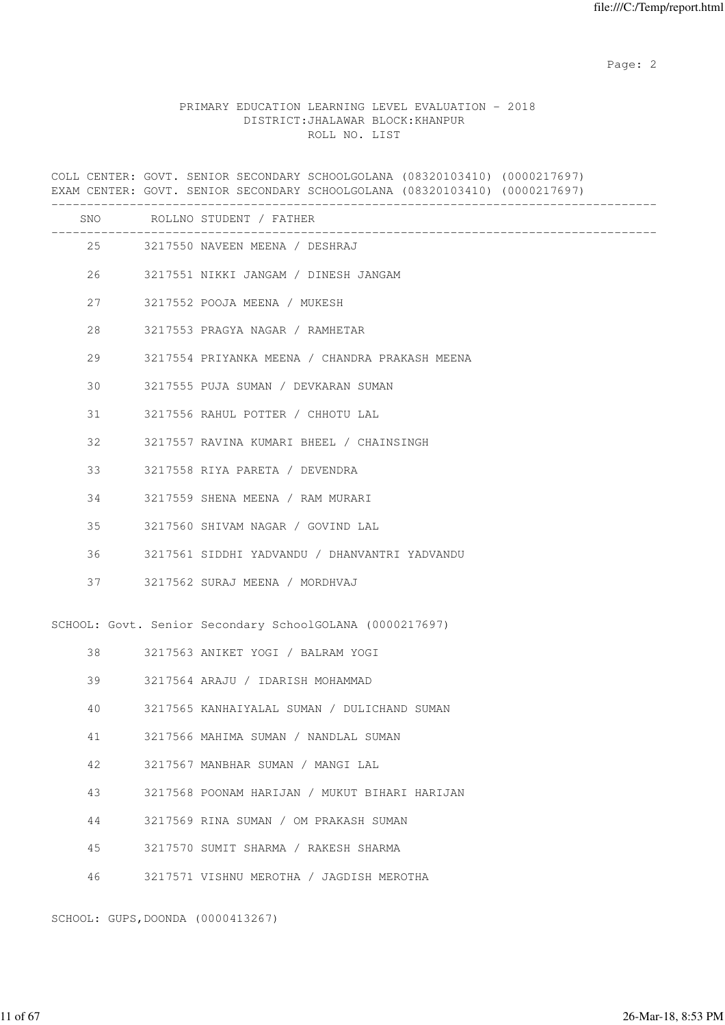Page: 2  $P$  and 2  $P$  and 2  $P$  and 2  $P$  and 2  $P$  and 2  $P$  and 2  $P$  and 2  $P$  and 2  $P$  and 2  $P$  and 2  $P$  and 2  $P$  and 2  $P$  and 2  $P$  and 2  $P$  and 2  $P$  and 2  $P$  and 2  $P$  and 2  $P$  and 2  $P$  and 2  $P$  and 2  $P$ 

#### PRIMARY EDUCATION LEARNING LEVEL EVALUATION - 2018 DISTRICT:JHALAWAR BLOCK:KHANPUR ROLL NO. LIST

COLL CENTER: GOVT. SENIOR SECONDARY SCHOOLGOLANA (08320103410) (0000217697) EXAM CENTER: GOVT. SENIOR SECONDARY SCHOOLGOLANA (08320103410) (0000217697) ------------------------------------------------------------------------------------- SNO ROLLNO STUDENT / FATHER ------------------------------------------------------------------------------------- 25 3217550 NAVEEN MEENA / DESHRAJ 26 3217551 NIKKI JANGAM / DINESH JANGAM 27 3217552 POOJA MEENA / MUKESH 28 3217553 PRAGYA NAGAR / RAMHETAR 29 3217554 PRIYANKA MEENA / CHANDRA PRAKASH MEENA 30 3217555 PUJA SUMAN / DEVKARAN SUMAN 31 3217556 RAHUL POTTER / CHHOTU LAL 32 3217557 RAVINA KUMARI BHEEL / CHAINSINGH 33 3217558 RIYA PARETA / DEVENDRA 34 3217559 SHENA MEENA / RAM MURARI 35 3217560 SHIVAM NAGAR / GOVIND LAL 36 3217561 SIDDHI YADVANDU / DHANVANTRI YADVANDU 37 3217562 SURAJ MEENA / MORDHVAJ SCHOOL: Govt. Senior Secondary SchoolGOLANA (0000217697) 38 3217563 ANIKET YOGI / BALRAM YOGI 39 3217564 ARAJU / IDARISH MOHAMMAD 40 3217565 KANHAIYALAL SUMAN / DULICHAND SUMAN 41 3217566 MAHIMA SUMAN / NANDLAL SUMAN 42 3217567 MANBHAR SUMAN / MANGI LAL 43 3217568 POONAM HARIJAN / MUKUT BIHARI HARIJAN 44 3217569 RINA SUMAN / OM PRAKASH SUMAN 45 3217570 SUMIT SHARMA / RAKESH SHARMA 46 3217571 VISHNU MEROTHA / JAGDISH MEROTHA

SCHOOL: GUPS,DOONDA (0000413267)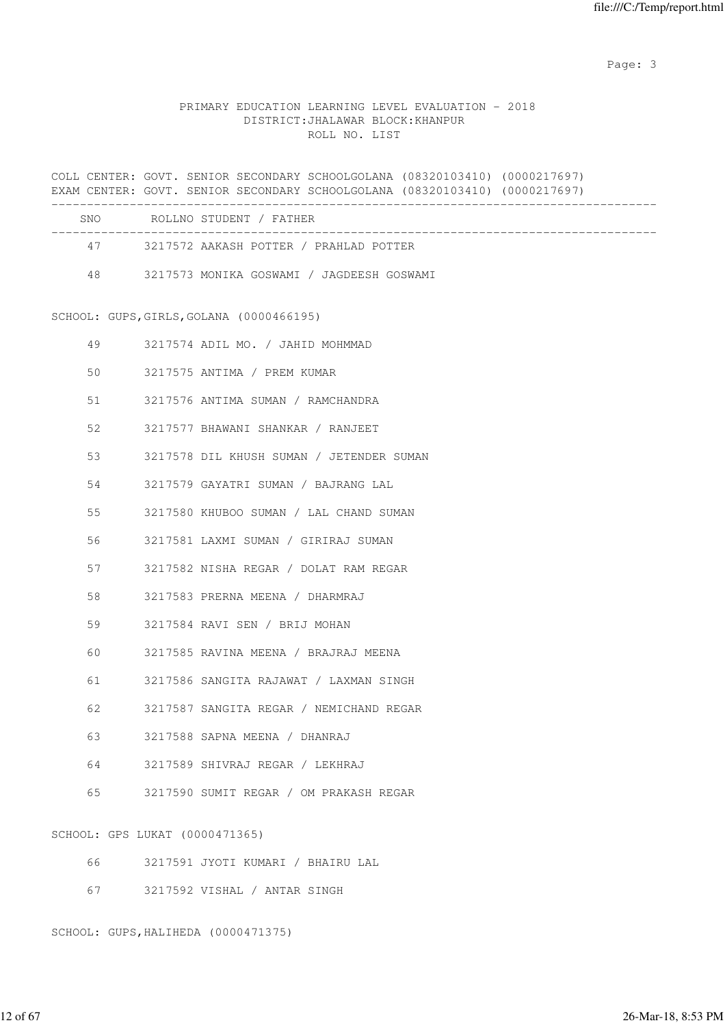#### PRIMARY EDUCATION LEARNING LEVEL EVALUATION - 2018 DISTRICT:JHALAWAR BLOCK:KHANPUR ROLL NO. LIST

COLL CENTER: GOVT. SENIOR SECONDARY SCHOOLGOLANA (08320103410) (0000217697) EXAM CENTER: GOVT. SENIOR SECONDARY SCHOOLGOLANA (08320103410) (0000217697) ------------------------------------------------------------------------------------- SNO ROLLNO STUDENT / FATHER ------------------------------------------------------------------------------------- 47 3217572 AAKASH POTTER / PRAHLAD POTTER 48 3217573 MONIKA GOSWAMI / JAGDEESH GOSWAMI SCHOOL: GUPS,GIRLS,GOLANA (0000466195) 49 3217574 ADIL MO. / JAHID MOHMMAD 50 3217575 ANTIMA / PREM KUMAR 51 3217576 ANTIMA SUMAN / RAMCHANDRA 52 3217577 BHAWANI SHANKAR / RANJEET 53 3217578 DIL KHUSH SUMAN / JETENDER SUMAN 54 3217579 GAYATRI SUMAN / BAJRANG LAL 55 3217580 KHUBOO SUMAN / LAL CHAND SUMAN 56 3217581 LAXMI SUMAN / GIRIRAJ SUMAN 57 3217582 NISHA REGAR / DOLAT RAM REGAR 58 3217583 PRERNA MEENA / DHARMRAJ 59 3217584 RAVI SEN / BRIJ MOHAN 60 3217585 RAVINA MEENA / BRAJRAJ MEENA 61 3217586 SANGITA RAJAWAT / LAXMAN SINGH 62 3217587 SANGITA REGAR / NEMICHAND REGAR 63 3217588 SAPNA MEENA / DHANRAJ 64 3217589 SHIVRAJ REGAR / LEKHRAJ 65 3217590 SUMIT REGAR / OM PRAKASH REGAR

SCHOOL: GPS LUKAT (0000471365)

| 66. |  |                              | 3217591 JYOTI KUMARI / BHAIRU LAL |
|-----|--|------------------------------|-----------------------------------|
| 67  |  | 3217592 VISHAL / ANTAR SINGH |                                   |

SCHOOL: GUPS,HALIHEDA (0000471375)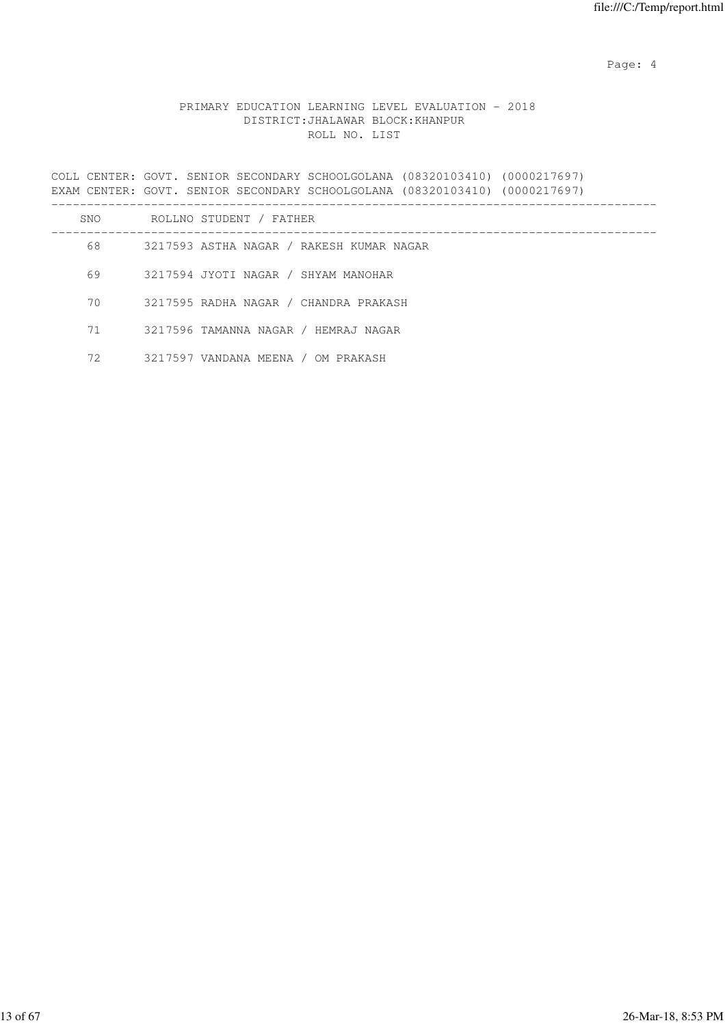Page: 4  $P$ 

#### PRIMARY EDUCATION LEARNING LEVEL EVALUATION - 2018 DISTRICT:JHALAWAR BLOCK:KHANPUR ROLL NO. LIST

COLL CENTER: GOVT. SENIOR SECONDARY SCHOOLGOLANA (08320103410) (0000217697) EXAM CENTER: GOVT. SENIOR SECONDARY SCHOOLGOLANA (08320103410) (0000217697) ------------------------------------------------------------------------------------- SNO ROLLNO STUDENT / FATHER ------------------------------------------------------------------------------------- 68 3217593 ASTHA NAGAR / RAKESH KUMAR NAGAR 69 3217594 JYOTI NAGAR / SHYAM MANOHAR 70 3217595 RADHA NAGAR / CHANDRA PRAKASH 71 3217596 TAMANNA NAGAR / HEMRAJ NAGAR

72 3217597 VANDANA MEENA / OM PRAKASH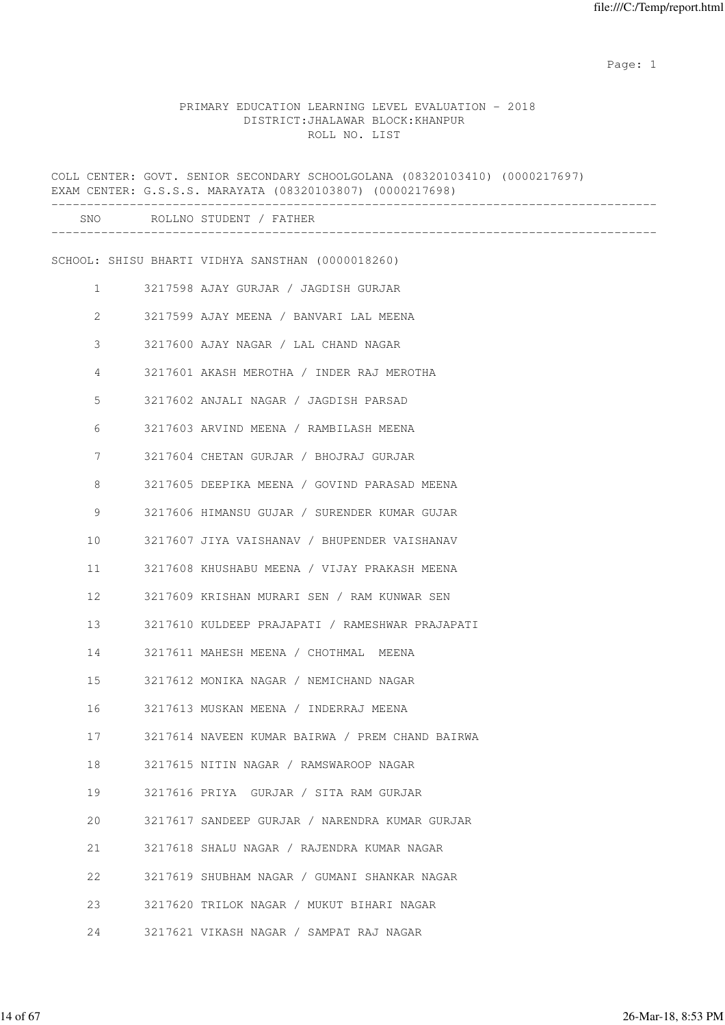### PRIMARY EDUCATION LEARNING LEVEL EVALUATION - 2018 DISTRICT:JHALAWAR BLOCK:KHANPUR ROLL NO. LIST

|                | COLL CENTER: GOVT. SENIOR SECONDARY SCHOOLGOLANA (08320103410) (0000217697)<br>EXAM CENTER: G.S.S.S. MARAYATA (08320103807) (0000217698) |
|----------------|------------------------------------------------------------------------------------------------------------------------------------------|
|                | SNO ROLLNO STUDENT / FATHER                                                                                                              |
|                | SCHOOL: SHISU BHARTI VIDHYA SANSTHAN (0000018260)                                                                                        |
|                |                                                                                                                                          |
| $\mathbf{1}$   | 3217598 AJAY GURJAR / JAGDISH GURJAR                                                                                                     |
| 2              | 3217599 AJAY MEENA / BANVARI LAL MEENA                                                                                                   |
| 3              | 3217600 AJAY NAGAR / LAL CHAND NAGAR                                                                                                     |
| $\overline{4}$ | 3217601 AKASH MEROTHA / INDER RAJ MEROTHA                                                                                                |
| 5              | 3217602 ANJALI NAGAR / JAGDISH PARSAD                                                                                                    |
| 6              | 3217603 ARVIND MEENA / RAMBILASH MEENA                                                                                                   |
| 7              | 3217604 CHETAN GURJAR / BHOJRAJ GURJAR                                                                                                   |
| 8              | 3217605 DEEPIKA MEENA / GOVIND PARASAD MEENA                                                                                             |
| 9              | 3217606 HIMANSU GUJAR / SURENDER KUMAR GUJAR                                                                                             |
| 10             | 3217607 JIYA VAISHANAV / BHUPENDER VAISHANAV                                                                                             |
| 11             | 3217608 KHUSHABU MEENA / VIJAY PRAKASH MEENA                                                                                             |
| 12             | 3217609 KRISHAN MURARI SEN / RAM KUNWAR SEN                                                                                              |
| 13             | 3217610 KULDEEP PRAJAPATI / RAMESHWAR PRAJAPATI                                                                                          |
| 14             | 3217611 MAHESH MEENA / CHOTHMAL MEENA                                                                                                    |
| 15             | 3217612 MONIKA NAGAR / NEMICHAND NAGAR                                                                                                   |
| 16             | 3217613 MUSKAN MEENA / INDERRAJ MEENA                                                                                                    |
| 17             | 3217614 NAVEEN KUMAR BAIRWA / PREM CHAND BAIRWA                                                                                          |
| 18             | 3217615 NITIN NAGAR / RAMSWAROOP NAGAR                                                                                                   |
| 19             | 3217616 PRIYA GURJAR / SITA RAM GURJAR                                                                                                   |
| 20             | 3217617 SANDEEP GURJAR / NARENDRA KUMAR GURJAR                                                                                           |
| 21             | 3217618 SHALU NAGAR / RAJENDRA KUMAR NAGAR                                                                                               |
| 22             | 3217619 SHUBHAM NAGAR / GUMANI SHANKAR NAGAR                                                                                             |
| 23             | 3217620 TRILOK NAGAR / MUKUT BIHARI NAGAR                                                                                                |
| 24             | 3217621 VIKASH NAGAR / SAMPAT RAJ NAGAR                                                                                                  |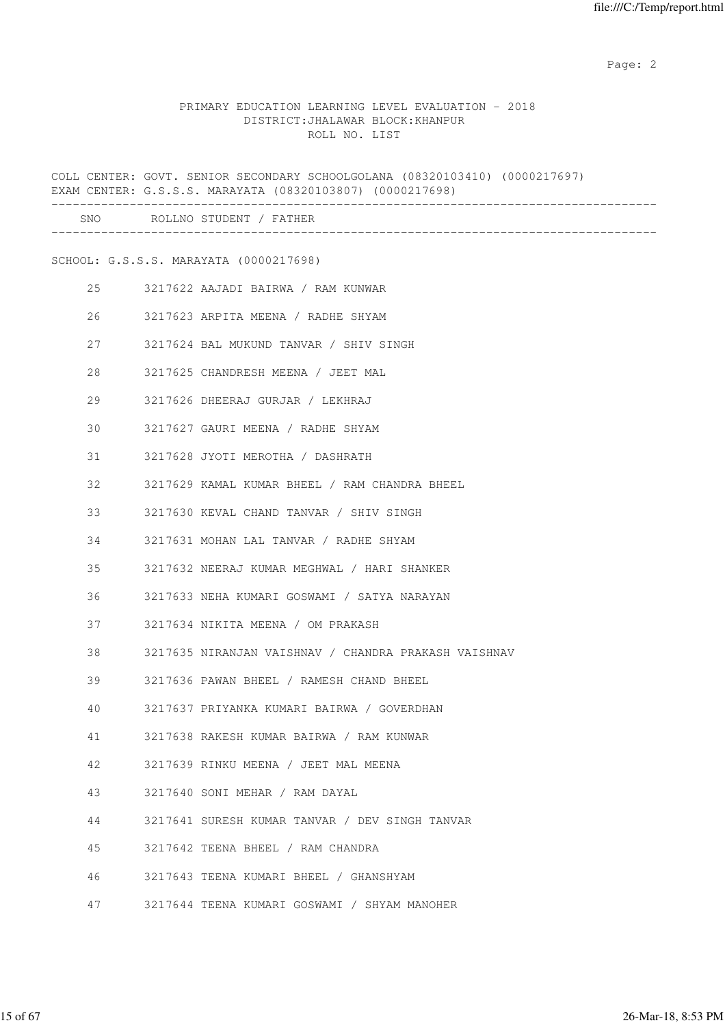Page: 2  $P$  and 2  $P$  and 2  $P$  and 2  $P$  and 2  $P$  and 2  $P$  and 2  $P$  and 2  $P$  and 2  $P$  and 2  $P$  and 2  $P$  and 2  $P$  and 2  $P$  and 2  $P$  and 2  $P$  and 2  $P$  and 2  $P$  and 2  $P$  and 2  $P$  and 2  $P$  and 2  $P$  and 2  $P$ 

#### PRIMARY EDUCATION LEARNING LEVEL EVALUATION - 2018 DISTRICT:JHALAWAR BLOCK:KHANPUR ROLL NO. LIST

COLL CENTER: GOVT. SENIOR SECONDARY SCHOOLGOLANA (08320103410) (0000217697) EXAM CENTER: G.S.S.S. MARAYATA (08320103807) (0000217698) ------------------------------------------------------------------------------------- SNO ROLLNO STUDENT / FATHER ------------------------------------------------------------------------------------- SCHOOL: G.S.S.S. MARAYATA (0000217698) 25 3217622 AAJADI BAIRWA / RAM KUNWAR 26 3217623 ARPITA MEENA / RADHE SHYAM 27 3217624 BAL MUKUND TANVAR / SHIV SINGH 28 3217625 CHANDRESH MEENA / JEET MAL 29 3217626 DHEERAJ GURJAR / LEKHRAJ 30 3217627 GAURI MEENA / RADHE SHYAM 31 3217628 JYOTI MEROTHA / DASHRATH 32 3217629 KAMAL KUMAR BHEEL / RAM CHANDRA BHEEL 33 3217630 KEVAL CHAND TANVAR / SHIV SINGH 34 3217631 MOHAN LAL TANVAR / RADHE SHYAM 35 3217632 NEERAJ KUMAR MEGHWAL / HARI SHANKER 36 3217633 NEHA KUMARI GOSWAMI / SATYA NARAYAN 37 3217634 NIKITA MEENA / OM PRAKASH 38 3217635 NIRANJAN VAISHNAV / CHANDRA PRAKASH VAISHNAV 39 3217636 PAWAN BHEEL / RAMESH CHAND BHEEL 40 3217637 PRIYANKA KUMARI BAIRWA / GOVERDHAN 41 3217638 RAKESH KUMAR BAIRWA / RAM KUNWAR 42 3217639 RINKU MEENA / JEET MAL MEENA 43 3217640 SONI MEHAR / RAM DAYAL 44 3217641 SURESH KUMAR TANVAR / DEV SINGH TANVAR 45 3217642 TEENA BHEEL / RAM CHANDRA 46 3217643 TEENA KUMARI BHEEL / GHANSHYAM 47 3217644 TEENA KUMARI GOSWAMI / SHYAM MANOHER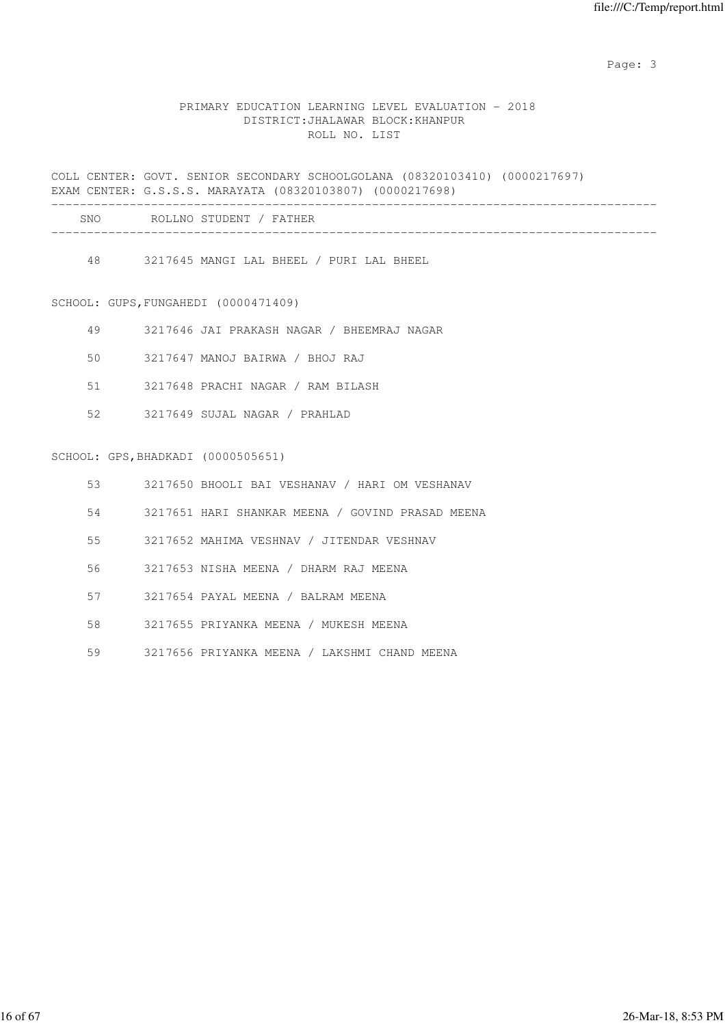#### PRIMARY EDUCATION LEARNING LEVEL EVALUATION - 2018 DISTRICT:JHALAWAR BLOCK:KHANPUR ROLL NO. LIST

COLL CENTER: GOVT. SENIOR SECONDARY SCHOOLGOLANA (08320103410) (0000217697) EXAM CENTER: G.S.S.S. MARAYATA (08320103807) (0000217698) ------------------------------------------------------------------------------------- SNO ROLLNO STUDENT / FATHER

-------------------------------------------------------------------------------------

48 3217645 MANGI LAL BHEEL / PURI LAL BHEEL

SCHOOL: GUPS,FUNGAHEDI (0000471409)

|  |  | 3217646 JAI PRAKASH NAGAR |  |  | / BHEEMRAJ NAGAR |  |
|--|--|---------------------------|--|--|------------------|--|
|--|--|---------------------------|--|--|------------------|--|

50 3217647 MANOJ BAIRWA / BHOJ RAJ

51 3217648 PRACHI NAGAR / RAM BILASH

52 3217649 SUJAL NAGAR / PRAHLAD

#### SCHOOL: GPS,BHADKADI (0000505651)

|  |  |  |  | 3217650 BHOOLI BAI VESHANAV / HARI OM VESHANAV |  |  |  |  |  |
|--|--|--|--|------------------------------------------------|--|--|--|--|--|
|--|--|--|--|------------------------------------------------|--|--|--|--|--|

54 3217651 HARI SHANKAR MEENA / GOVIND PRASAD MEENA

55 3217652 MAHIMA VESHNAV / JITENDAR VESHNAV

56 3217653 NISHA MEENA / DHARM RAJ MEENA

57 3217654 PAYAL MEENA / BALRAM MEENA

58 3217655 PRIYANKA MEENA / MUKESH MEENA

59 3217656 PRIYANKA MEENA / LAKSHMI CHAND MEENA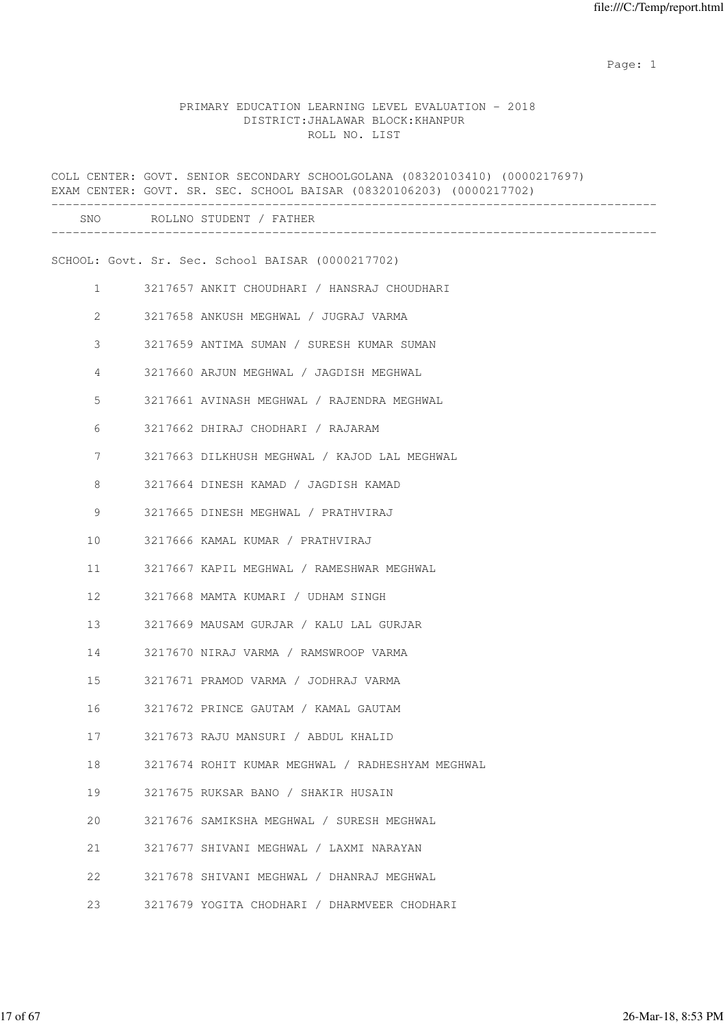#### PRIMARY EDUCATION LEARNING LEVEL EVALUATION - 2018 DISTRICT:JHALAWAR BLOCK:KHANPUR ROLL NO. LIST

|              | COLL CENTER: GOVT. SENIOR SECONDARY SCHOOLGOLANA (08320103410) (0000217697)<br>EXAM CENTER: GOVT. SR. SEC. SCHOOL BAISAR (08320106203) (0000217702) |
|--------------|-----------------------------------------------------------------------------------------------------------------------------------------------------|
|              | SNO ROLLNO STUDENT / FATHER                                                                                                                         |
|              | SCHOOL: Govt. Sr. Sec. School BAISAR (0000217702)                                                                                                   |
| $\mathbf{1}$ | 3217657 ANKIT CHOUDHARI / HANSRAJ CHOUDHARI                                                                                                         |
| 2            | 3217658 ANKUSH MEGHWAL / JUGRAJ VARMA                                                                                                               |
| 3            | 3217659 ANTIMA SUMAN / SURESH KUMAR SUMAN                                                                                                           |
| 4            | 3217660 ARJUN MEGHWAL / JAGDISH MEGHWAL                                                                                                             |
| 5            | 3217661 AVINASH MEGHWAL / RAJENDRA MEGHWAL                                                                                                          |
| 6            | 3217662 DHIRAJ CHODHARI / RAJARAM                                                                                                                   |
| 7            | 3217663 DILKHUSH MEGHWAL / KAJOD LAL MEGHWAL                                                                                                        |
| 8            | 3217664 DINESH KAMAD / JAGDISH KAMAD                                                                                                                |
| 9            | 3217665 DINESH MEGHWAL / PRATHVIRAJ                                                                                                                 |
| 10           | 3217666 KAMAL KUMAR / PRATHVIRAJ                                                                                                                    |
| 11           | 3217667 KAPIL MEGHWAL / RAMESHWAR MEGHWAL                                                                                                           |
| 12           | 3217668 MAMTA KUMARI / UDHAM SINGH                                                                                                                  |
| 13           | 3217669 MAUSAM GURJAR / KALU LAL GURJAR                                                                                                             |
| 14           | 3217670 NIRAJ VARMA / RAMSWROOP VARMA                                                                                                               |
| 15           | 3217671 PRAMOD VARMA / JODHRAJ VARMA                                                                                                                |
| 16           | 3217672 PRINCE GAUTAM / KAMAL GAUTAM                                                                                                                |
| 17           | 3217673 RAJU MANSURI / ABDUL KHALID                                                                                                                 |
| 18           | 3217674 ROHIT KUMAR MEGHWAL / RADHESHYAM MEGHWAL                                                                                                    |
| 19           | 3217675 RUKSAR BANO / SHAKIR HUSAIN                                                                                                                 |
| 20           | 3217676 SAMIKSHA MEGHWAL / SURESH MEGHWAL                                                                                                           |
| 21           | 3217677 SHIVANI MEGHWAL / LAXMI NARAYAN                                                                                                             |
| 22           | 3217678 SHIVANI MEGHWAL / DHANRAJ MEGHWAL                                                                                                           |
| 23           | 3217679 YOGITA CHODHARI / DHARMVEER CHODHARI                                                                                                        |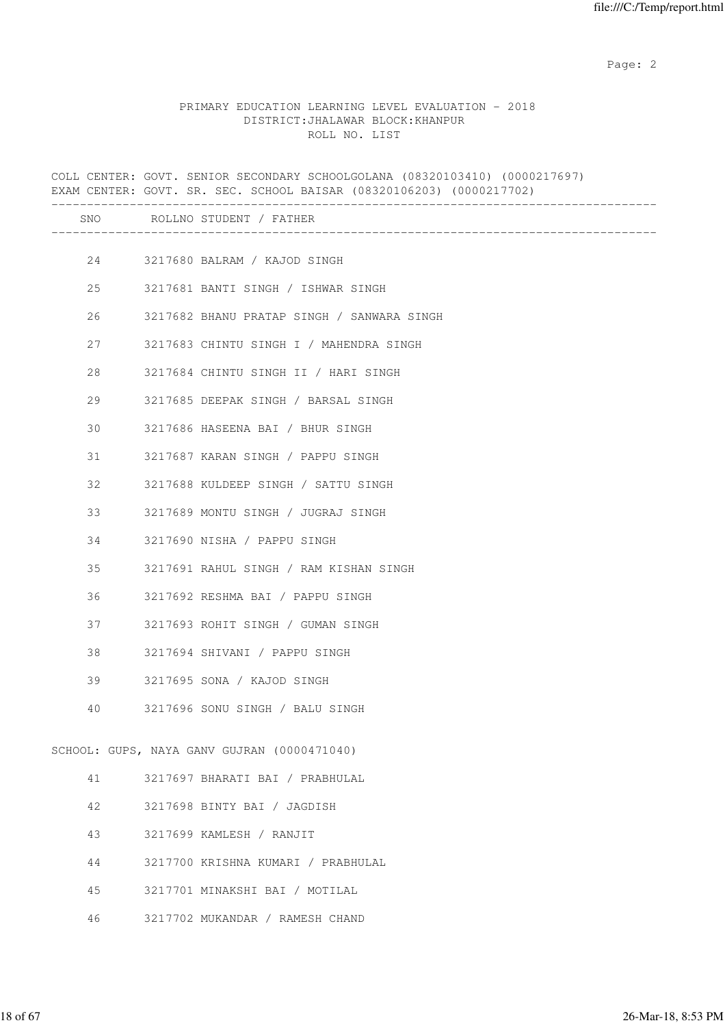Page: 2  $P$  and 2  $P$  and 2  $P$  and 2  $P$  and 2  $P$  and 2  $P$  and 2  $P$  and 2  $P$  and 2  $P$  and 2  $P$  and 2  $P$  and 2  $P$  and 2  $P$  and 2  $P$  and 2  $P$  and 2  $P$  and 2  $P$  and 2  $P$  and 2  $P$  and 2  $P$  and 2  $P$  and 2  $P$ 

#### PRIMARY EDUCATION LEARNING LEVEL EVALUATION - 2018 DISTRICT:JHALAWAR BLOCK:KHANPUR ROLL NO. LIST

|    | COLL CENTER: GOVT. SENIOR SECONDARY SCHOOLGOLANA (08320103410) (0000217697)<br>EXAM CENTER: GOVT. SR. SEC. SCHOOL BAISAR (08320106203) (0000217702) |
|----|-----------------------------------------------------------------------------------------------------------------------------------------------------|
|    | SNO ROLLNO STUDENT / FATHER                                                                                                                         |
|    | 24 3217680 BALRAM / KAJOD SINGH                                                                                                                     |
| 25 | 3217681 BANTI SINGH / ISHWAR SINGH                                                                                                                  |
| 26 | 3217682 BHANU PRATAP SINGH / SANWARA SINGH                                                                                                          |
| 27 | 3217683 CHINTU SINGH I / MAHENDRA SINGH                                                                                                             |
| 28 | 3217684 CHINTU SINGH II / HARI SINGH                                                                                                                |
| 29 | 3217685 DEEPAK SINGH / BARSAL SINGH                                                                                                                 |
| 30 | 3217686 HASEENA BAI / BHUR SINGH                                                                                                                    |
| 31 | 3217687 KARAN SINGH / PAPPU SINGH                                                                                                                   |
| 32 | 3217688 KULDEEP SINGH / SATTU SINGH                                                                                                                 |
| 33 | 3217689 MONTU SINGH / JUGRAJ SINGH                                                                                                                  |
| 34 | 3217690 NISHA / PAPPU SINGH                                                                                                                         |
| 35 | 3217691 RAHUL SINGH / RAM KISHAN SINGH                                                                                                              |
| 36 | 3217692 RESHMA BAI / PAPPU SINGH                                                                                                                    |
| 37 | 3217693 ROHIT SINGH / GUMAN SINGH                                                                                                                   |
| 38 | 3217694 SHIVANI / PAPPU SINGH                                                                                                                       |
| 39 | 3217695 SONA / KAJOD SINGH                                                                                                                          |
| 40 | 3217696 SONU SINGH / BALU SINGH                                                                                                                     |
|    | SCHOOL: GUPS, NAYA GANV GUJRAN (0000471040)                                                                                                         |
| 41 | 3217697 BHARATI BAI / PRABHULAL                                                                                                                     |
| 42 | 3217698 BINTY BAI / JAGDISH                                                                                                                         |
| 43 | 3217699 KAMLESH / RANJIT                                                                                                                            |
| 44 | 3217700 KRISHNA KUMARI / PRABHULAL                                                                                                                  |
| 45 | 3217701 MINAKSHI BAI / MOTILAL                                                                                                                      |

46 3217702 MUKANDAR / RAMESH CHAND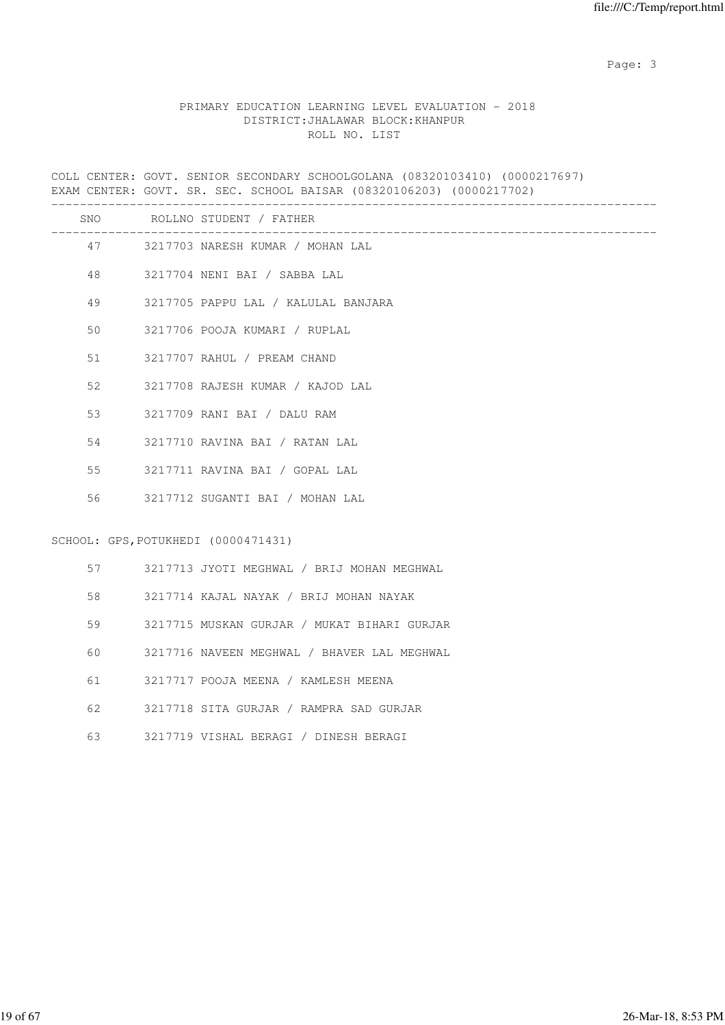#### PRIMARY EDUCATION LEARNING LEVEL EVALUATION - 2018 DISTRICT:JHALAWAR BLOCK:KHANPUR ROLL NO. LIST

COLL CENTER: GOVT. SENIOR SECONDARY SCHOOLGOLANA (08320103410) (0000217697) EXAM CENTER: GOVT. SR. SEC. SCHOOL BAISAR (08320106203) (0000217702) -------------------------------------------------------------------------------------

|    |         | SNO ROLLNO STUDENT / FATHER                 |
|----|---------|---------------------------------------------|
|    |         | 47 3217703 NARESH KUMAR / MOHAN LAL         |
|    | 48 — 18 | 3217704 NENI BAI / SABBA LAL                |
| 49 |         | 3217705 PAPPU LAL / KALULAL BANJARA         |
| 50 |         | 3217706 POOJA KUMARI / RUPLAL               |
| 51 |         | 3217707 RAHUL / PREAM CHAND                 |
| 52 |         | 3217708 RAJESH KUMAR / KAJOD LAL            |
|    | 53 7    | 3217709 RANI BAI / DALU RAM                 |
|    | 54 6    | 3217710 RAVINA BAI / RATAN LAL              |
|    | 55 7    | 3217711 RAVINA BAI / GOPAL LAL              |
|    |         | 56 3217712 SUGANTI BAI / MOHAN LAL          |
|    |         | SCHOOL: GPS, POTUKHEDI (0000471431)         |
|    | 57 — 10 | 3217713 JYOTI MEGHWAL / BRIJ MOHAN MEGHWAL  |
|    |         | 3217714 KAJAL NAYAK / BRIJ MOHAN NAYAK      |
|    | 59      | 3217715 MUSKAN GURJAR / MUKAT BIHARI GURJAR |
| 60 |         | 3217716 NAVEEN MEGHWAL / BHAVER LAL MEGHWAL |
| 61 |         | 3217717 POOJA MEENA / KAMLESH MEENA         |

- 62 3217718 SITA GURJAR / RAMPRA SAD GURJAR
- 63 3217719 VISHAL BERAGI / DINESH BERAGI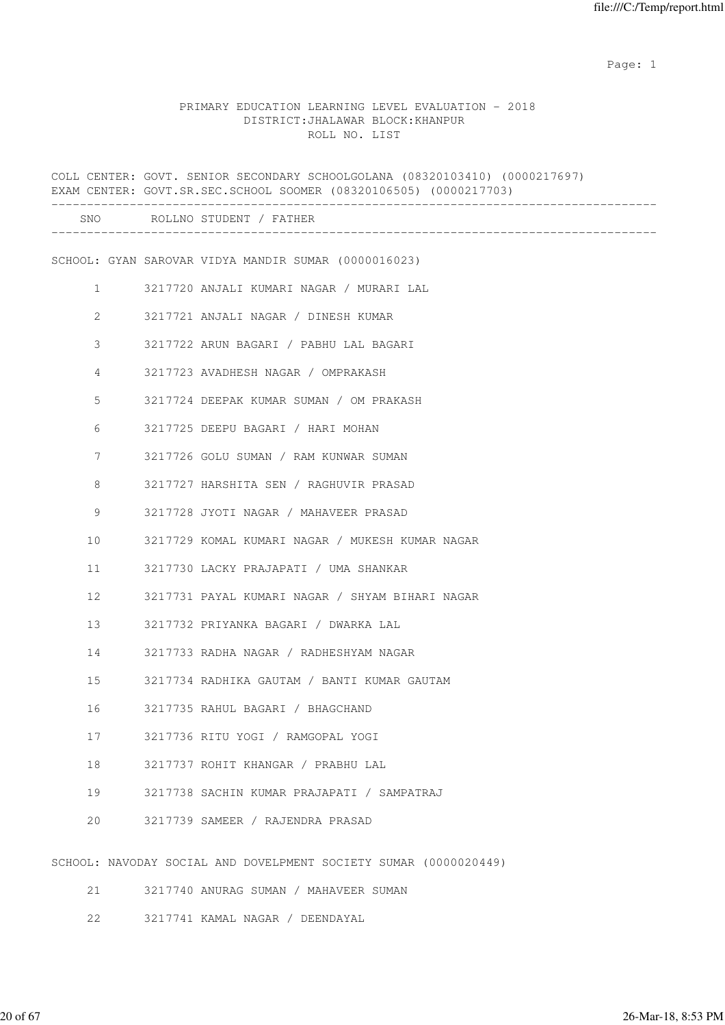#### PRIMARY EDUCATION LEARNING LEVEL EVALUATION - 2018 DISTRICT:JHALAWAR BLOCK:KHANPUR ROLL NO. LIST

|                       | COLL CENTER: GOVT. SENIOR SECONDARY SCHOOLGOLANA (08320103410) (0000217697)<br>EXAM CENTER: GOVT.SR.SEC.SCHOOL SOOMER (08320106505) (0000217703) |  |
|-----------------------|--------------------------------------------------------------------------------------------------------------------------------------------------|--|
|                       | SNO ROLLNO STUDENT / FATHER                                                                                                                      |  |
|                       | SCHOOL: GYAN SAROVAR VIDYA MANDIR SUMAR (0000016023)                                                                                             |  |
| $\mathbf{1}$          | 3217720 ANJALI KUMARI NAGAR / MURARI LAL                                                                                                         |  |
| $\mathbf{2}^{\prime}$ | 3217721 ANJALI NAGAR / DINESH KUMAR                                                                                                              |  |
| 3                     | 3217722 ARUN BAGARI / PABHU LAL BAGARI                                                                                                           |  |
| 4                     | 3217723 AVADHESH NAGAR / OMPRAKASH                                                                                                               |  |
| 5                     | 3217724 DEEPAK KUMAR SUMAN / OM PRAKASH                                                                                                          |  |
| 6                     | 3217725 DEEPU BAGARI / HARI MOHAN                                                                                                                |  |
| 7                     | 3217726 GOLU SUMAN / RAM KUNWAR SUMAN                                                                                                            |  |
| 8                     | 3217727 HARSHITA SEN / RAGHUVIR PRASAD                                                                                                           |  |
| 9                     | 3217728 JYOTI NAGAR / MAHAVEER PRASAD                                                                                                            |  |
| 10                    | 3217729 KOMAL KUMARI NAGAR / MUKESH KUMAR NAGAR                                                                                                  |  |
| 11                    | 3217730 LACKY PRAJAPATI / UMA SHANKAR                                                                                                            |  |
| 12                    | 3217731 PAYAL KUMARI NAGAR / SHYAM BIHARI NAGAR                                                                                                  |  |
| 13                    | 3217732 PRIYANKA BAGARI / DWARKA LAL                                                                                                             |  |
| 14                    | 3217733 RADHA NAGAR / RADHESHYAM NAGAR                                                                                                           |  |
| 15                    | 3217734 RADHIKA GAUTAM / BANTI KUMAR GAUTAM                                                                                                      |  |
| 16                    | 3217735 RAHUL BAGARI / BHAGCHAND                                                                                                                 |  |
| 17                    | 3217736 RITU YOGI / RAMGOPAL YOGI                                                                                                                |  |
| 18                    | 3217737 ROHIT KHANGAR / PRABHU LAL                                                                                                               |  |
| 19                    | 3217738 SACHIN KUMAR PRAJAPATI / SAMPATRAJ                                                                                                       |  |
| 20                    | 3217739 SAMEER / RAJENDRA PRASAD                                                                                                                 |  |
|                       | SCHOOL: NAVODAY SOCIAL AND DOVELPMENT SOCIETY SUMAR (0000020449)                                                                                 |  |
| 21                    | 3217740 ANURAG SUMAN / MAHAVEER SUMAN                                                                                                            |  |

22 3217741 KAMAL NAGAR / DEENDAYAL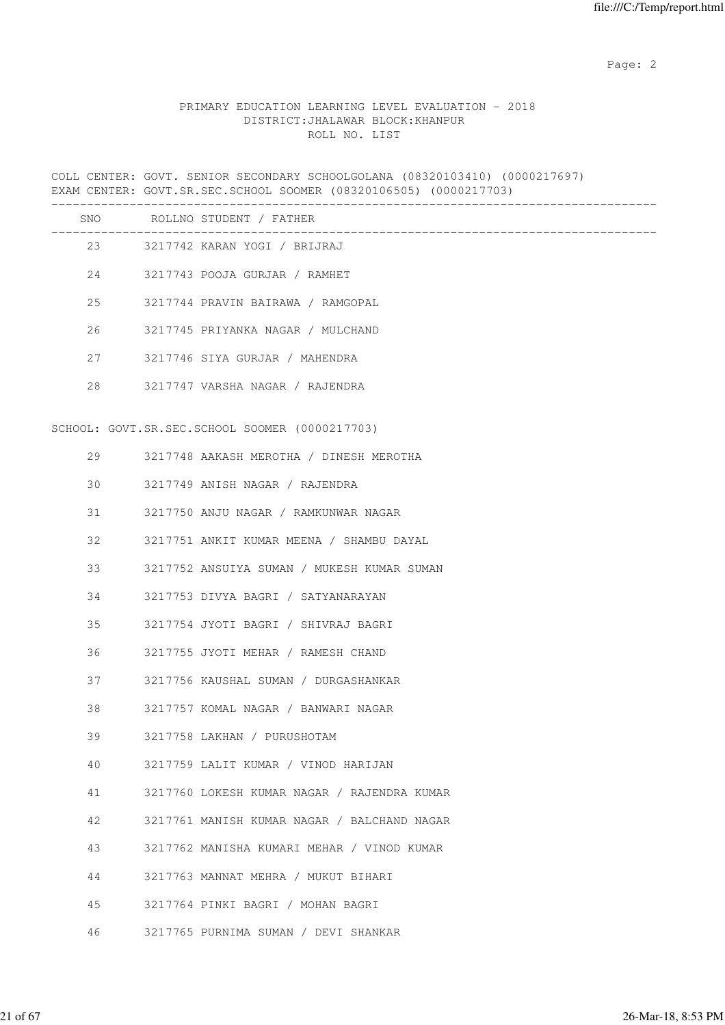Page: 2  $P$  and 2  $P$  and 2  $P$  and 2  $P$  and 2  $P$  and 2  $P$  and 2  $P$  and 2  $P$  and 2  $P$  and 2  $P$  and 2  $P$  and 2  $P$  and 2  $P$  and 2  $P$  and 2  $P$  and 2  $P$  and 2  $P$  and 2  $P$  and 2  $P$  and 2  $P$  and 2  $P$  and 2  $P$ 

### PRIMARY EDUCATION LEARNING LEVEL EVALUATION - 2018 DISTRICT:JHALAWAR BLOCK:KHANPUR ROLL NO. LIST

COLL CENTER: GOVT. SENIOR SECONDARY SCHOOLGOLANA (08320103410) (0000217697) EXAM CENTER: GOVT.SR.SEC.SCHOOL SOOMER (08320106505) (0000217703)

|    |         | SNO ROLLNO STUDENT / FATHER                    |
|----|---------|------------------------------------------------|
|    |         | 23 3217742 KARAN YOGI / BRIJRAJ                |
|    |         | 24 3217743 POOJA GURJAR / RAMHET               |
|    | 25      | 3217744 PRAVIN BAIRAWA / RAMGOPAL              |
| 26 |         | 3217745 PRIYANKA NAGAR / MULCHAND              |
|    | 27 — 27 | 3217746 SIYA GURJAR / MAHENDRA                 |
|    | 28      | 3217747 VARSHA NAGAR / RAJENDRA                |
|    |         |                                                |
|    |         | SCHOOL: GOVT.SR.SEC.SCHOOL SOOMER (0000217703) |
|    | 29      | 3217748 AAKASH MEROTHA / DINESH MEROTHA        |
| 30 |         | 3217749 ANISH NAGAR / RAJENDRA                 |
| 31 |         | 3217750 ANJU NAGAR / RAMKUNWAR NAGAR           |
| 32 |         | 3217751 ANKIT KUMAR MEENA / SHAMBU DAYAL       |
| 33 |         | 3217752 ANSUIYA SUMAN / MUKESH KUMAR SUMAN     |
| 34 |         | 3217753 DIVYA BAGRI / SATYANARAYAN             |
| 35 |         | 3217754 JYOTI BAGRI / SHIVRAJ BAGRI            |
| 36 |         | 3217755 JYOTI MEHAR / RAMESH CHAND             |
| 37 |         | 3217756 KAUSHAL SUMAN / DURGASHANKAR           |
| 38 |         | 3217757 KOMAL NAGAR / BANWARI NAGAR            |
| 39 |         | 3217758 LAKHAN / PURUSHOTAM                    |
| 40 |         | 3217759 LALIT KUMAR / VINOD HARIJAN            |
| 41 |         | 3217760 LOKESH KUMAR NAGAR / RAJENDRA KUMAR    |
| 42 |         | 3217761 MANISH KUMAR NAGAR / BALCHAND NAGAR    |
| 43 |         | 3217762 MANISHA KUMARI MEHAR / VINOD KUMAR     |
| 44 |         | 3217763 MANNAT MEHRA / MUKUT BIHARI            |
| 45 |         | 3217764 PINKI BAGRI / MOHAN BAGRI              |
| 46 |         | 3217765 PURNIMA SUMAN / DEVI SHANKAR           |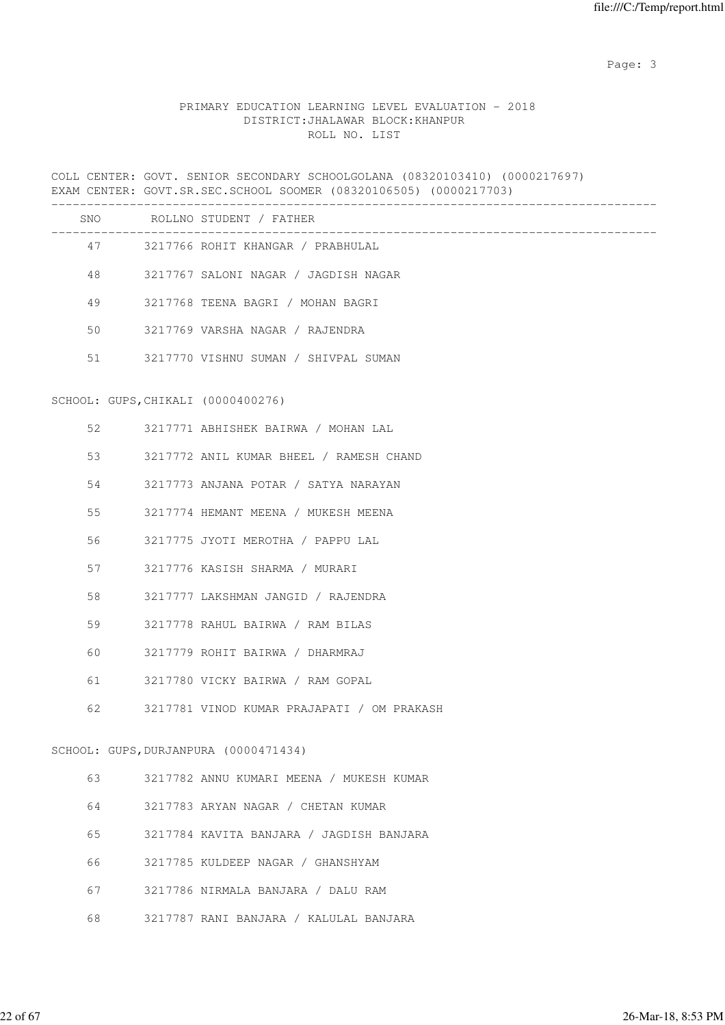# PRIMARY EDUCATION LEARNING LEVEL EVALUATION - 2018 DISTRICT:JHALAWAR BLOCK:KHANPUR ROLL NO. LIST

|    | COLL CENTER: GOVT. SENIOR SECONDARY SCHOOLGOLANA (08320103410) (0000217697)<br>EXAM CENTER: GOVT.SR.SEC.SCHOOL SOOMER (08320106505) (0000217703) |
|----|--------------------------------------------------------------------------------------------------------------------------------------------------|
|    | SNO ROLLNO STUDENT / FATHER                                                                                                                      |
|    | 47 3217766 ROHIT KHANGAR / PRABHULAL                                                                                                             |
| 48 | 3217767 SALONI NAGAR / JAGDISH NAGAR                                                                                                             |
| 49 | 3217768 TEENA BAGRI / MOHAN BAGRI                                                                                                                |
| 50 | 3217769 VARSHA NAGAR / RAJENDRA                                                                                                                  |
| 51 | 3217770 VISHNU SUMAN / SHIVPAL SUMAN                                                                                                             |
|    | SCHOOL: GUPS, CHIKALI (0000400276)                                                                                                               |
| 52 | 3217771 ABHISHEK BAIRWA / MOHAN LAL                                                                                                              |
| 53 | 3217772 ANIL KUMAR BHEEL / RAMESH CHAND                                                                                                          |
| 54 | 3217773 ANJANA POTAR / SATYA NARAYAN                                                                                                             |
| 55 | 3217774 HEMANT MEENA / MUKESH MEENA                                                                                                              |
| 56 | 3217775 JYOTI MEROTHA / PAPPU LAL                                                                                                                |
| 57 | 3217776 KASISH SHARMA / MURARI                                                                                                                   |
| 58 | 3217777 LAKSHMAN JANGID / RAJENDRA                                                                                                               |
| 59 | 3217778 RAHUL BAIRWA / RAM BILAS                                                                                                                 |
| 60 | 3217779 ROHIT BAIRWA / DHARMRAJ                                                                                                                  |
| 61 | 3217780 VICKY BAIRWA / RAM GOPAL                                                                                                                 |
| 62 | 3217781 VINOD KUMAR PRAJAPATI / OM PRAKASH                                                                                                       |
|    | SCHOOL: GUPS, DURJANPURA (0000471434)                                                                                                            |
| 63 | 3217782 ANNU KUMARI MEENA / MUKESH KUMAR                                                                                                         |
| 64 | 3217783 ARYAN NAGAR / CHETAN KUMAR                                                                                                               |
| 65 | 3217784 KAVITA BANJARA / JAGDISH BANJARA                                                                                                         |
| 66 | 3217785 KULDEEP NAGAR / GHANSHYAM                                                                                                                |
| 67 | 3217786 NIRMALA BANJARA / DALU RAM                                                                                                               |
| 68 | 3217787 RANI BANJARA / KALULAL BANJARA                                                                                                           |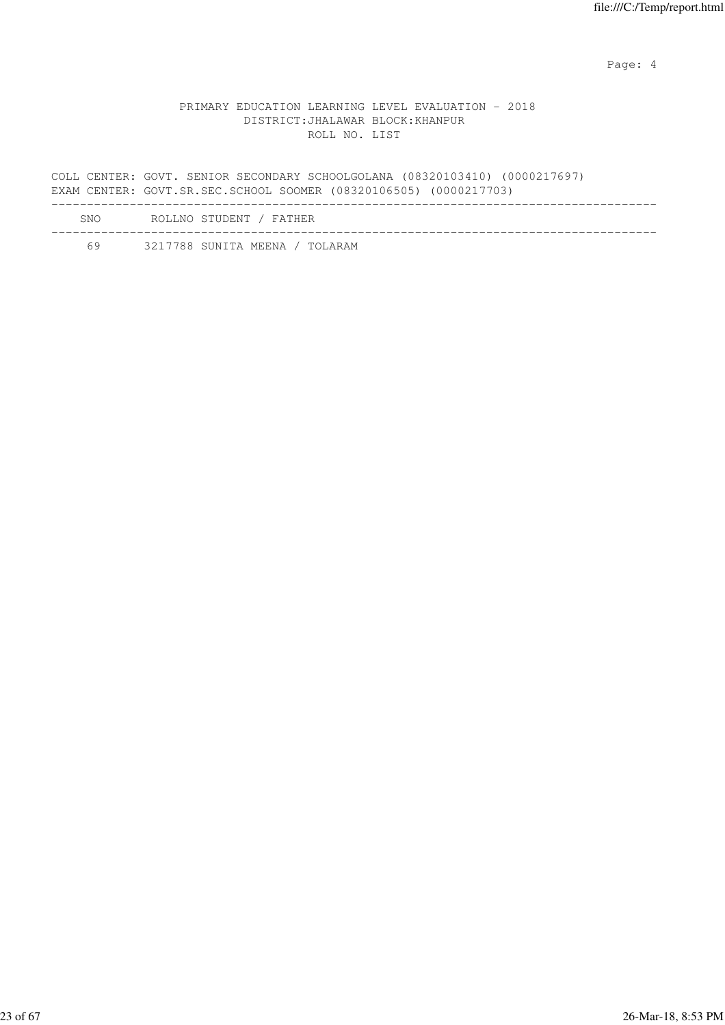Page: 4  $P$ 

#### PRIMARY EDUCATION LEARNING LEVEL EVALUATION - 2018 DISTRICT:JHALAWAR BLOCK:KHANPUR ROLL NO. LIST

COLL CENTER: GOVT. SENIOR SECONDARY SCHOOLGOLANA (08320103410) (0000217697) EXAM CENTER: GOVT.SR.SEC.SCHOOL SOOMER (08320106505) (0000217703) ------------------------------------------------------------------------------------- SNO ROLLNO STUDENT / FATHER -------------------------------------------------------------------------------------

| 3217788 SUNITA MEENA |  |  |  |  |  | TOLARAM |
|----------------------|--|--|--|--|--|---------|
|----------------------|--|--|--|--|--|---------|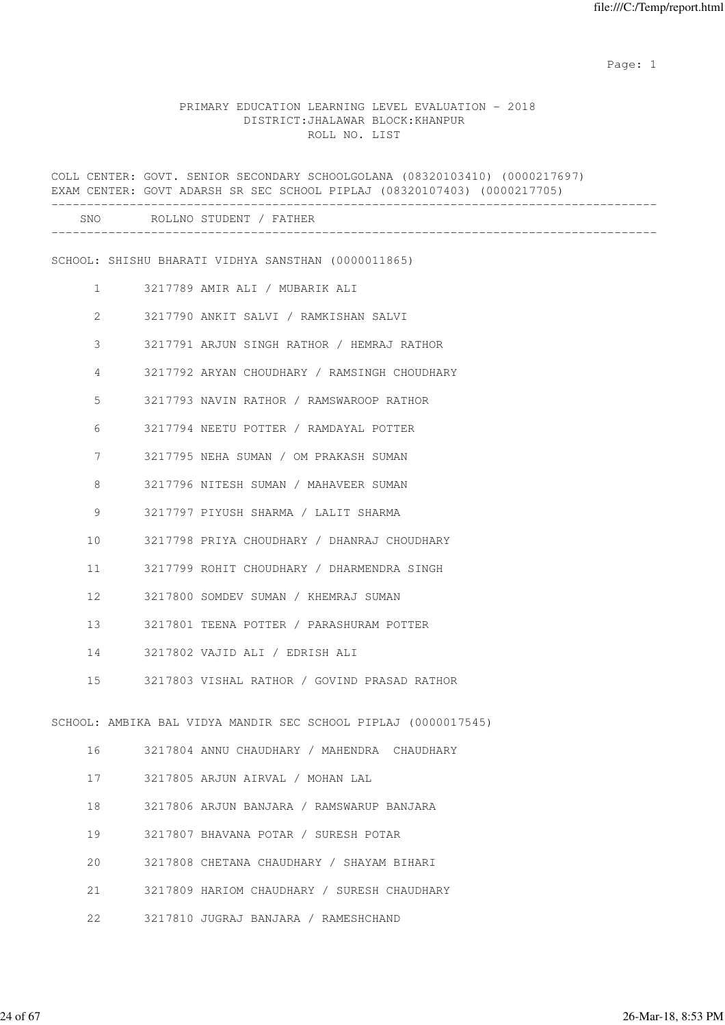### PRIMARY EDUCATION LEARNING LEVEL EVALUATION - 2018 DISTRICT:JHALAWAR BLOCK:KHANPUR ROLL NO. LIST

|                   |                | COLL CENTER: GOVT. SENIOR SECONDARY SCHOOLGOLANA (08320103410) (0000217697)<br>EXAM CENTER: GOVT ADARSH SR SEC SCHOOL PIPLAJ (08320107403) (0000217705) |
|-------------------|----------------|---------------------------------------------------------------------------------------------------------------------------------------------------------|
|                   |                | SNO ROLLNO STUDENT / FATHER                                                                                                                             |
|                   |                | SCHOOL: SHISHU BHARATI VIDHYA SANSTHAN (0000011865)                                                                                                     |
|                   | 1              | 3217789 AMIR ALI / MUBARIK ALI                                                                                                                          |
|                   | $\overline{2}$ | 3217790 ANKIT SALVI / RAMKISHAN SALVI                                                                                                                   |
|                   | 3              | 3217791 ARJUN SINGH RATHOR / HEMRAJ RATHOR                                                                                                              |
|                   | 4              | 3217792 ARYAN CHOUDHARY / RAMSINGH CHOUDHARY                                                                                                            |
|                   | 5              | 3217793 NAVIN RATHOR / RAMSWAROOP RATHOR                                                                                                                |
|                   | 6              | 3217794 NEETU POTTER / RAMDAYAL POTTER                                                                                                                  |
|                   | 7              | 3217795 NEHA SUMAN / OM PRAKASH SUMAN                                                                                                                   |
|                   | 8              | 3217796 NITESH SUMAN / MAHAVEER SUMAN                                                                                                                   |
|                   | 9              | 3217797 PIYUSH SHARMA / LALIT SHARMA                                                                                                                    |
| 10                |                | 3217798 PRIYA CHOUDHARY / DHANRAJ CHOUDHARY                                                                                                             |
| 11                |                | 3217799 ROHIT CHOUDHARY / DHARMENDRA SINGH                                                                                                              |
| $12 \overline{ }$ |                | 3217800 SOMDEV SUMAN / KHEMRAJ SUMAN                                                                                                                    |
| 13                |                | 3217801 TEENA POTTER / PARASHURAM POTTER                                                                                                                |
| 14                |                | 3217802 VAJID ALI / EDRISH ALI                                                                                                                          |
| 15                |                | 3217803 VISHAL RATHOR / GOVIND PRASAD RATHOR                                                                                                            |
|                   |                | SCHOOL: AMBIKA BAL VIDYA MANDIR SEC SCHOOL PIPLAJ (0000017545)                                                                                          |
| 16                |                | 3217804 ANNU CHAUDHARY / MAHENDRA CHAUDHARY                                                                                                             |
| 17                |                | 3217805 ARJUN AIRVAL / MOHAN LAL                                                                                                                        |
| 18                |                | 3217806 ARJUN BANJARA / RAMSWARUP BANJARA                                                                                                               |
| 19                |                | 3217807 BHAVANA POTAR / SURESH POTAR                                                                                                                    |
| 20                |                | 3217808 CHETANA CHAUDHARY / SHAYAM BIHARI                                                                                                               |
| 21                |                | 3217809 HARIOM CHAUDHARY / SURESH CHAUDHARY                                                                                                             |
| 22                |                | 3217810 JUGRAJ BANJARA / RAMESHCHAND                                                                                                                    |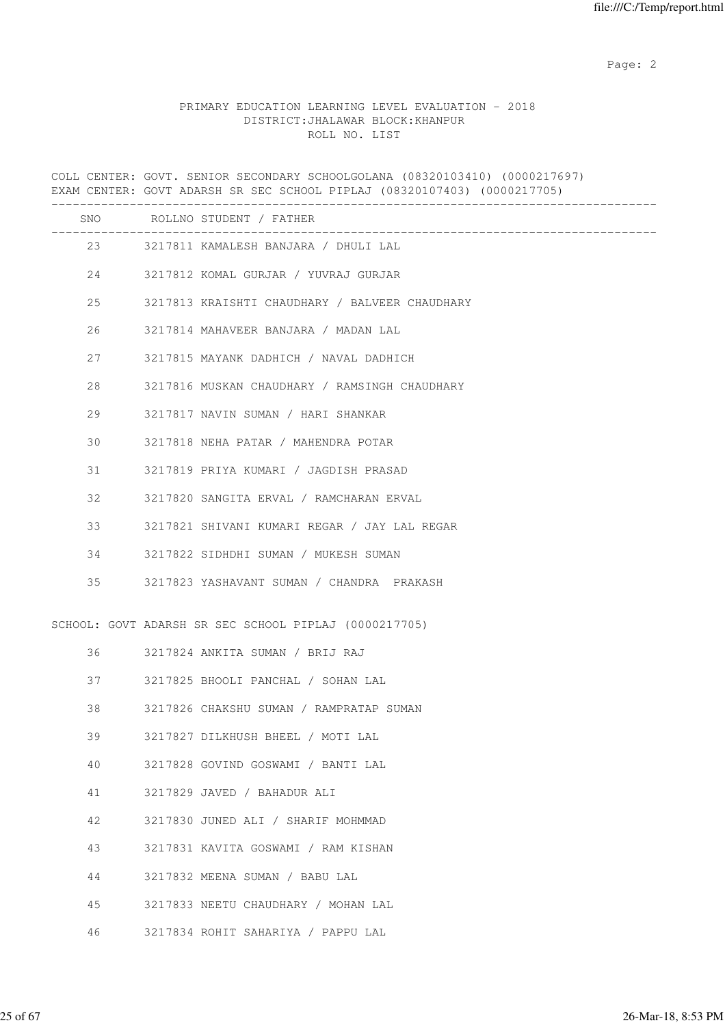Page: 2  $P$  and 2  $P$  and 2  $P$  and 2  $P$  and 2  $P$  and 2  $P$  and 2  $P$  and 2  $P$  and 2  $P$  and 2  $P$  and 2  $P$  and 2  $P$  and 2  $P$  and 2  $P$  and 2  $P$  and 2  $P$  and 2  $P$  and 2  $P$  and 2  $P$  and 2  $P$  and 2  $P$  and 2  $P$ 

#### PRIMARY EDUCATION LEARNING LEVEL EVALUATION - 2018 DISTRICT:JHALAWAR BLOCK:KHANPUR ROLL NO. LIST

COLL CENTER: GOVT. SENIOR SECONDARY SCHOOLGOLANA (08320103410) (0000217697) EXAM CENTER: GOVT ADARSH SR SEC SCHOOL PIPLAJ (08320107403) (0000217705) ------------------------------------------------------------------------------------- SNO ROLLNO STUDENT / FATHER ------------------------------------------------------------------------------------- 23 3217811 KAMALESH BANJARA / DHULI LAL 24 3217812 KOMAL GURJAR / YUVRAJ GURJAR 25 3217813 KRAISHTI CHAUDHARY / BALVEER CHAUDHARY 26 3217814 MAHAVEER BANJARA / MADAN LAL 27 3217815 MAYANK DADHICH / NAVAL DADHICH 28 3217816 MUSKAN CHAUDHARY / RAMSINGH CHAUDHARY 29 3217817 NAVIN SUMAN / HARI SHANKAR 30 3217818 NEHA PATAR / MAHENDRA POTAR 31 3217819 PRIYA KUMARI / JAGDISH PRASAD 32 3217820 SANGITA ERVAL / RAMCHARAN ERVAL 33 3217821 SHIVANI KUMARI REGAR / JAY LAL REGAR 34 3217822 SIDHDHI SUMAN / MUKESH SUMAN 35 3217823 YASHAVANT SUMAN / CHANDRA PRAKASH SCHOOL: GOVT ADARSH SR SEC SCHOOL PIPLAJ (0000217705) 36 3217824 ANKITA SUMAN / BRIJ RAJ 37 3217825 BHOOLI PANCHAL / SOHAN LAL 38 3217826 CHAKSHU SUMAN / RAMPRATAP SUMAN 39 3217827 DILKHUSH BHEEL / MOTI LAL 40 3217828 GOVIND GOSWAMI / BANTI LAL 41 3217829 JAVED / BAHADUR ALI 42 3217830 JUNED ALI / SHARIF MOHMMAD 43 3217831 KAVITA GOSWAMI / RAM KISHAN 44 3217832 MEENA SUMAN / BABU LAL 45 3217833 NEETU CHAUDHARY / MOHAN LAL 46 3217834 ROHIT SAHARIYA / PAPPU LAL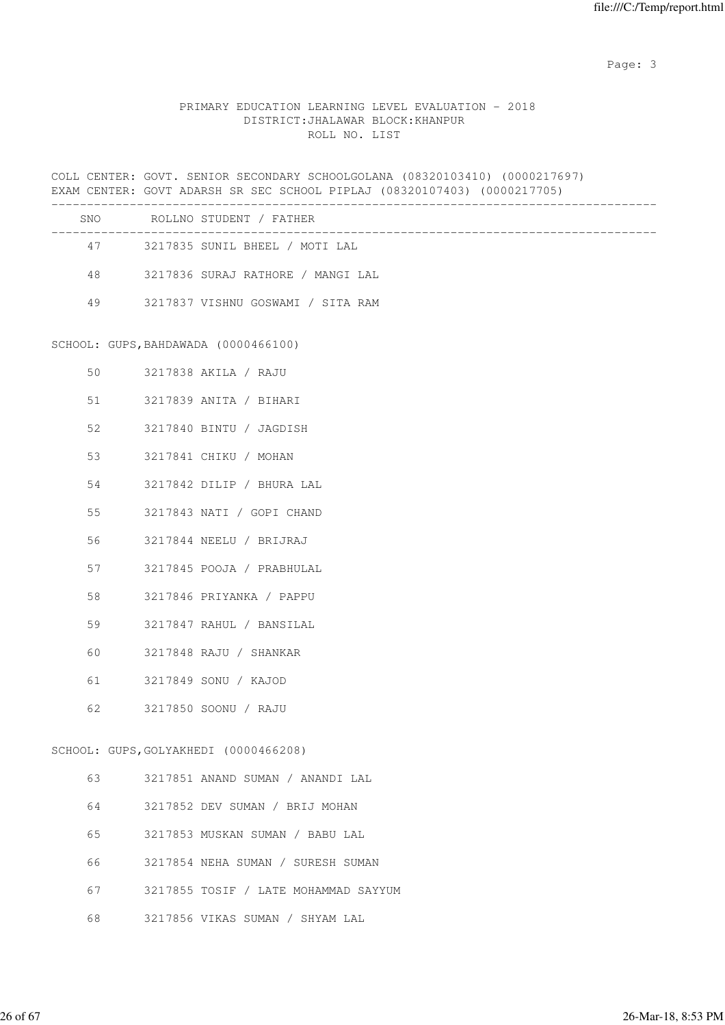## PRIMARY EDUCATION LEARNING LEVEL EVALUATION - 2018 DISTRICT:JHALAWAR BLOCK:KHANPUR ROLL NO. LIST

| _________________ | COLL CENTER: GOVT. SENIOR SECONDARY SCHOOLGOLANA (08320103410) (0000217697)<br>EXAM CENTER: GOVT ADARSH SR SEC SCHOOL PIPLAJ (08320107403) (0000217705) |
|-------------------|---------------------------------------------------------------------------------------------------------------------------------------------------------|
|                   | SNO ROLLNO STUDENT / FATHER                                                                                                                             |
|                   | 47 3217835 SUNIL BHEEL / MOTI LAL                                                                                                                       |
| 48                | 3217836 SURAJ RATHORE / MANGI LAL                                                                                                                       |
| 49                | 3217837 VISHNU GOSWAMI / SITA RAM                                                                                                                       |
|                   | SCHOOL: GUPS, BAHDAWADA (0000466100)                                                                                                                    |
| 50                | 3217838 AKILA / RAJU                                                                                                                                    |
| 51                | 3217839 ANITA / BIHARI                                                                                                                                  |
| 52                | 3217840 BINTU / JAGDISH                                                                                                                                 |
| 53                | 3217841 CHIKU / MOHAN                                                                                                                                   |
| 54                | 3217842 DILIP / BHURA LAL                                                                                                                               |
| 55                | 3217843 NATI / GOPI CHAND                                                                                                                               |
| 56                | 3217844 NEELU / BRIJRAJ                                                                                                                                 |
| 57                | 3217845 POOJA / PRABHULAL                                                                                                                               |
| 58                | 3217846 PRIYANKA / PAPPU                                                                                                                                |
| 59                | 3217847 RAHUL / BANSILAL                                                                                                                                |
| 60                | 3217848 RAJU / SHANKAR                                                                                                                                  |
| 61                | 3217849 SONU / KAJOD                                                                                                                                    |
| 62                | 3217850 SOONU / RAJU                                                                                                                                    |
|                   | SCHOOL: GUPS, GOLYAKHEDI (0000466208)                                                                                                                   |
| 63                | 3217851 ANAND SUMAN / ANANDI LAL                                                                                                                        |
| 64                | 3217852 DEV SUMAN / BRIJ MOHAN                                                                                                                          |
| 65                | 3217853 MUSKAN SUMAN / BABU LAL                                                                                                                         |
| 66                | 3217854 NEHA SUMAN / SURESH SUMAN                                                                                                                       |
| 67                | 3217855 TOSIF / LATE MOHAMMAD SAYYUM                                                                                                                    |

68 3217856 VIKAS SUMAN / SHYAM LAL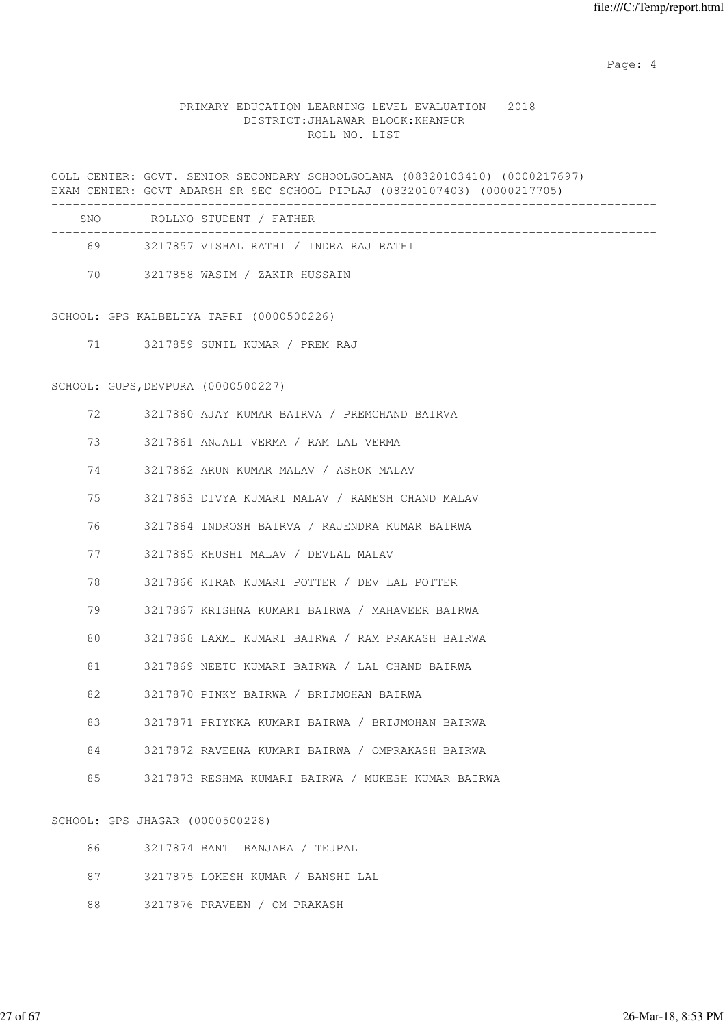Page: 4  $P$ 

#### PRIMARY EDUCATION LEARNING LEVEL EVALUATION - 2018 DISTRICT:JHALAWAR BLOCK:KHANPUR ROLL NO. LIST

COLL CENTER: GOVT. SENIOR SECONDARY SCHOOLGOLANA (08320103410) (0000217697) EXAM CENTER: GOVT ADARSH SR SEC SCHOOL PIPLAJ (08320107403) (0000217705) ------------------------------------------------------------------------------------- SNO ROLLNO STUDENT / FATHER ------------------------------------------------------------------------------------- 69 3217857 VISHAL RATHI / INDRA RAJ RATHI 70 3217858 WASIM / ZAKIR HUSSAIN SCHOOL: GPS KALBELIYA TAPRI (0000500226) 71 3217859 SUNIL KUMAR / PREM RAJ SCHOOL: GUPS,DEVPURA (0000500227) 72 3217860 AJAY KUMAR BAIRVA / PREMCHAND BAIRVA 73 3217861 ANJALI VERMA / RAM LAL VERMA 74 3217862 ARUN KUMAR MALAV / ASHOK MALAV 75 3217863 DIVYA KUMARI MALAV / RAMESH CHAND MALAV 76 3217864 INDROSH BAIRVA / RAJENDRA KUMAR BAIRWA 77 3217865 KHUSHI MALAV / DEVLAL MALAV 78 3217866 KIRAN KUMARI POTTER / DEV LAL POTTER 79 3217867 KRISHNA KUMARI BAIRWA / MAHAVEER BAIRWA 80 3217868 LAXMI KUMARI BAIRWA / RAM PRAKASH BAIRWA 81 3217869 NEETU KUMARI BAIRWA / LAL CHAND BAIRWA 82 3217870 PINKY BAIRWA / BRIJMOHAN BAIRWA 83 3217871 PRIYNKA KUMARI BAIRWA / BRIJMOHAN BAIRWA 84 3217872 RAVEENA KUMARI BAIRWA / OMPRAKASH BAIRWA 85 3217873 RESHMA KUMARI BAIRWA / MUKESH KUMAR BAIRWA SCHOOL: GPS JHAGAR (0000500228)

| 86.     | 3217874 BANTI BANJARA / TEJPAL    |
|---------|-----------------------------------|
| 87 - 20 | 3217875 LOKESH KUMAR / BANSHI LAL |
| 88.     | 3217876 PRAVEEN / OM PRAKASH      |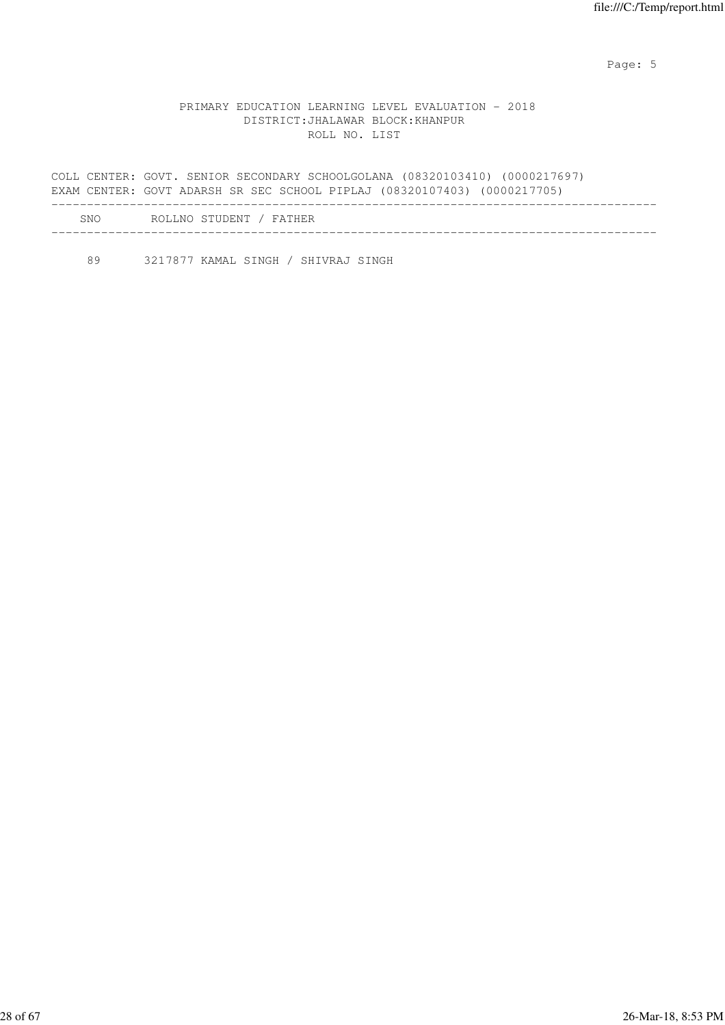Page: 5  $P$  and  $P$  and  $P$  and  $P$  and  $P$  and  $P$  and  $P$  and  $P$  and  $P$  and  $P$  and  $P$  and  $P$  and  $P$  and  $P$  and  $P$  and  $P$  and  $P$  and  $P$  and  $P$  and  $P$  and  $P$  and  $P$  and  $P$  and  $P$  and  $P$  and  $P$  and  $P$  an

#### PRIMARY EDUCATION LEARNING LEVEL EVALUATION - 2018 DISTRICT:JHALAWAR BLOCK:KHANPUR ROLL NO. LIST

COLL CENTER: GOVT. SENIOR SECONDARY SCHOOLGOLANA (08320103410) (0000217697) EXAM CENTER: GOVT ADARSH SR SEC SCHOOL PIPLAJ (08320107403) (0000217705) ------------------------------------------------------------------------------------- SNO ROLLNO STUDENT / FATHER -------------------------------------------------------------------------------------

89 3217877 KAMAL SINGH / SHIVRAJ SINGH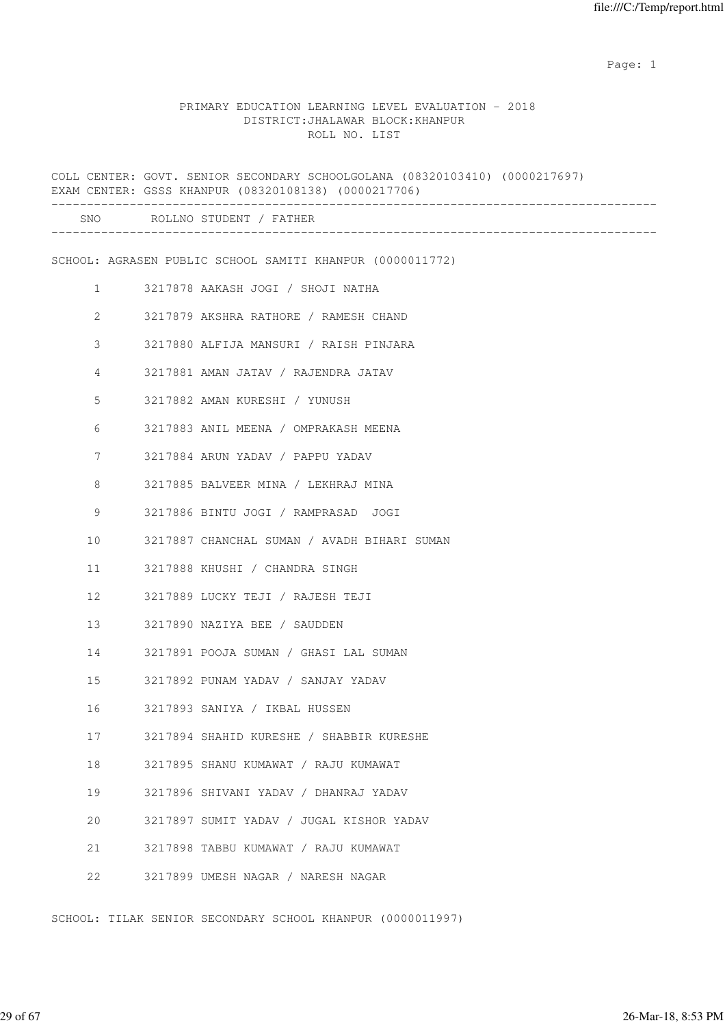#### PRIMARY EDUCATION LEARNING LEVEL EVALUATION - 2018 DISTRICT:JHALAWAR BLOCK:KHANPUR ROLL NO. LIST

| _________________ |              | COLL CENTER: GOVT. SENIOR SECONDARY SCHOOLGOLANA (08320103410) (0000217697)<br>EXAM CENTER: GSSS KHANPUR (08320108138) (0000217706) |
|-------------------|--------------|-------------------------------------------------------------------------------------------------------------------------------------|
|                   |              | SNO ROLLNO STUDENT / FATHER                                                                                                         |
|                   |              | SCHOOL: AGRASEN PUBLIC SCHOOL SAMITI KHANPUR (0000011772)                                                                           |
|                   | 1            | 3217878 AAKASH JOGI / SHOJI NATHA                                                                                                   |
|                   | $\mathbf{2}$ | 3217879 AKSHRA RATHORE / RAMESH CHAND                                                                                               |
|                   | 3            | 3217880 ALFIJA MANSURI / RAISH PINJARA                                                                                              |
|                   | 4            | 3217881 AMAN JATAV / RAJENDRA JATAV                                                                                                 |
|                   | 5            | 3217882 AMAN KURESHI / YUNUSH                                                                                                       |
|                   | 6            | 3217883 ANIL MEENA / OMPRAKASH MEENA                                                                                                |
|                   | 7            | 3217884 ARUN YADAV / PAPPU YADAV                                                                                                    |
|                   | 8            | 3217885 BALVEER MINA / LEKHRAJ MINA                                                                                                 |
|                   | 9            | 3217886 BINTU JOGI / RAMPRASAD JOGI                                                                                                 |
| 10                |              | 3217887 CHANCHAL SUMAN / AVADH BIHARI SUMAN                                                                                         |
| 11                |              | 3217888 KHUSHI / CHANDRA SINGH                                                                                                      |
| 12                |              | 3217889 LUCKY TEJI / RAJESH TEJI                                                                                                    |
| 13                |              | 3217890 NAZIYA BEE / SAUDDEN                                                                                                        |
| 14                |              | 3217891 POOJA SUMAN / GHASI LAL SUMAN                                                                                               |
| 15                |              | 3217892 PUNAM YADAV / SANJAY YADAV                                                                                                  |
| 16                |              | 3217893 SANIYA / IKBAL HUSSEN                                                                                                       |
| 17                |              | 3217894 SHAHID KURESHE / SHABBIR KURESHE                                                                                            |
| 18                |              | 3217895 SHANU KUMAWAT / RAJU KUMAWAT                                                                                                |
| 19                |              | 3217896 SHIVANI YADAV / DHANRAJ YADAV                                                                                               |
| 20                |              | 3217897 SUMIT YADAV / JUGAL KISHOR YADAV                                                                                            |
| 21                |              | 3217898 TABBU KUMAWAT / RAJU KUMAWAT                                                                                                |
| 22                |              | 3217899 UMESH NAGAR / NARESH NAGAR                                                                                                  |

SCHOOL: TILAK SENIOR SECONDARY SCHOOL KHANPUR (0000011997)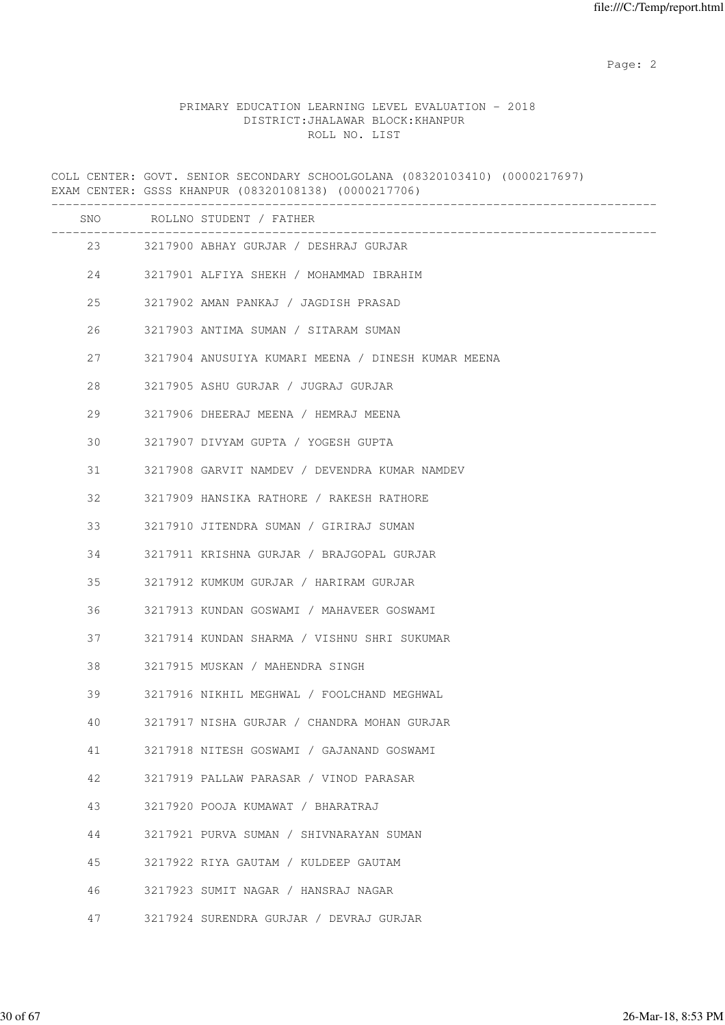Page: 2  $P$  and 2  $P$  and 2  $P$  and 2  $P$  and 2  $P$  and 2  $P$  and 2  $P$  and 2  $P$  and 2  $P$  and 2  $P$  and 2  $P$  and 2  $P$  and 2  $P$  and 2  $P$  and 2  $P$  and 2  $P$  and 2  $P$  and 2  $P$  and 2  $P$  and 2  $P$  and 2  $P$  and 2  $P$ 

### PRIMARY EDUCATION LEARNING LEVEL EVALUATION - 2018 DISTRICT:JHALAWAR BLOCK:KHANPUR ROLL NO. LIST

COLL CENTER: GOVT. SENIOR SECONDARY SCHOOLGOLANA (08320103410) (0000217697) EXAM CENTER: GSSS KHANPUR (08320108138) (0000217706)

|    | SNO ROLLNO STUDENT / FATHER<br>______________________________ |
|----|---------------------------------------------------------------|
|    | 23 3217900 ABHAY GURJAR / DESHRAJ GURJAR                      |
| 24 | 3217901 ALFIYA SHEKH / MOHAMMAD IBRAHIM                       |
| 25 | 3217902 AMAN PANKAJ / JAGDISH PRASAD                          |
| 26 | 3217903 ANTIMA SUMAN / SITARAM SUMAN                          |
| 27 | 3217904 ANUSUIYA KUMARI MEENA / DINESH KUMAR MEENA            |
| 28 | 3217905 ASHU GURJAR / JUGRAJ GURJAR                           |
| 29 | 3217906 DHEERAJ MEENA / HEMRAJ MEENA                          |
| 30 | 3217907 DIVYAM GUPTA / YOGESH GUPTA                           |
| 31 | 3217908 GARVIT NAMDEV / DEVENDRA KUMAR NAMDEV                 |
| 32 | 3217909 HANSIKA RATHORE / RAKESH RATHORE                      |
| 33 | 3217910 JITENDRA SUMAN / GIRIRAJ SUMAN                        |
| 34 | 3217911 KRISHNA GURJAR / BRAJGOPAL GURJAR                     |
| 35 | 3217912 KUMKUM GURJAR / HARIRAM GURJAR                        |
| 36 | 3217913 KUNDAN GOSWAMI / MAHAVEER GOSWAMI                     |
| 37 | 3217914 KUNDAN SHARMA / VISHNU SHRI SUKUMAR                   |
| 38 | 3217915 MUSKAN / MAHENDRA SINGH                               |
| 39 | 3217916 NIKHIL MEGHWAL / FOOLCHAND MEGHWAL                    |
| 40 | 3217917 NISHA GURJAR / CHANDRA MOHAN GURJAR                   |
| 41 | 3217918 NITESH GOSWAMI / GAJANAND GOSWAMI                     |
| 42 | 3217919 PALLAW PARASAR / VINOD PARASAR                        |
| 43 | 3217920 POOJA KUMAWAT / BHARATRAJ                             |
| 44 | 3217921 PURVA SUMAN / SHIVNARAYAN SUMAN                       |
| 45 | 3217922 RIYA GAUTAM / KULDEEP GAUTAM                          |
| 46 | 3217923 SUMIT NAGAR / HANSRAJ NAGAR                           |
| 47 | 3217924 SURENDRA GURJAR / DEVRAJ GURJAR                       |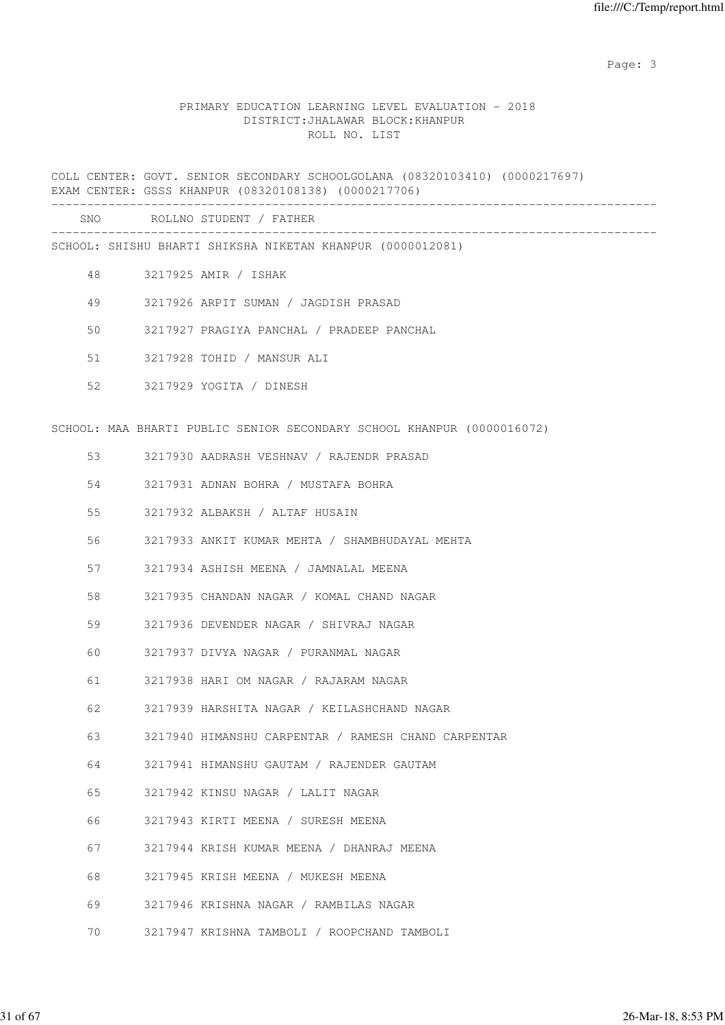#### PRIMARY EDUCATION LEARNING LEVEL EVALUATION - 2018 DISTRICT:JHALAWAR BLOCK:KHANPUR ROLL NO. LIST

COLL CENTER: GOVT. SENIOR SECONDARY SCHOOLGOLANA (08320103410) (0000217697) EXAM CENTER: GSSS KHANPUR (08320108138) (0000217706) -------------------------------------------------------------------------------------

| SNC |  | ROLLNO STUDENT |  | FATHER |
|-----|--|----------------|--|--------|
|-----|--|----------------|--|--------|

------------------------------------------------------------------------------------- SCHOOL: SHISHU BHARTI SHIKSHA NIKETAN KHANPUR (0000012081)

- 48 3217925 AMIR / ISHAK
- 49 3217926 ARPIT SUMAN / JAGDISH PRASAD
- 50 3217927 PRAGIYA PANCHAL / PRADEEP PANCHAL
- 51 3217928 TOHID / MANSUR ALI
- 52 3217929 YOGITA / DINESH

SCHOOL: MAA BHARTI PUBLIC SENIOR SECONDARY SCHOOL KHANPUR (0000016072)

- 53 3217930 AADRASH VESHNAV / RAJENDR PRASAD
- 54 3217931 ADNAN BOHRA / MUSTAFA BOHRA
- 55 3217932 ALBAKSH / ALTAF HUSAIN
- 56 3217933 ANKIT KUMAR MEHTA / SHAMBHUDAYAL MEHTA
- 57 3217934 ASHISH MEENA / JAMNALAL MEENA
- 58 3217935 CHANDAN NAGAR / KOMAL CHAND NAGAR
- 59 3217936 DEVENDER NAGAR / SHIVRAJ NAGAR
- 60 3217937 DIVYA NAGAR / PURANMAL NAGAR
- 61 3217938 HARI OM NAGAR / RAJARAM NAGAR
- 62 3217939 HARSHITA NAGAR / KEILASHCHAND NAGAR
- 63 3217940 HIMANSHU CARPENTAR / RAMESH CHAND CARPENTAR
- 64 3217941 HIMANSHU GAUTAM / RAJENDER GAUTAM
- 65 3217942 KINSU NAGAR / LALIT NAGAR
- 66 3217943 KIRTI MEENA / SURESH MEENA
- 67 3217944 KRISH KUMAR MEENA / DHANRAJ MEENA
- 68 3217945 KRISH MEENA / MUKESH MEENA
- 69 3217946 KRISHNA NAGAR / RAMBILAS NAGAR
- 70 3217947 KRISHNA TAMBOLI / ROOPCHAND TAMBOLI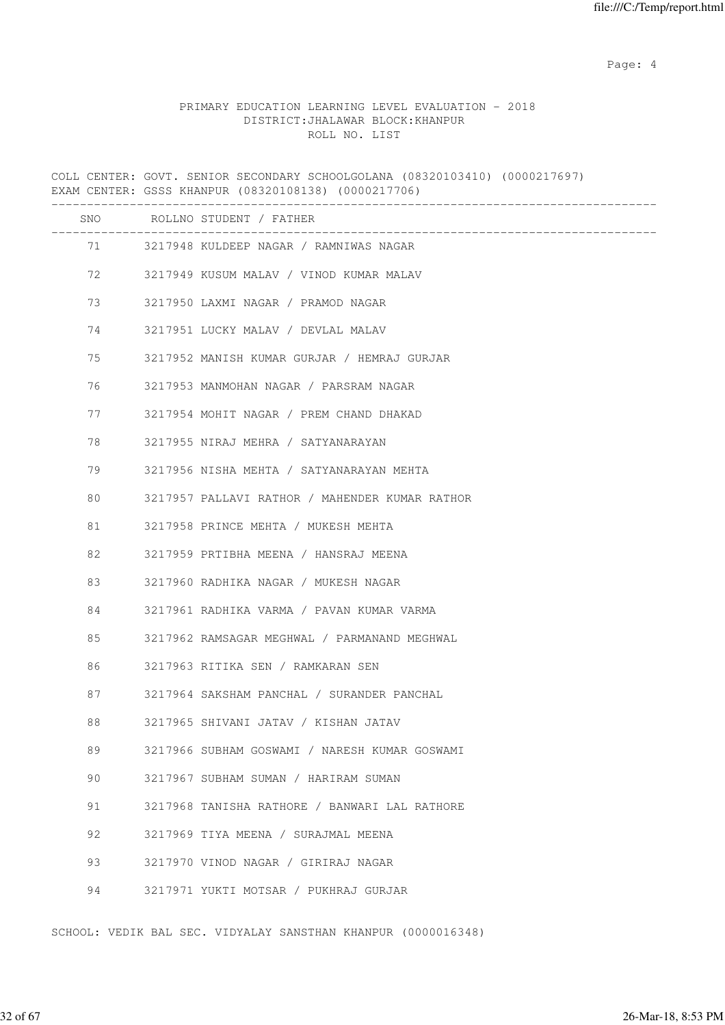Page: 4  $P$ 

#### PRIMARY EDUCATION LEARNING LEVEL EVALUATION - 2018 DISTRICT:JHALAWAR BLOCK:KHANPUR ROLL NO. LIST

COLL CENTER: GOVT. SENIOR SECONDARY SCHOOLGOLANA (08320103410) (0000217697) EXAM CENTER: GSSS KHANPUR (08320108138) (0000217706) ------------------------------------------------------------------------------------- SNO ROLLNO STUDENT / FATHER ------------------------------------------------------------------------------------- 71 3217948 KULDEEP NAGAR / RAMNIWAS NAGAR 72 3217949 KUSUM MALAV / VINOD KUMAR MALAV 73 3217950 LAXMI NAGAR / PRAMOD NAGAR 74 3217951 LUCKY MALAV / DEVLAL MALAV 75 3217952 MANISH KUMAR GURJAR / HEMRAJ GURJAR 76 3217953 MANMOHAN NAGAR / PARSRAM NAGAR 77 3217954 MOHIT NAGAR / PREM CHAND DHAKAD 78 3217955 NIRAJ MEHRA / SATYANARAYAN 79 3217956 NISHA MEHTA / SATYANARAYAN MEHTA 80 3217957 PALLAVI RATHOR / MAHENDER KUMAR RATHOR 81 3217958 PRINCE MEHTA / MUKESH MEHTA 82 3217959 PRTIBHA MEENA / HANSRAJ MEENA 83 3217960 RADHIKA NAGAR / MUKESH NAGAR 84 3217961 RADHIKA VARMA / PAVAN KUMAR VARMA 85 3217962 RAMSAGAR MEGHWAL / PARMANAND MEGHWAL 86 3217963 RITIKA SEN / RAMKARAN SEN 87 3217964 SAKSHAM PANCHAL / SURANDER PANCHAL 88 3217965 SHIVANI JATAV / KISHAN JATAV 89 3217966 SUBHAM GOSWAMI / NARESH KUMAR GOSWAMI 90 3217967 SUBHAM SUMAN / HARIRAM SUMAN

- 91 3217968 TANISHA RATHORE / BANWARI LAL RATHORE
- 92 3217969 TIYA MEENA / SURAJMAL MEENA
- 93 3217970 VINOD NAGAR / GIRIRAJ NAGAR
- 94 3217971 YUKTI MOTSAR / PUKHRAJ GURJAR

SCHOOL: VEDIK BAL SEC. VIDYALAY SANSTHAN KHANPUR (0000016348)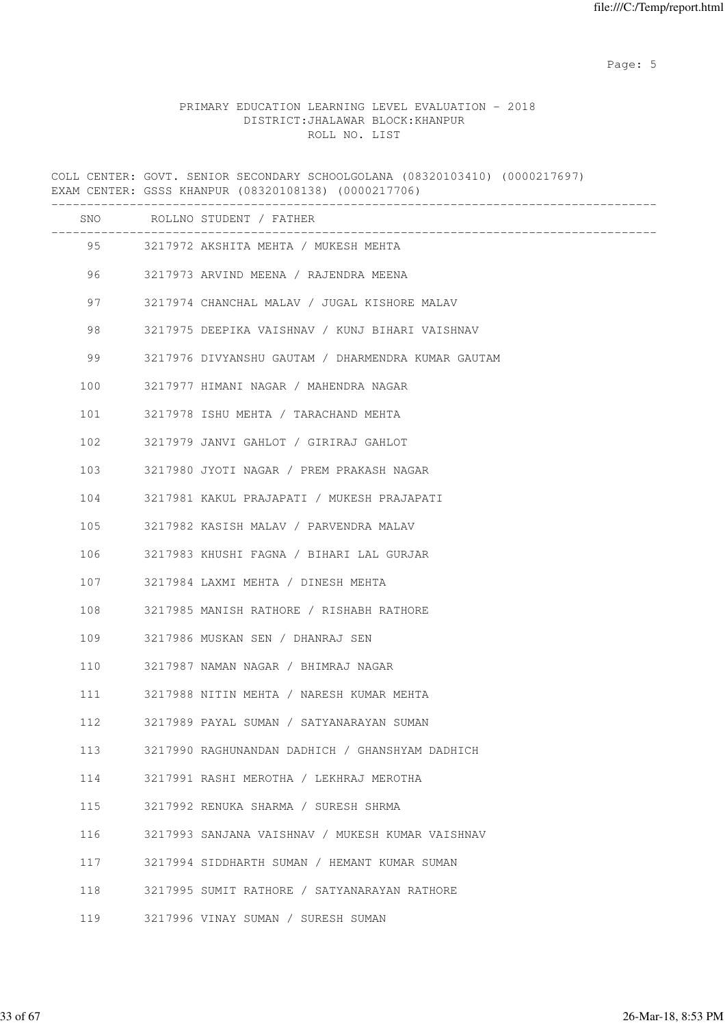Page: 5  $P$  and  $P$  and  $P$  and  $P$  and  $P$  and  $P$  and  $P$  and  $P$  and  $P$  and  $P$  and  $P$  and  $P$  and  $P$  and  $P$  and  $P$  and  $P$  and  $P$  and  $P$  and  $P$  and  $P$  and  $P$  and  $P$  and  $P$  and  $P$  and  $P$  and  $P$  and  $P$  an

#### PRIMARY EDUCATION LEARNING LEVEL EVALUATION - 2018 DISTRICT:JHALAWAR BLOCK:KHANPUR ROLL NO. LIST

COLL CENTER: GOVT. SENIOR SECONDARY SCHOOLGOLANA (08320103410) (0000217697) EXAM CENTER: GSSS KHANPUR (08320108138) (0000217706) ------------------------------------------------------------------------------------- SNO ROLLNO STUDENT / FATHER ------------------------------------------------------------------------------------- 95 3217972 AKSHITA MEHTA / MUKESH MEHTA 96 3217973 ARVIND MEENA / RAJENDRA MEENA 97 3217974 CHANCHAL MALAV / JUGAL KISHORE MALAV 98 3217975 DEEPIKA VAISHNAV / KUNJ BIHARI VAISHNAV 99 3217976 DIVYANSHU GAUTAM / DHARMENDRA KUMAR GAUTAM 100 3217977 HIMANI NAGAR / MAHENDRA NAGAR 101 3217978 ISHU MEHTA / TARACHAND MEHTA 102 3217979 JANVI GAHLOT / GIRIRAJ GAHLOT 103 3217980 JYOTI NAGAR / PREM PRAKASH NAGAR 104 3217981 KAKUL PRAJAPATI / MUKESH PRAJAPATI 105 3217982 KASISH MALAV / PARVENDRA MALAV 106 3217983 KHUSHI FAGNA / BIHARI LAL GURJAR 107 3217984 LAXMI MEHTA / DINESH MEHTA 108 3217985 MANISH RATHORE / RISHABH RATHORE 109 3217986 MUSKAN SEN / DHANRAJ SEN 110 3217987 NAMAN NAGAR / BHIMRAJ NAGAR 111 3217988 NITIN MEHTA / NARESH KUMAR MEHTA 112 3217989 PAYAL SUMAN / SATYANARAYAN SUMAN 113 3217990 RAGHUNANDAN DADHICH / GHANSHYAM DADHICH 114 3217991 RASHI MEROTHA / LEKHRAJ MEROTHA 115 3217992 RENUKA SHARMA / SURESH SHRMA 116 3217993 SANJANA VAISHNAV / MUKESH KUMAR VAISHNAV 117 3217994 SIDDHARTH SUMAN / HEMANT KUMAR SUMAN 118 3217995 SUMIT RATHORE / SATYANARAYAN RATHORE 119 3217996 VINAY SUMAN / SURESH SUMAN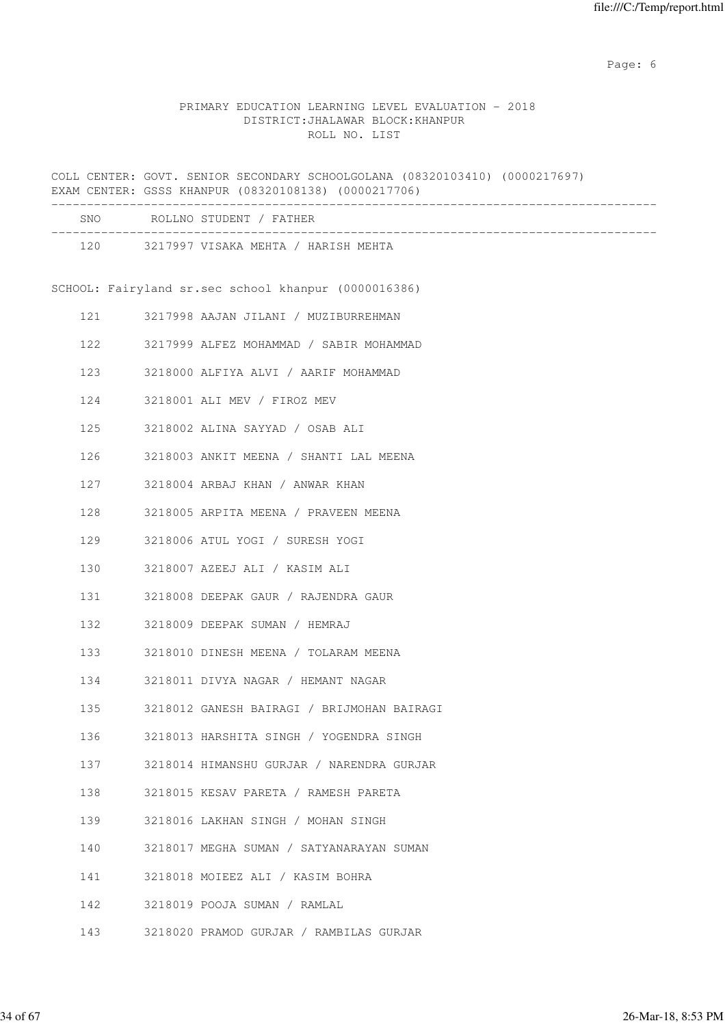Page: 6  $P$  and  $P$  and  $P$  and  $P$  and  $P$  and  $P$  and  $P$  and  $P$  and  $P$  and  $P$  and  $P$  and  $P$  and  $P$  and  $P$  and  $P$  and  $P$  and  $P$  and  $P$  and  $P$  and  $P$  and  $P$  and  $P$  and  $P$  and  $P$  and  $P$  and  $P$  and  $P$  an

### PRIMARY EDUCATION LEARNING LEVEL EVALUATION - 2018 DISTRICT:JHALAWAR BLOCK:KHANPUR ROLL NO. LIST

COLL CENTER: GOVT. SENIOR SECONDARY SCHOOLGOLANA (08320103410) (0000217697) EXAM CENTER: GSSS KHANPUR (08320108138) (0000217706)

|     |     | SNO ROLLNO STUDENT / FATHER                          |
|-----|-----|------------------------------------------------------|
|     |     | 120 3217997 VISAKA MEHTA / HARISH MEHTA              |
|     |     | SCHOOL: Fairyland sr.sec school khanpur (0000016386) |
| 121 |     | 3217998 AAJAN JILANI / MUZIBURREHMAN                 |
|     | 122 | 3217999 ALFEZ MOHAMMAD / SABIR MOHAMMAD              |
|     | 123 | 3218000 ALFIYA ALVI / AARIF MOHAMMAD                 |
|     | 124 | 3218001 ALI MEV / FIROZ MEV                          |
|     | 125 | 3218002 ALINA SAYYAD / OSAB ALI                      |
|     | 126 | 3218003 ANKIT MEENA / SHANTI LAL MEENA               |
|     | 127 | 3218004 ARBAJ KHAN / ANWAR KHAN                      |
| 128 |     | 3218005 ARPITA MEENA / PRAVEEN MEENA                 |
| 129 |     | 3218006 ATUL YOGI / SURESH YOGI                      |
|     | 130 | 3218007 AZEEJ ALI / KASIM ALI                        |
|     |     | 131 3218008 DEEPAK GAUR / RAJENDRA GAUR              |
|     | 132 | 3218009 DEEPAK SUMAN / HEMRAJ                        |
|     | 133 | 3218010 DINESH MEENA / TOLARAM MEENA                 |
|     | 134 | 3218011 DIVYA NAGAR / HEMANT NAGAR                   |
|     | 135 | 3218012 GANESH BAIRAGI / BRIJMOHAN BAIRAGI           |
| 136 |     | 3218013 HARSHITA SINGH / YOGENDRA SINGH              |
| 137 |     | 3218014 HIMANSHU GURJAR / NARENDRA GURJAR            |
| 138 |     | 3218015 KESAV PARETA / RAMESH PARETA                 |
| 139 |     | 3218016 LAKHAN SINGH / MOHAN SINGH                   |
| 140 |     | 3218017 MEGHA SUMAN / SATYANARAYAN SUMAN             |
| 141 |     | 3218018 MOIEEZ ALI / KASIM BOHRA                     |
| 142 |     | 3218019 POOJA SUMAN / RAMLAL                         |
| 143 |     | 3218020 PRAMOD GURJAR / RAMBILAS GURJAR              |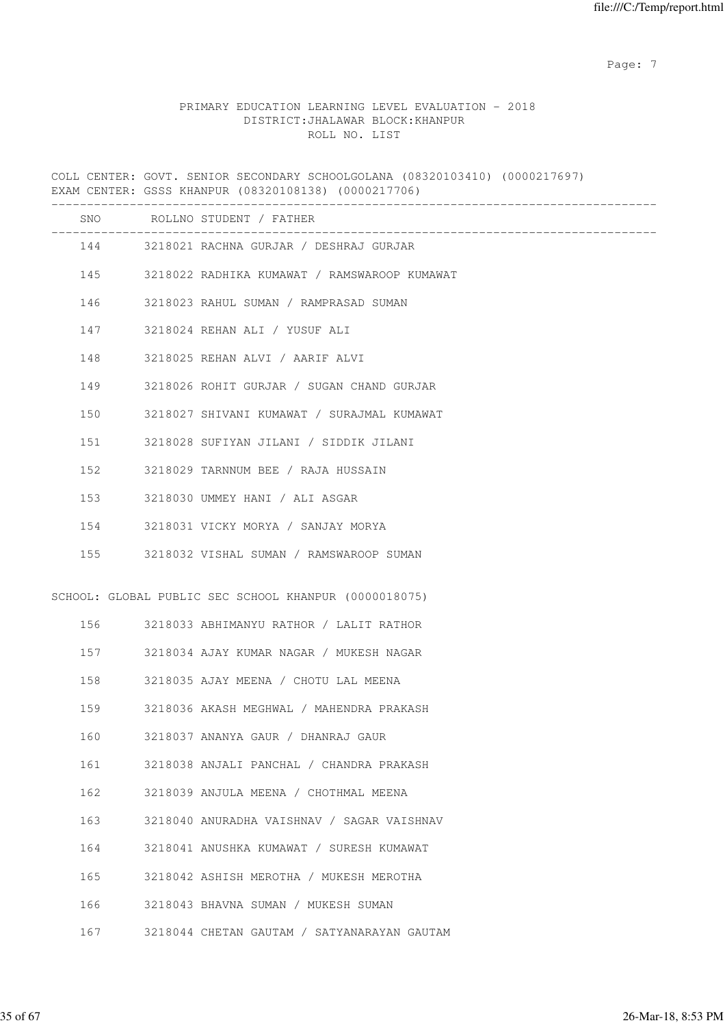Page: 7  $P$  and  $P$  and  $P$  and  $P$  and  $P$  and  $P$  and  $P$  and  $P$  and  $P$  and  $P$  and  $P$  and  $P$  and  $P$  and  $P$  and  $P$  and  $P$  and  $P$  and  $P$  and  $P$  and  $P$  and  $P$  and  $P$  and  $P$  and  $P$  and  $P$  and  $P$  and  $P$  an

### PRIMARY EDUCATION LEARNING LEVEL EVALUATION - 2018 DISTRICT:JHALAWAR BLOCK:KHANPUR ROLL NO. LIST

COLL CENTER: GOVT. SENIOR SECONDARY SCHOOLGOLANA (08320103410) (0000217697) EXAM CENTER: GSSS KHANPUR (08320108138) (0000217706) ------------------------------------------------------------------------------------- SNO ROLLNO STUDENT / FATHER

|     | 144 3218021 RACHNA GURJAR / DESHRAJ GURJAR            |  |
|-----|-------------------------------------------------------|--|
|     | 145 3218022 RADHIKA KUMAWAT / RAMSWAROOP KUMAWAT      |  |
|     | 146 3218023 RAHUL SUMAN / RAMPRASAD SUMAN             |  |
|     | 147 3218024 REHAN ALI / YUSUF ALI                     |  |
|     | 148 3218025 REHAN ALVI / AARIF ALVI                   |  |
|     | 149 3218026 ROHIT GURJAR / SUGAN CHAND GURJAR         |  |
|     | 150 3218027 SHIVANI KUMAWAT / SURAJMAL KUMAWAT        |  |
|     | 151 3218028 SUFIYAN JILANI / SIDDIK JILANI            |  |
|     | 152 3218029 TARNNUM BEE / RAJA HUSSAIN                |  |
|     | 153 3218030 UMMEY HANI / ALI ASGAR                    |  |
|     | 154 3218031 VICKY MORYA / SANJAY MORYA                |  |
|     | 155 3218032 VISHAL SUMAN / RAMSWAROOP SUMAN           |  |
|     | SCHOOL: GLOBAL PUBLIC SEC SCHOOL KHANPUR (0000018075) |  |
|     | 156 3218033 ABHIMANYU RATHOR / LALIT RATHOR           |  |
|     | 157 3218034 AJAY KUMAR NAGAR / MUKESH NAGAR           |  |
| 158 | 3218035 AJAY MEENA / CHOTU LAL MEENA                  |  |
| 159 | 3218036 AKASH MEGHWAL / MAHENDRA PRAKASH              |  |
| 160 | 3218037 ANANYA GAUR / DHANRAJ GAUR                    |  |

161 3218038 ANJALI PANCHAL / CHANDRA PRAKASH

162 3218039 ANJULA MEENA / CHOTHMAL MEENA

163 3218040 ANURADHA VAISHNAV / SAGAR VAISHNAV

164 3218041 ANUSHKA KUMAWAT / SURESH KUMAWAT

165 3218042 ASHISH MEROTHA / MUKESH MEROTHA

166 3218043 BHAVNA SUMAN / MUKESH SUMAN

167 3218044 CHETAN GAUTAM / SATYANARAYAN GAUTAM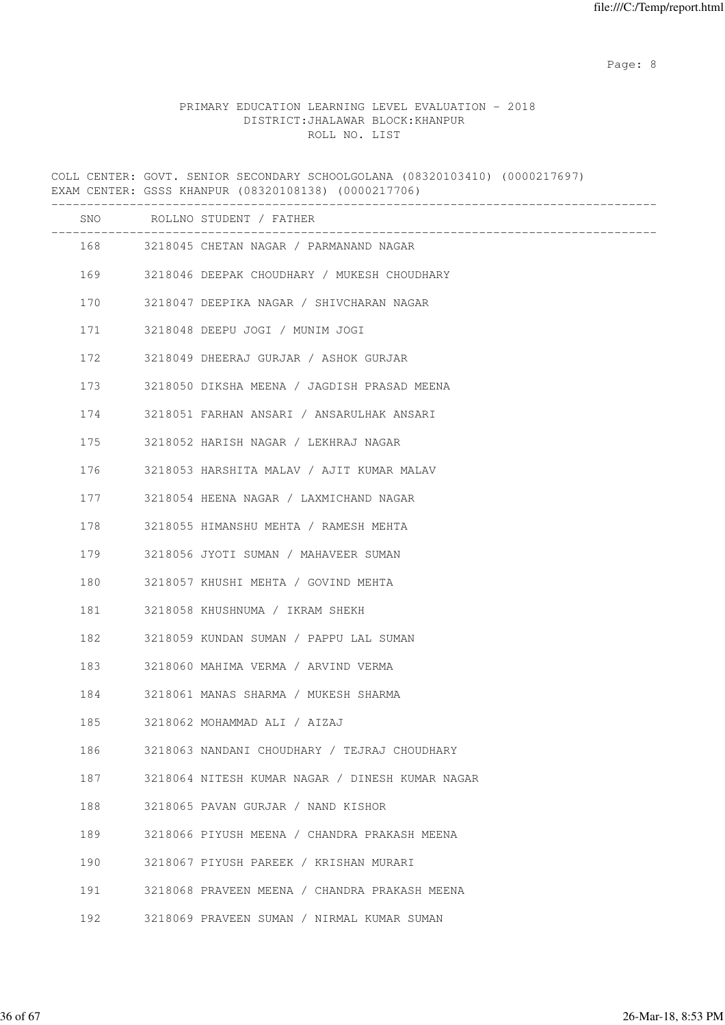en de la provincia de la provincia de la provincia de la provincia de la provincia de la provincia de la provi

#### PRIMARY EDUCATION LEARNING LEVEL EVALUATION - 2018 DISTRICT:JHALAWAR BLOCK:KHANPUR ROLL NO. LIST

COLL CENTER: GOVT. SENIOR SECONDARY SCHOOLGOLANA (08320103410) (0000217697) EXAM CENTER: GSSS KHANPUR (08320108138) (0000217706) ------------------------------------------------------------------------------------- SNO ROLLNO STUDENT / FATHER ------------------------------------------------------------------------------------- 168 3218045 CHETAN NAGAR / PARMANAND NAGAR 169 3218046 DEEPAK CHOUDHARY / MUKESH CHOUDHARY 170 3218047 DEEPIKA NAGAR / SHIVCHARAN NAGAR 171 3218048 DEEPU JOGI / MUNIM JOGI 172 3218049 DHEERAJ GURJAR / ASHOK GURJAR 173 3218050 DIKSHA MEENA / JAGDISH PRASAD MEENA 174 3218051 FARHAN ANSARI / ANSARULHAK ANSARI 175 3218052 HARISH NAGAR / LEKHRAJ NAGAR 176 3218053 HARSHITA MALAV / AJIT KUMAR MALAV 177 3218054 HEENA NAGAR / LAXMICHAND NAGAR 178 3218055 HIMANSHU MEHTA / RAMESH MEHTA 179 3218056 JYOTI SUMAN / MAHAVEER SUMAN 180 3218057 KHUSHI MEHTA / GOVIND MEHTA 181 3218058 KHUSHNUMA / IKRAM SHEKH 182 3218059 KUNDAN SUMAN / PAPPU LAL SUMAN 183 3218060 MAHIMA VERMA / ARVIND VERMA 184 3218061 MANAS SHARMA / MUKESH SHARMA 185 3218062 MOHAMMAD ALI / AIZAJ 186 3218063 NANDANI CHOUDHARY / TEJRAJ CHOUDHARY 187 3218064 NITESH KUMAR NAGAR / DINESH KUMAR NAGAR 188 3218065 PAVAN GURJAR / NAND KISHOR 189 3218066 PIYUSH MEENA / CHANDRA PRAKASH MEENA 190 3218067 PIYUSH PAREEK / KRISHAN MURARI 191 3218068 PRAVEEN MEENA / CHANDRA PRAKASH MEENA 192 3218069 PRAVEEN SUMAN / NIRMAL KUMAR SUMAN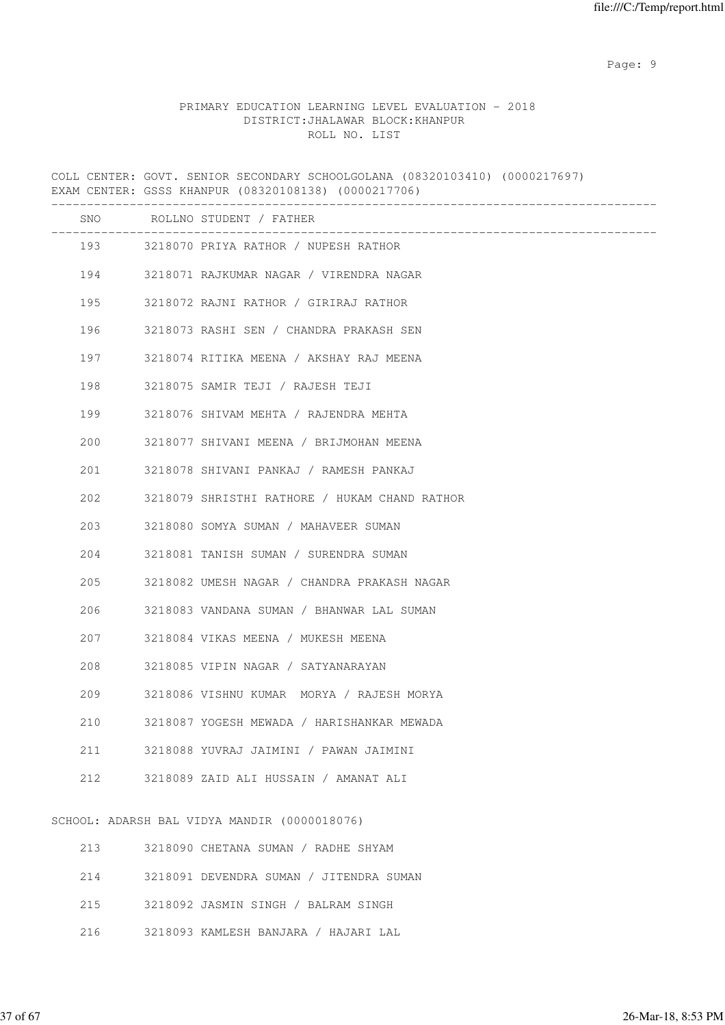en de la provincia de la provincia de la provincia de la provincia de la provincia de la provincia de la provi

#### PRIMARY EDUCATION LEARNING LEVEL EVALUATION - 2018 DISTRICT:JHALAWAR BLOCK:KHANPUR ROLL NO. LIST

COLL CENTER: GOVT. SENIOR SECONDARY SCHOOLGOLANA (08320103410) (0000217697) EXAM CENTER: GSSS KHANPUR (08320108138) (0000217706) ------------------------------------------------------------------------------------- SNO ROLLNO STUDENT / FATHER ------------------------------------------------------------------------------------- 193 3218070 PRIYA RATHOR / NUPESH RATHOR 194 3218071 RAJKUMAR NAGAR / VIRENDRA NAGAR 195 3218072 RAJNI RATHOR / GIRIRAJ RATHOR 196 3218073 RASHI SEN / CHANDRA PRAKASH SEN 197 3218074 RITIKA MEENA / AKSHAY RAJ MEENA 198 3218075 SAMIR TEJI / RAJESH TEJI 199 3218076 SHIVAM MEHTA / RAJENDRA MEHTA 200 3218077 SHIVANI MEENA / BRIJMOHAN MEENA 201 3218078 SHIVANI PANKAJ / RAMESH PANKAJ 202 3218079 SHRISTHI RATHORE / HUKAM CHAND RATHOR 203 3218080 SOMYA SUMAN / MAHAVEER SUMAN 204 3218081 TANISH SUMAN / SURENDRA SUMAN 205 3218082 UMESH NAGAR / CHANDRA PRAKASH NAGAR 206 3218083 VANDANA SUMAN / BHANWAR LAL SUMAN 207 3218084 VIKAS MEENA / MUKESH MEENA 208 3218085 VIPIN NAGAR / SATYANARAYAN 209 3218086 VISHNU KUMAR MORYA / RAJESH MORYA 210 3218087 YOGESH MEWADA / HARISHANKAR MEWADA 211 3218088 YUVRAJ JAIMINI / PAWAN JAIMINI 212 3218089 ZAID ALI HUSSAIN / AMANAT ALI SCHOOL: ADARSH BAL VIDYA MANDIR (0000018076)

| 213 | 3218090 CHETANA SUMAN / RADHE SHYAM     |
|-----|-----------------------------------------|
| 214 | 3218091 DEVENDRA SUMAN / JITENDRA SUMAN |
| 215 | 3218092 JASMIN SINGH / BALRAM SINGH     |
| 216 | 3218093 KAMLESH BANJARA / HAJARI LAL    |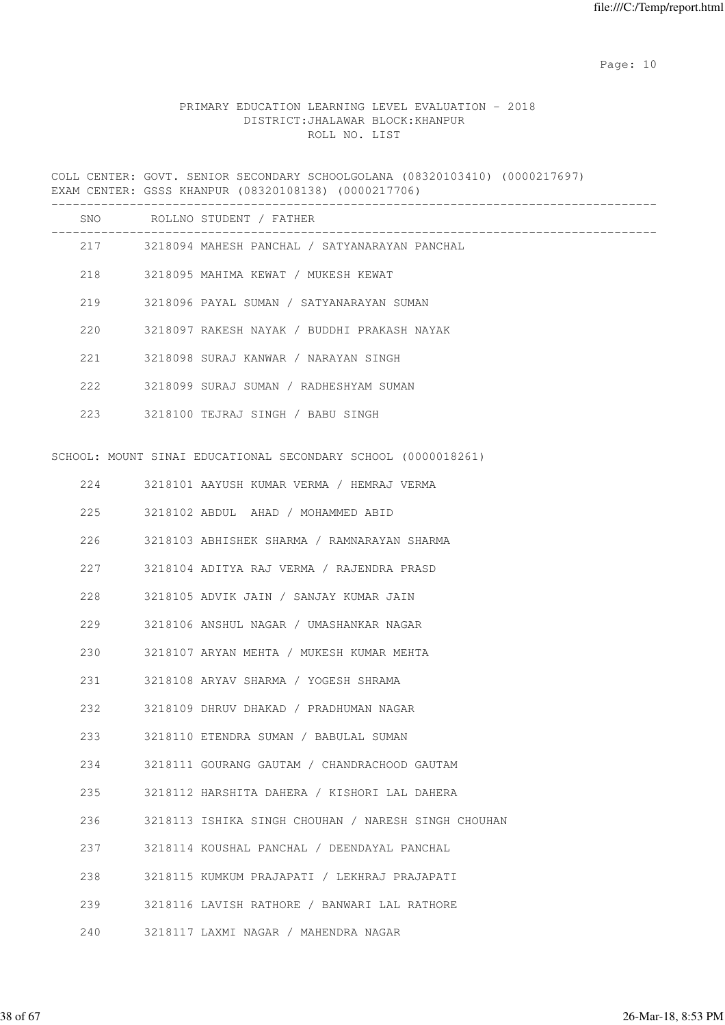### PRIMARY EDUCATION LEARNING LEVEL EVALUATION - 2018 DISTRICT:JHALAWAR BLOCK:KHANPUR ROLL NO. LIST

COLL CENTER: GOVT. SENIOR SECONDARY SCHOOLGOLANA (08320103410) (0000217697) EXAM CENTER: GSSS KHANPUR (08320108138) (0000217706)

|     |     | SNO ROLLNO STUDENT / FATHER                                   |
|-----|-----|---------------------------------------------------------------|
|     |     | 217 3218094 MAHESH PANCHAL / SATYANARAYAN PANCHAL             |
|     |     | 218 3218095 MAHIMA KEWAT / MUKESH KEWAT                       |
|     | 219 | 3218096 PAYAL SUMAN / SATYANARAYAN SUMAN                      |
|     | 220 | 3218097 RAKESH NAYAK / BUDDHI PRAKASH NAYAK                   |
|     | 221 | 3218098 SURAJ KANWAR / NARAYAN SINGH                          |
|     | 222 | 3218099 SURAJ SUMAN / RADHESHYAM SUMAN                        |
|     |     | 223 3218100 TEJRAJ SINGH / BABU SINGH                         |
|     |     | SCHOOL: MOUNT SINAI EDUCATIONAL SECONDARY SCHOOL (0000018261) |
|     | 224 | 3218101 AAYUSH KUMAR VERMA / HEMRAJ VERMA                     |
| 225 |     | 3218102 ABDUL AHAD / MOHAMMED ABID                            |
| 226 |     | 3218103 ABHISHEK SHARMA / RAMNARAYAN SHARMA                   |
|     | 227 | 3218104 ADITYA RAJ VERMA / RAJENDRA PRASD                     |
| 228 |     | 3218105 ADVIK JAIN / SANJAY KUMAR JAIN                        |
|     | 229 | 3218106 ANSHUL NAGAR / UMASHANKAR NAGAR                       |
|     | 230 | 3218107 ARYAN MEHTA / MUKESH KUMAR MEHTA                      |
|     | 231 | 3218108 ARYAV SHARMA / YOGESH SHRAMA                          |
|     | 232 | 3218109 DHRUV DHAKAD / PRADHUMAN NAGAR                        |
|     | 233 | 3218110 ETENDRA SUMAN / BABULAL SUMAN                         |
| 234 |     | 3218111 GOURANG GAUTAM / CHANDRACHOOD GAUTAM                  |
| 235 |     | 3218112 HARSHITA DAHERA / KISHORI LAL DAHERA                  |
| 236 |     | 3218113 ISHIKA SINGH CHOUHAN / NARESH SINGH CHOUHAN           |
| 237 |     | 3218114 KOUSHAL PANCHAL / DEENDAYAL PANCHAL                   |
| 238 |     | 3218115 KUMKUM PRAJAPATI / LEKHRAJ PRAJAPATI                  |
| 239 |     | 3218116 LAVISH RATHORE / BANWARI LAL RATHORE                  |
| 240 |     | 3218117 LAXMI NAGAR / MAHENDRA NAGAR                          |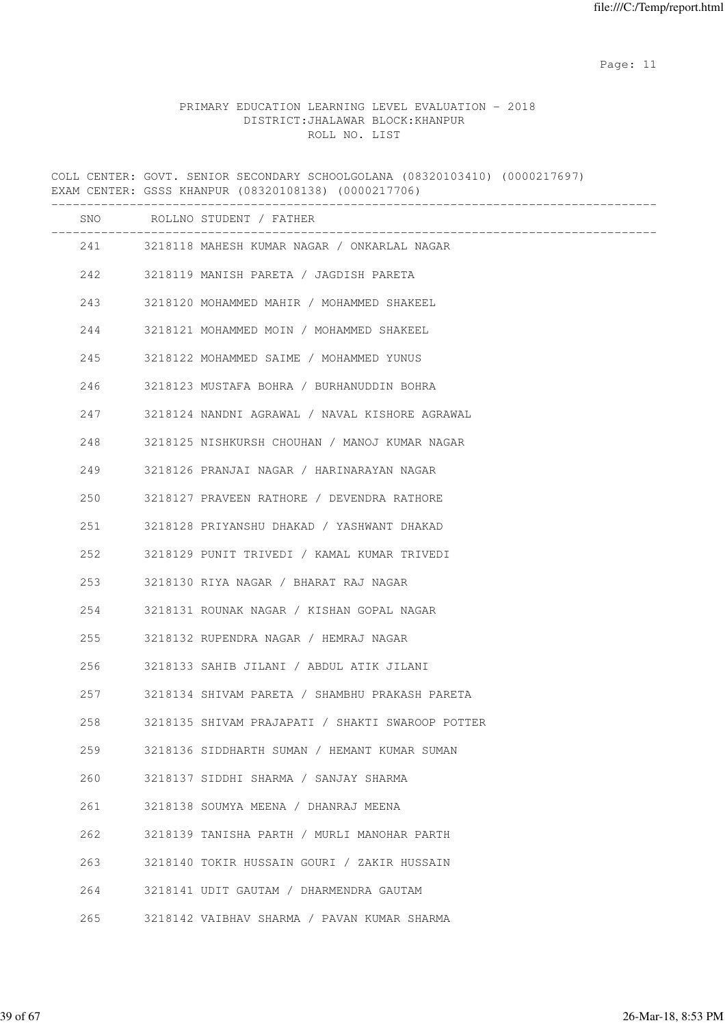#### PRIMARY EDUCATION LEARNING LEVEL EVALUATION - 2018 DISTRICT:JHALAWAR BLOCK:KHANPUR ROLL NO. LIST

COLL CENTER: GOVT. SENIOR SECONDARY SCHOOLGOLANA (08320103410) (0000217697) EXAM CENTER: GSSS KHANPUR (08320108138) (0000217706) ------------------------------------------------------------------------------------- SNO ROLLNO STUDENT / FATHER ------------------------------------------------------------------------------------- 241 3218118 MAHESH KUMAR NAGAR / ONKARLAL NAGAR 242 3218119 MANISH PARETA / JAGDISH PARETA 243 3218120 MOHAMMED MAHIR / MOHAMMED SHAKEEL 244 3218121 MOHAMMED MOIN / MOHAMMED SHAKEEL 245 3218122 MOHAMMED SAIME / MOHAMMED YUNUS 246 3218123 MUSTAFA BOHRA / BURHANUDDIN BOHRA 247 3218124 NANDNI AGRAWAL / NAVAL KISHORE AGRAWAL 248 3218125 NISHKURSH CHOUHAN / MANOJ KUMAR NAGAR 249 3218126 PRANJAI NAGAR / HARINARAYAN NAGAR 250 3218127 PRAVEEN RATHORE / DEVENDRA RATHORE 251 3218128 PRIYANSHU DHAKAD / YASHWANT DHAKAD 252 3218129 PUNIT TRIVEDI / KAMAL KUMAR TRIVEDI 253 3218130 RIYA NAGAR / BHARAT RAJ NAGAR 254 3218131 ROUNAK NAGAR / KISHAN GOPAL NAGAR 255 3218132 RUPENDRA NAGAR / HEMRAJ NAGAR 256 3218133 SAHIB JILANI / ABDUL ATIK JILANI 257 3218134 SHIVAM PARETA / SHAMBHU PRAKASH PARETA 258 3218135 SHIVAM PRAJAPATI / SHAKTI SWAROOP POTTER 259 3218136 SIDDHARTH SUMAN / HEMANT KUMAR SUMAN 260 3218137 SIDDHI SHARMA / SANJAY SHARMA 261 3218138 SOUMYA MEENA / DHANRAJ MEENA 262 3218139 TANISHA PARTH / MURLI MANOHAR PARTH 263 3218140 TOKIR HUSSAIN GOURI / ZAKIR HUSSAIN 264 3218141 UDIT GAUTAM / DHARMENDRA GAUTAM 265 3218142 VAIBHAV SHARMA / PAVAN KUMAR SHARMA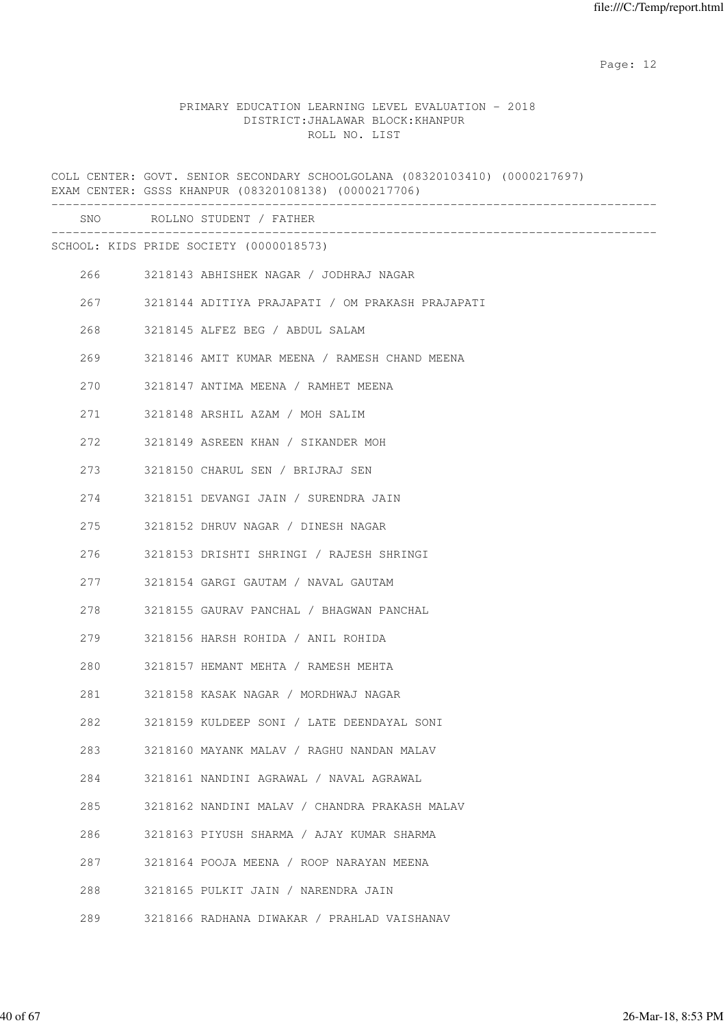#### PRIMARY EDUCATION LEARNING LEVEL EVALUATION - 2018 DISTRICT:JHALAWAR BLOCK:KHANPUR ROLL NO. LIST

COLL CENTER: GOVT. SENIOR SECONDARY SCHOOLGOLANA (08320103410) (0000217697) EXAM CENTER: GSSS KHANPUR (08320108138) (0000217706) ------------------------------------------------------------------------------------- SNO ROLLNO STUDENT / FATHER ------------------------------------------------------------------------------------- SCHOOL: KIDS PRIDE SOCIETY (0000018573) 266 3218143 ABHISHEK NAGAR / JODHRAJ NAGAR 267 3218144 ADITIYA PRAJAPATI / OM PRAKASH PRAJAPATI 268 3218145 ALFEZ BEG / ABDUL SALAM 269 3218146 AMIT KUMAR MEENA / RAMESH CHAND MEENA 270 3218147 ANTIMA MEENA / RAMHET MEENA 271 3218148 ARSHIL AZAM / MOH SALIM 272 3218149 ASREEN KHAN / SIKANDER MOH 273 3218150 CHARUL SEN / BRIJRAJ SEN 274 3218151 DEVANGI JAIN / SURENDRA JAIN 275 3218152 DHRUV NAGAR / DINESH NAGAR 276 3218153 DRISHTI SHRINGI / RAJESH SHRINGI 277 3218154 GARGI GAUTAM / NAVAL GAUTAM 278 3218155 GAURAV PANCHAL / BHAGWAN PANCHAL 279 3218156 HARSH ROHIDA / ANIL ROHIDA 280 3218157 HEMANT MEHTA / RAMESH MEHTA 281 3218158 KASAK NAGAR / MORDHWAJ NAGAR 282 3218159 KULDEEP SONI / LATE DEENDAYAL SONI 283 3218160 MAYANK MALAV / RAGHU NANDAN MALAV 284 3218161 NANDINI AGRAWAL / NAVAL AGRAWAL 285 3218162 NANDINI MALAV / CHANDRA PRAKASH MALAV 286 3218163 PIYUSH SHARMA / AJAY KUMAR SHARMA 287 3218164 POOJA MEENA / ROOP NARAYAN MEENA 288 3218165 PULKIT JAIN / NARENDRA JAIN 289 3218166 RADHANA DIWAKAR / PRAHLAD VAISHANAV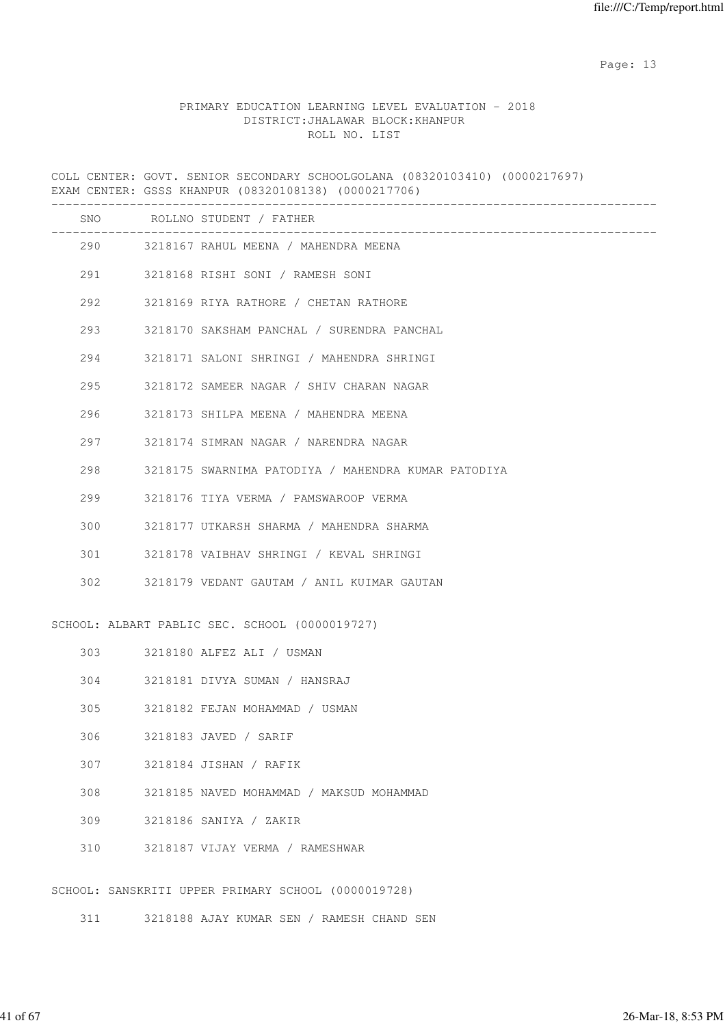### PRIMARY EDUCATION LEARNING LEVEL EVALUATION - 2018 DISTRICT:JHALAWAR BLOCK:KHANPUR ROLL NO. LIST

COLL CENTER: GOVT. SENIOR SECONDARY SCHOOLGOLANA (08320103410) (0000217697) EXAM CENTER: GSSS KHANPUR (08320108138) (0000217706)

|     |        | SNO ROLLNO STUDENT / FATHER                                                   |
|-----|--------|-------------------------------------------------------------------------------|
|     |        | _________________________________<br>290 3218167 RAHUL MEENA / MAHENDRA MEENA |
|     |        | 291 3218168 RISHI SONI / RAMESH SONI                                          |
|     |        | 292 3218169 RIYA RATHORE / CHETAN RATHORE                                     |
|     | 293    | 3218170 SAKSHAM PANCHAL / SURENDRA PANCHAL                                    |
|     | 294    | 3218171 SALONI SHRINGI / MAHENDRA SHRINGI                                     |
| 295 |        | 3218172 SAMEER NAGAR / SHIV CHARAN NAGAR                                      |
|     | 296 7  | 3218173 SHILPA MEENA / MAHENDRA MEENA                                         |
|     | 297    | 3218174 SIMRAN NAGAR / NARENDRA NAGAR                                         |
| 298 |        | 3218175 SWARNIMA PATODIYA / MAHENDRA KUMAR PATODIYA                           |
| 299 |        | 3218176 TIYA VERMA / PAMSWAROOP VERMA                                         |
| 300 |        | 3218177 UTKARSH SHARMA / MAHENDRA SHARMA                                      |
| 301 |        | 3218178 VAIBHAV SHRINGI / KEVAL SHRINGI                                       |
|     |        | 302 3218179 VEDANT GAUTAM / ANIL KUIMAR GAUTAN                                |
|     |        | SCHOOL: ALBART PABLIC SEC. SCHOOL (0000019727)                                |
|     |        | 303 3218180 ALFEZ ALI / USMAN                                                 |
|     |        | 304 3218181 DIVYA SUMAN / HANSRAJ                                             |
| 305 |        | 3218182 FEJAN MOHAMMAD / USMAN                                                |
|     | 306 30 | 3218183 JAVED / SARIF                                                         |
| 307 |        | 3218184 JISHAN / RAFIK                                                        |
| 308 |        | 3218185 NAVED MOHAMMAD / MAKSUD MOHAMMAD                                      |
| 309 |        | 3218186 SANIYA / ZAKIR                                                        |
| 310 |        | 3218187 VIJAY VERMA / RAMESHWAR                                               |
|     |        | SCHOOL: SANSKRITI UPPER PRIMARY SCHOOL (0000019728)                           |

311 3218188 AJAY KUMAR SEN / RAMESH CHAND SEN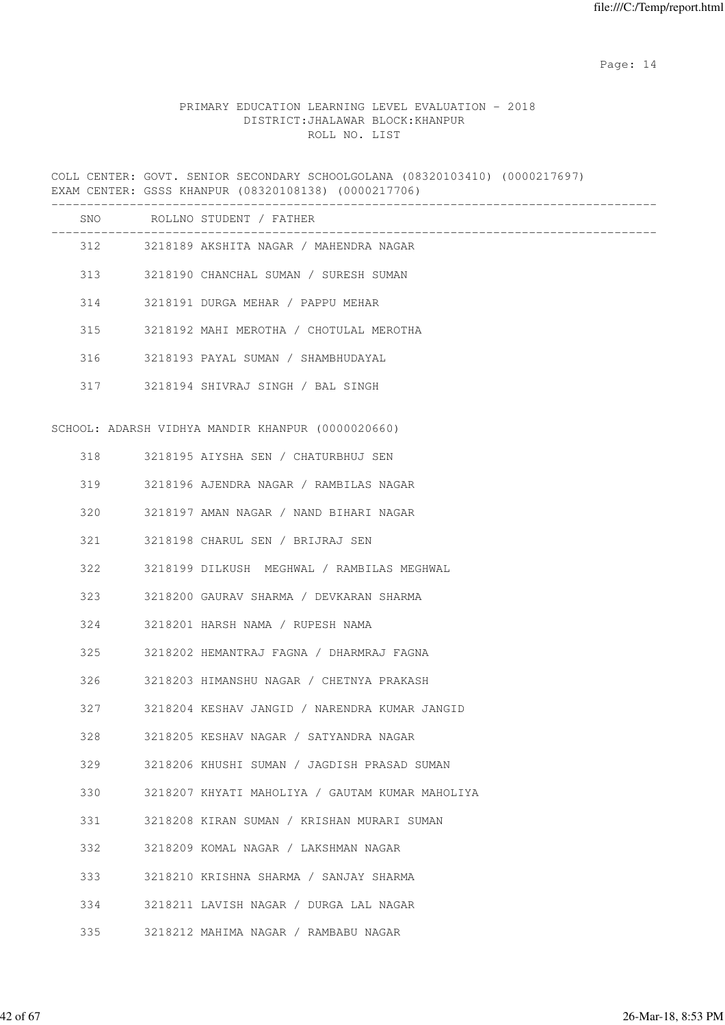### PRIMARY EDUCATION LEARNING LEVEL EVALUATION - 2018 DISTRICT:JHALAWAR BLOCK:KHANPUR ROLL NO. LIST

COLL CENTER: GOVT. SENIOR SECONDARY SCHOOLGOLANA (08320103410) (0000217697) EXAM CENTER: GSSS KHANPUR (08320108138) (0000217706)

|     |     | SNO ROLLNO STUDENT / FATHER<br>. _ _ _ _ _ _ _ _ _ _ _ _ _ _ _ _ _ |
|-----|-----|--------------------------------------------------------------------|
|     |     | 312 3218189 AKSHITA NAGAR / MAHENDRA NAGAR                         |
|     |     | 313 3218190 CHANCHAL SUMAN / SURESH SUMAN                          |
|     |     | 314 3218191 DURGA MEHAR / PAPPU MEHAR                              |
| 315 |     | 3218192 MAHI MEROTHA / CHOTULAL MEROTHA                            |
|     | 316 | 3218193 PAYAL SUMAN / SHAMBHUDAYAL                                 |
|     |     | 317 3218194 SHIVRAJ SINGH / BAL SINGH                              |
|     |     |                                                                    |
|     |     | SCHOOL: ADARSH VIDHYA MANDIR KHANPUR (0000020660)                  |
|     | 318 | 3218195 AIYSHA SEN / CHATURBHUJ SEN                                |
| 319 |     | 3218196 AJENDRA NAGAR / RAMBILAS NAGAR                             |
| 320 |     | 3218197 AMAN NAGAR / NAND BIHARI NAGAR                             |
| 321 |     | 3218198 CHARUL SEN / BRIJRAJ SEN                                   |
| 322 |     | 3218199 DILKUSH MEGHWAL / RAMBILAS MEGHWAL                         |
| 323 |     | 3218200 GAURAV SHARMA / DEVKARAN SHARMA                            |
| 324 |     | 3218201 HARSH NAMA / RUPESH NAMA                                   |
| 325 |     | 3218202 HEMANTRAJ FAGNA / DHARMRAJ FAGNA                           |
| 326 |     | 3218203 HIMANSHU NAGAR / CHETNYA PRAKASH                           |
| 327 |     | 3218204 KESHAV JANGID / NARENDRA KUMAR JANGID                      |
| 328 |     | 3218205 KESHAV NAGAR / SATYANDRA NAGAR                             |
| 329 |     | 3218206 KHUSHI SUMAN / JAGDISH PRASAD SUMAN                        |
| 330 |     | 3218207 KHYATI MAHOLIYA / GAUTAM KUMAR MAHOLIYA                    |
| 331 |     | 3218208 KIRAN SUMAN / KRISHAN MURARI SUMAN                         |
| 332 |     | 3218209 KOMAL NAGAR / LAKSHMAN NAGAR                               |
| 333 |     | 3218210 KRISHNA SHARMA / SANJAY SHARMA                             |
| 334 |     | 3218211 LAVISH NAGAR / DURGA LAL NAGAR                             |
| 335 |     | 3218212 MAHIMA NAGAR / RAMBABU NAGAR                               |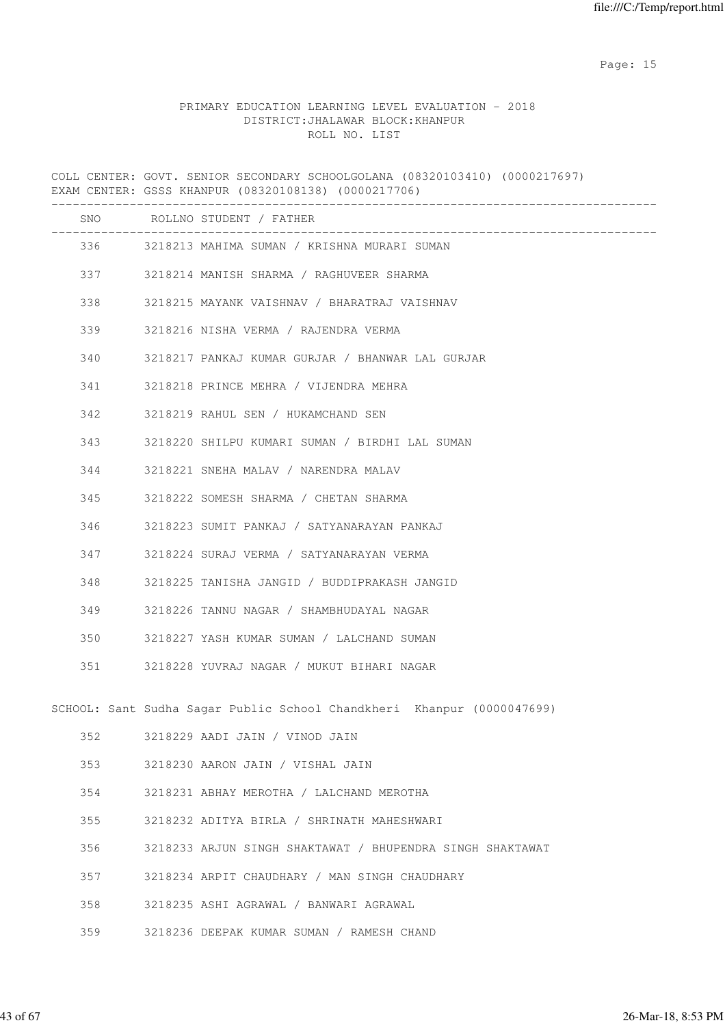### PRIMARY EDUCATION LEARNING LEVEL EVALUATION - 2018 DISTRICT:JHALAWAR BLOCK:KHANPUR ROLL NO. LIST

COLL CENTER: GOVT. SENIOR SECONDARY SCHOOLGOLANA (08320103410) (0000217697) EXAM CENTER: GSSS KHANPUR (08320108138) (0000217706)

|     | SNO ROLLNO STUDENT / FATHER                                            |
|-----|------------------------------------------------------------------------|
|     | 336 3218213 MAHIMA SUMAN / KRISHNA MURARI SUMAN                        |
|     | 337 3218214 MANISH SHARMA / RAGHUVEER SHARMA                           |
| 338 | 3218215 MAYANK VAISHNAV / BHARATRAJ VAISHNAV                           |
| 339 | 3218216 NISHA VERMA / RAJENDRA VERMA                                   |
| 340 | 3218217 PANKAJ KUMAR GURJAR / BHANWAR LAL GURJAR                       |
| 341 | 3218218 PRINCE MEHRA / VIJENDRA MEHRA                                  |
| 342 | 3218219 RAHUL SEN / HUKAMCHAND SEN                                     |
| 343 | 3218220 SHILPU KUMARI SUMAN / BIRDHI LAL SUMAN                         |
| 344 | 3218221 SNEHA MALAV / NARENDRA MALAV                                   |
| 345 | 3218222 SOMESH SHARMA / CHETAN SHARMA                                  |
| 346 | 3218223 SUMIT PANKAJ / SATYANARAYAN PANKAJ                             |
| 347 | 3218224 SURAJ VERMA / SATYANARAYAN VERMA                               |
| 348 | 3218225 TANISHA JANGID / BUDDIPRAKASH JANGID                           |
| 349 | 3218226 TANNU NAGAR / SHAMBHUDAYAL NAGAR                               |
| 350 | 3218227 YASH KUMAR SUMAN / LALCHAND SUMAN                              |
| 351 | 3218228 YUVRAJ NAGAR / MUKUT BIHARI NAGAR                              |
|     | SCHOOL: Sant Sudha Sagar Public School Chandkheri Khanpur (0000047699) |
| 352 | 3218229 AADI JAIN / VINOD JAIN                                         |
| 353 | 3218230 AARON JAIN / VISHAL JAIN                                       |
| 354 | 3218231 ABHAY MEROTHA / LALCHAND MEROTHA                               |
| 355 | 3218232 ADITYA BIRLA / SHRINATH MAHESHWARI                             |
| 356 | 3218233 ARJUN SINGH SHAKTAWAT / BHUPENDRA SINGH SHAKTAWAT              |
| 357 | 3218234 ARPIT CHAUDHARY / MAN SINGH CHAUDHARY                          |
| 358 | 3218235 ASHI AGRAWAL / BANWARI AGRAWAL                                 |

359 3218236 DEEPAK KUMAR SUMAN / RAMESH CHAND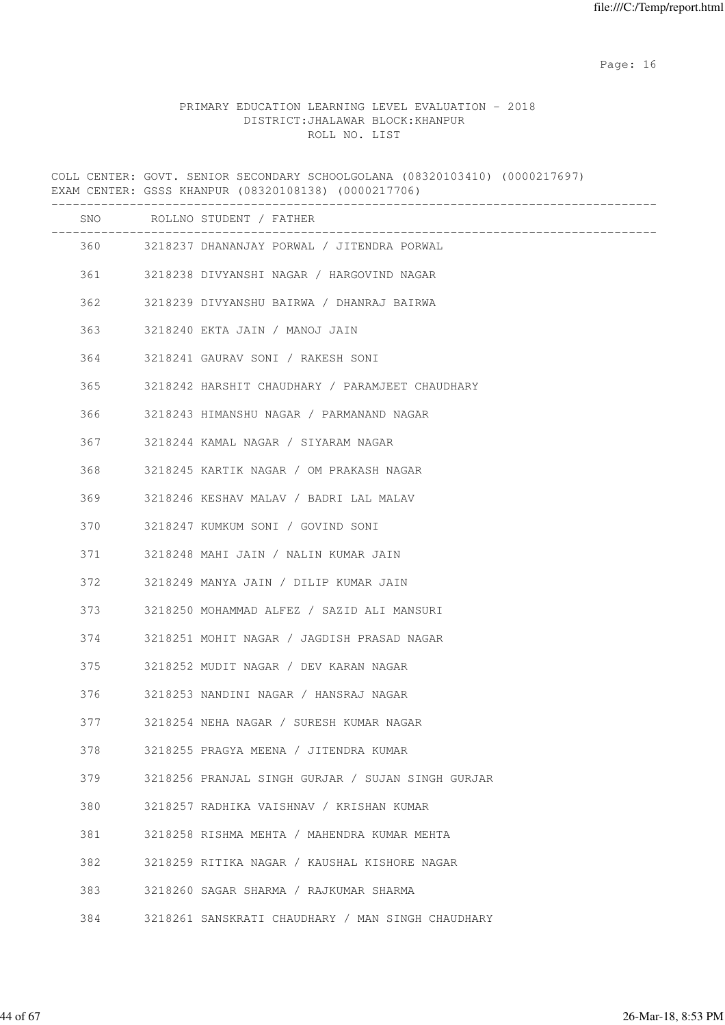#### PRIMARY EDUCATION LEARNING LEVEL EVALUATION - 2018 DISTRICT:JHALAWAR BLOCK:KHANPUR ROLL NO. LIST

COLL CENTER: GOVT. SENIOR SECONDARY SCHOOLGOLANA (08320103410) (0000217697) EXAM CENTER: GSSS KHANPUR (08320108138) (0000217706) ------------------------------------------------------------------------------------- SNO ROLLNO STUDENT / FATHER ------------------------------------------------------------------------------------- 360 3218237 DHANANJAY PORWAL / JITENDRA PORWAL 361 3218238 DIVYANSHI NAGAR / HARGOVIND NAGAR 362 3218239 DIVYANSHU BAIRWA / DHANRAJ BAIRWA 363 3218240 EKTA JAIN / MANOJ JAIN 364 3218241 GAURAV SONI / RAKESH SONI 365 3218242 HARSHIT CHAUDHARY / PARAMJEET CHAUDHARY 366 3218243 HIMANSHU NAGAR / PARMANAND NAGAR 367 3218244 KAMAL NAGAR / SIYARAM NAGAR 368 3218245 KARTIK NAGAR / OM PRAKASH NAGAR 369 3218246 KESHAV MALAV / BADRI LAL MALAV 370 3218247 KUMKUM SONI / GOVIND SONI 371 3218248 MAHI JAIN / NALIN KUMAR JAIN 372 3218249 MANYA JAIN / DILIP KUMAR JAIN 373 3218250 MOHAMMAD ALFEZ / SAZID ALI MANSURI 374 3218251 MOHIT NAGAR / JAGDISH PRASAD NAGAR 375 3218252 MUDIT NAGAR / DEV KARAN NAGAR 376 3218253 NANDINI NAGAR / HANSRAJ NAGAR 377 3218254 NEHA NAGAR / SURESH KUMAR NAGAR 378 3218255 PRAGYA MEENA / JITENDRA KUMAR 379 3218256 PRANJAL SINGH GURJAR / SUJAN SINGH GURJAR 380 3218257 RADHIKA VAISHNAV / KRISHAN KUMAR 381 3218258 RISHMA MEHTA / MAHENDRA KUMAR MEHTA 382 3218259 RITIKA NAGAR / KAUSHAL KISHORE NAGAR 383 3218260 SAGAR SHARMA / RAJKUMAR SHARMA 384 3218261 SANSKRATI CHAUDHARY / MAN SINGH CHAUDHARY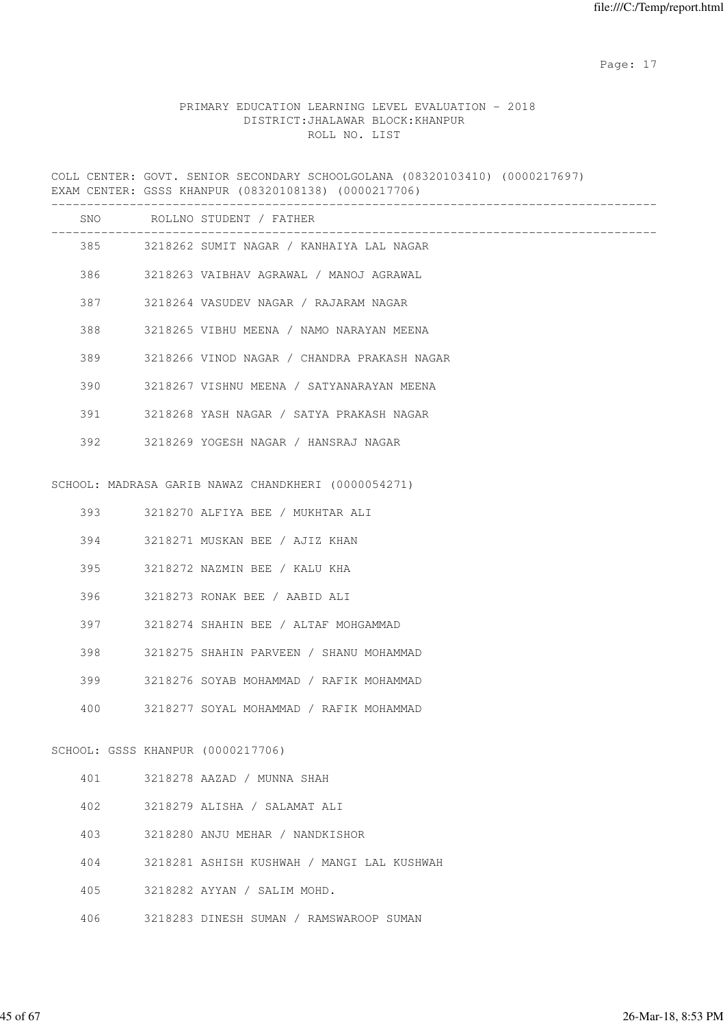### PRIMARY EDUCATION LEARNING LEVEL EVALUATION - 2018 DISTRICT:JHALAWAR BLOCK:KHANPUR ROLL NO. LIST

COLL CENTER: GOVT. SENIOR SECONDARY SCHOOLGOLANA (08320103410) (0000217697) EXAM CENTER: GSSS KHANPUR (08320108138) (0000217706)

|     |                                   | SNO ROLLNO STUDENT / FATHER<br>_____________________________ |
|-----|-----------------------------------|--------------------------------------------------------------|
|     |                                   | 385 3218262 SUMIT NAGAR / KANHAIYA LAL NAGAR                 |
|     |                                   | 386 3218263 VAIBHAV AGRAWAL / MANOJ AGRAWAL                  |
|     | 387 — 10                          | 3218264 VASUDEV NAGAR / RAJARAM NAGAR                        |
| 388 |                                   | 3218265 VIBHU MEENA / NAMO NARAYAN MEENA                     |
| 389 |                                   | 3218266 VINOD NAGAR / CHANDRA PRAKASH NAGAR                  |
| 390 |                                   | 3218267 VISHNU MEENA / SATYANARAYAN MEENA                    |
|     | 391 391                           | 3218268 YASH NAGAR / SATYA PRAKASH NAGAR                     |
|     |                                   | 392 3218269 YOGESH NAGAR / HANSRAJ NAGAR                     |
|     |                                   |                                                              |
|     |                                   | SCHOOL: MADRASA GARIB NAWAZ CHANDKHERI (0000054271)          |
|     |                                   | 393 3218270 ALFIYA BEE / MUKHTAR ALI                         |
| 394 |                                   | 3218271 MUSKAN BEE / AJIZ KHAN                               |
| 395 |                                   | 3218272 NAZMIN BEE / KALU KHA                                |
| 396 |                                   | 3218273 RONAK BEE / AABID ALI                                |
|     | 397 — 10                          | 3218274 SHAHIN BEE / ALTAF MOHGAMMAD                         |
| 398 |                                   | 3218275 SHAHIN PARVEEN / SHANU MOHAMMAD                      |
|     | 399                               | 3218276 SOYAB MOHAMMAD / RAFIK MOHAMMAD                      |
| 400 |                                   | 3218277 SOYAL MOHAMMAD / RAFIK MOHAMMAD                      |
|     |                                   |                                                              |
|     | SCHOOL: GSSS KHANPUR (0000217706) |                                                              |
| 401 |                                   | 3218278 AAZAD / MUNNA SHAH                                   |
| 402 |                                   | 3218279 ALISHA / SALAMAT ALI                                 |
| 403 |                                   | 3218280 ANJU MEHAR / NANDKISHOR                              |
| 404 |                                   | 3218281 ASHISH KUSHWAH / MANGI LAL KUSHWAH                   |
| 405 |                                   | 3218282 AYYAN / SALIM MOHD.                                  |
| 406 |                                   | 3218283 DINESH SUMAN / RAMSWAROOP SUMAN                      |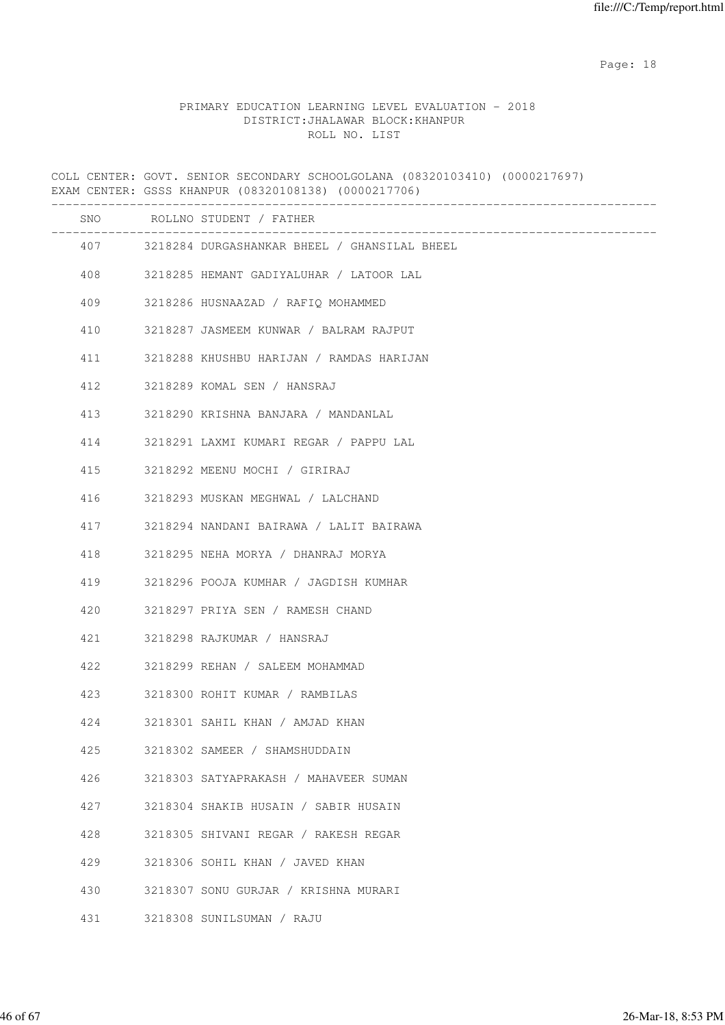example of the state of the state of the state of the state of the state of the state of the state of the state of the state of the state of the state of the state of the state of the state of the state of the state of the

#### PRIMARY EDUCATION LEARNING LEVEL EVALUATION - 2018 DISTRICT:JHALAWAR BLOCK:KHANPUR ROLL NO. LIST

COLL CENTER: GOVT. SENIOR SECONDARY SCHOOLGOLANA (08320103410) (0000217697) EXAM CENTER: GSSS KHANPUR (08320108138) (0000217706) ------------------------------------------------------------------------------------- SNO ROLLNO STUDENT / FATHER ------------------------------------------------------------------------------------- 407 3218284 DURGASHANKAR BHEEL / GHANSILAL BHEEL 408 3218285 HEMANT GADIYALUHAR / LATOOR LAL 409 3218286 HUSNAAZAD / RAFIQ MOHAMMED 410 3218287 JASMEEM KUNWAR / BALRAM RAJPUT 411 3218288 KHUSHBU HARIJAN / RAMDAS HARIJAN 412 3218289 KOMAL SEN / HANSRAJ 413 3218290 KRISHNA BANJARA / MANDANLAL 414 3218291 LAXMI KUMARI REGAR / PAPPU LAL 415 3218292 MEENU MOCHI / GIRIRAJ 416 3218293 MUSKAN MEGHWAL / LALCHAND 417 3218294 NANDANI BAIRAWA / LALIT BAIRAWA 418 3218295 NEHA MORYA / DHANRAJ MORYA 419 3218296 POOJA KUMHAR / JAGDISH KUMHAR 420 3218297 PRIYA SEN / RAMESH CHAND 421 3218298 RAJKUMAR / HANSRAJ 422 3218299 REHAN / SALEEM MOHAMMAD 423 3218300 ROHIT KUMAR / RAMBILAS 424 3218301 SAHIL KHAN / AMJAD KHAN 425 3218302 SAMEER / SHAMSHUDDAIN 426 3218303 SATYAPRAKASH / MAHAVEER SUMAN 427 3218304 SHAKIB HUSAIN / SABIR HUSAIN 428 3218305 SHIVANI REGAR / RAKESH REGAR 429 3218306 SOHIL KHAN / JAVED KHAN 430 3218307 SONU GURJAR / KRISHNA MURARI 431 3218308 SUNILSUMAN / RAJU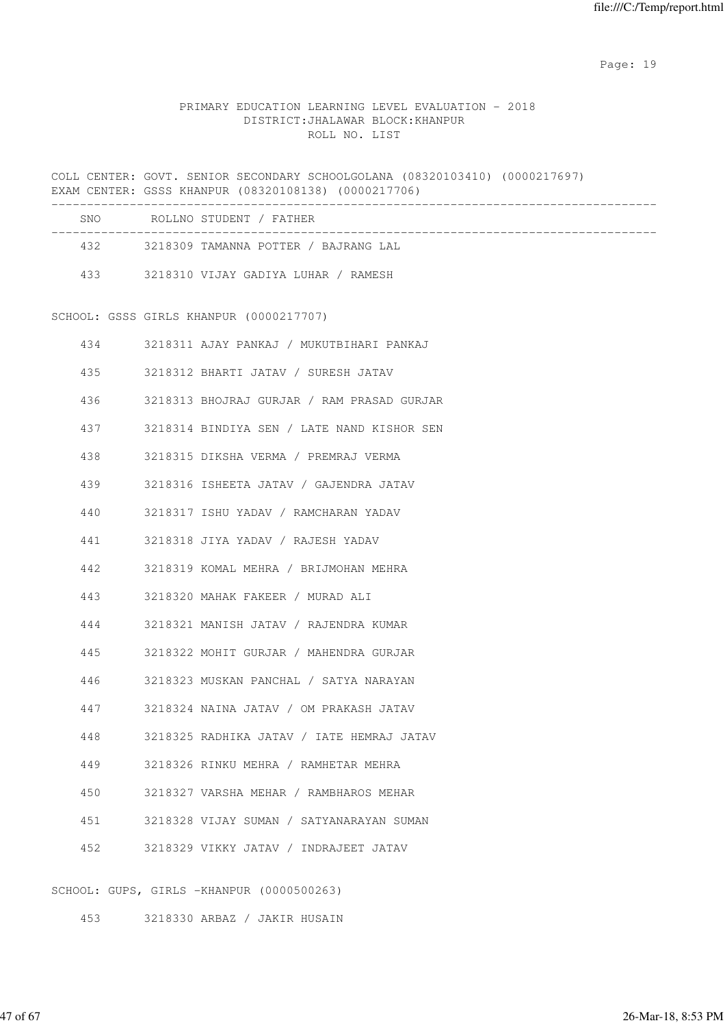### PRIMARY EDUCATION LEARNING LEVEL EVALUATION - 2018 DISTRICT:JHALAWAR BLOCK:KHANPUR ROLL NO. LIST

COLL CENTER: GOVT. SENIOR SECONDARY SCHOOLGOLANA (08320103410) (0000217697) EXAM CENTER: GSSS KHANPUR (08320108138) (0000217706) -------------------------------------------------------------------------------------

| SNO | ROLLNO STUDENT / FATHER              |  |
|-----|--------------------------------------|--|
| 432 | 3218309 TAMANNA POTTER / BAJRANG LAL |  |
| 433 | 3218310 VIJAY GADIYA LUHAR / RAMESH  |  |

SCHOOL: GSSS GIRLS KHANPUR (0000217707)

| 434 | 3218311 AJAY PANKAJ / MUKUTBIHARI PANKAJ       |
|-----|------------------------------------------------|
|     | 435 3218312 BHARTI JATAV / SURESH JATAV        |
|     | 436 3218313 BHOJRAJ GURJAR / RAM PRASAD GURJAR |
|     | 437 3218314 BINDIYA SEN / LATE NAND KISHOR SEN |
| 438 | 3218315 DIKSHA VERMA / PREMRAJ VERMA           |
| 439 | 3218316 ISHEETA JATAV / GAJENDRA JATAV         |
| 440 | 3218317 ISHU YADAV / RAMCHARAN YADAV           |
| 441 | 3218318 JIYA YADAV / RAJESH YADAV              |
| 442 | 3218319 KOMAL MEHRA / BRIJMOHAN MEHRA          |
| 443 | 3218320 MAHAK FAKEER / MURAD ALI               |
| 444 | 3218321 MANISH JATAV / RAJENDRA KUMAR          |
| 445 | 3218322 MOHIT GURJAR / MAHENDRA GURJAR         |
| 446 | 3218323 MUSKAN PANCHAL / SATYA NARAYAN         |
| 447 | 3218324 NAINA JATAV / OM PRAKASH JATAV         |
| 448 | 3218325 RADHIKA JATAV / IATE HEMRAJ JATAV      |
| 449 | 3218326 RINKU MEHRA / RAMHETAR MEHRA           |
| 450 | 3218327 VARSHA MEHAR / RAMBHAROS MEHAR         |
| 451 | 3218328 VIJAY SUMAN / SATYANARAYAN SUMAN       |
| 452 | 3218329 VIKKY JATAV / INDRAJEET JATAV          |
|     |                                                |

SCHOOL: GUPS, GIRLS -KHANPUR (0000500263)

453 3218330 ARBAZ / JAKIR HUSAIN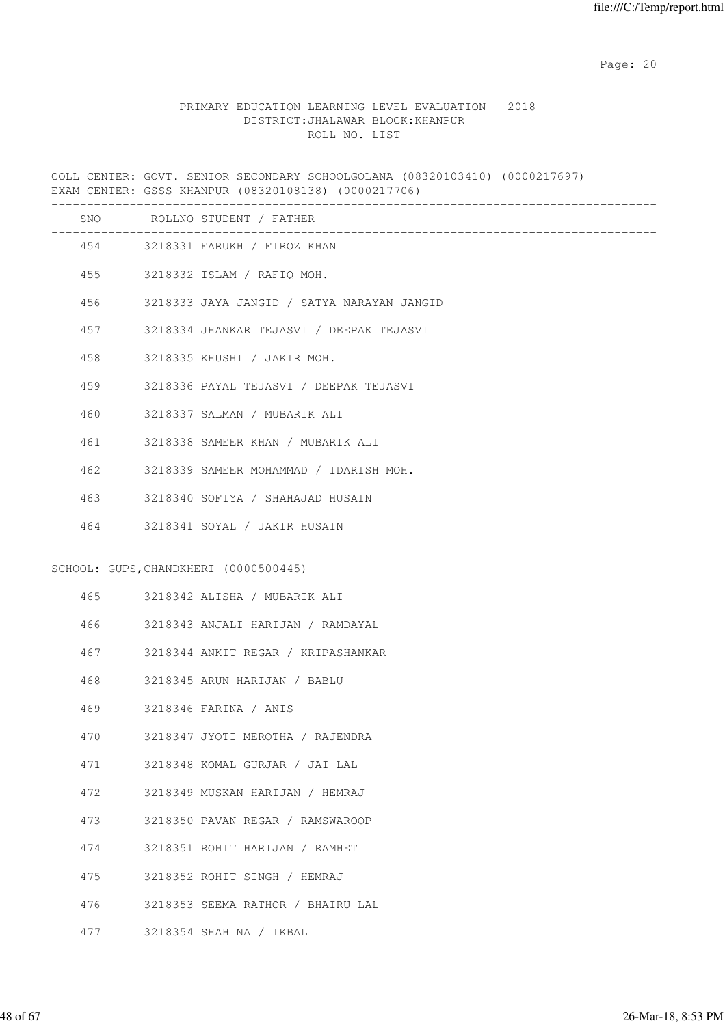### PRIMARY EDUCATION LEARNING LEVEL EVALUATION - 2018 DISTRICT:JHALAWAR BLOCK:KHANPUR ROLL NO. LIST

COLL CENTER: GOVT. SENIOR SECONDARY SCHOOLGOLANA (08320103410) (0000217697) EXAM CENTER: GSSS KHANPUR (08320108138) (0000217706)

|     | SNO ROLLNO STUDENT / FATHER                |
|-----|--------------------------------------------|
|     | 454 3218331 FARUKH / FIROZ KHAN            |
|     | 455 3218332 ISLAM / RAFIQ MOH.             |
| 456 | 3218333 JAYA JANGID / SATYA NARAYAN JANGID |
| 457 | 3218334 JHANKAR TEJASVI / DEEPAK TEJASVI   |
| 458 | 3218335 KHUSHI / JAKIR MOH.                |
| 459 | 3218336 PAYAL TEJASVI / DEEPAK TEJASVI     |
| 460 | 3218337 SALMAN / MUBARIK ALI               |
| 461 | 3218338 SAMEER KHAN / MUBARIK ALI          |
| 462 | 3218339 SAMEER MOHAMMAD / IDARISH MOH.     |
| 463 | 3218340 SOFIYA / SHAHAJAD HUSAIN           |
| 464 | 3218341 SOYAL / JAKIR HUSAIN               |
|     | SCHOOL: GUPS, CHANDKHERI (0000500445)      |
|     | 465 3218342 ALISHA / MUBARIK ALI           |
| 466 | 3218343 ANJALI HARIJAN / RAMDAYAL          |
| 467 | 3218344 ANKIT REGAR / KRIPASHANKAR         |
| 468 | 3218345 ARUN HARIJAN / BABLU               |
| 469 | 3218346 FARINA / ANIS                      |
| 470 | 3218347 JYOTI MEROTHA / RAJENDRA           |
| 471 | 3218348 KOMAL GURJAR / JAI LAL             |
| 472 | 3218349 MUSKAN HARIJAN / HEMRAJ            |
| 473 | 3218350 PAVAN REGAR / RAMSWAROOP           |
| 474 | 3218351 ROHIT HARIJAN / RAMHET             |
| 475 | 3218352 ROHIT SINGH / HEMRAJ               |
| 476 | 3218353 SEEMA RATHOR / BHAIRU LAL          |
| 477 | 3218354 SHAHINA / IKBAL                    |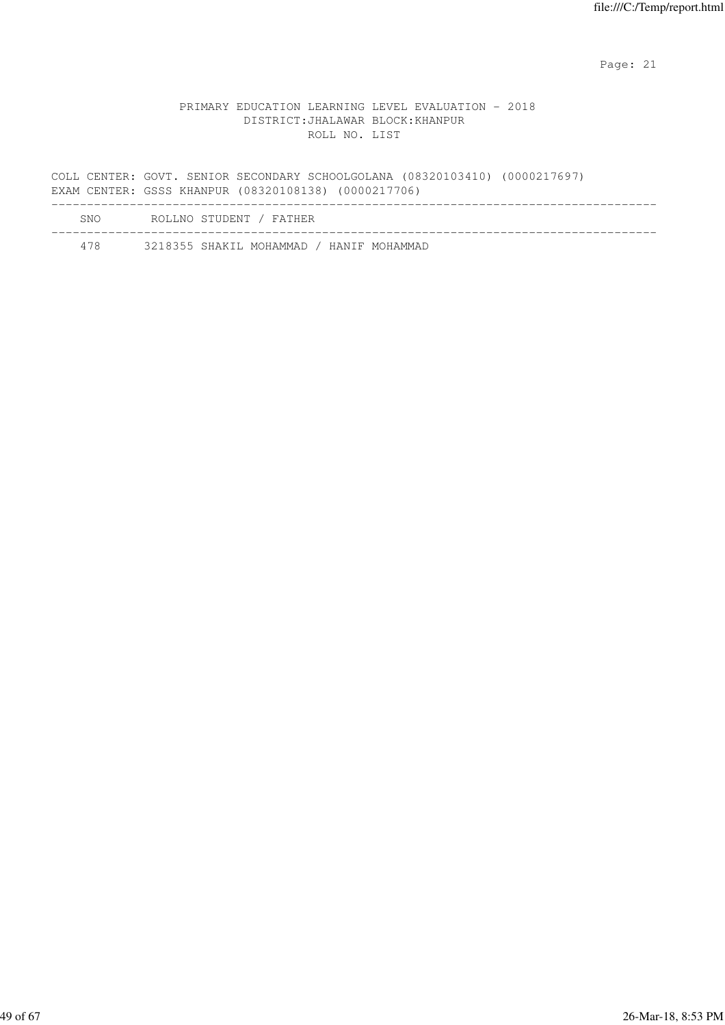#### PRIMARY EDUCATION LEARNING LEVEL EVALUATION - 2018 DISTRICT:JHALAWAR BLOCK:KHANPUR ROLL NO. LIST

COLL CENTER: GOVT. SENIOR SECONDARY SCHOOLGOLANA (08320103410) (0000217697) EXAM CENTER: GSSS KHANPUR (08320108138) (0000217706) ------------------------------------------------------------------------------------- SNO ROLLNO STUDENT / FATHER

-------------------------------------------------------------------------------------

478 3218355 SHAKIL MOHAMMAD / HANIF MOHAMMAD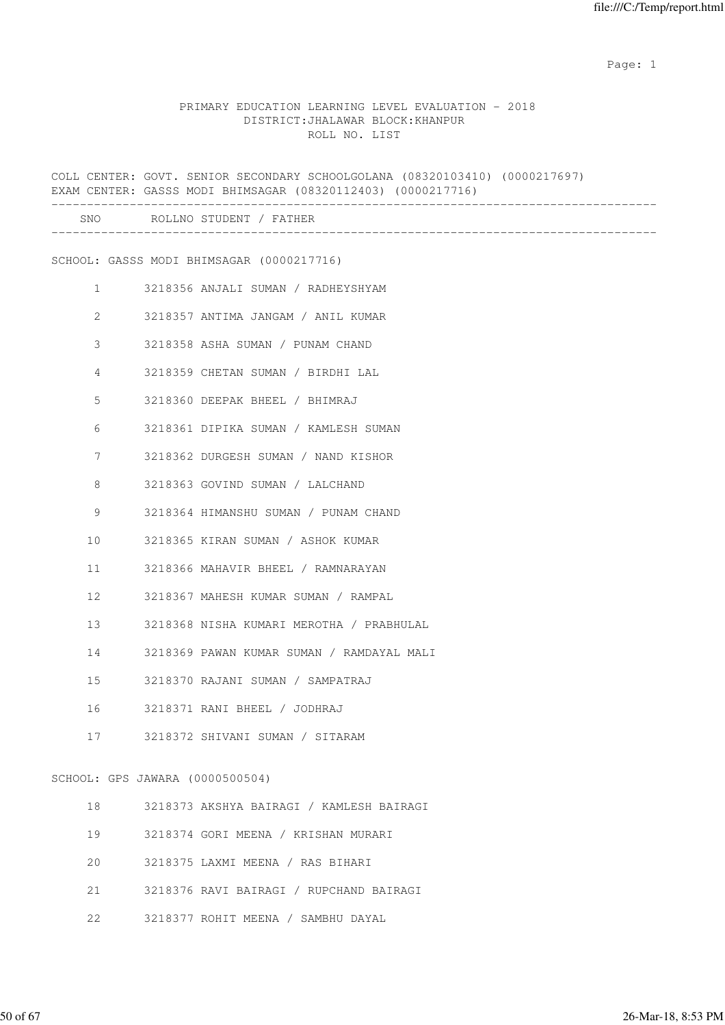example of the state of the state of the state of the state of the state of the state of the state of the state of the state of the state of the state of the state of the state of the state of the state of the state of the

#### PRIMARY EDUCATION LEARNING LEVEL EVALUATION - 2018 DISTRICT:JHALAWAR BLOCK:KHANPUR ROLL NO. LIST

|    |                                 | COLL CENTER: GOVT. SENIOR SECONDARY SCHOOLGOLANA (08320103410) (0000217697)<br>EXAM CENTER: GASSS MODI BHIMSAGAR (08320112403) (0000217716)<br>_____________________________ |
|----|---------------------------------|------------------------------------------------------------------------------------------------------------------------------------------------------------------------------|
|    |                                 | SNO ROLLNO STUDENT / FATHER                                                                                                                                                  |
|    |                                 | SCHOOL: GASSS MODI BHIMSAGAR (0000217716)                                                                                                                                    |
|    | $\mathbf{1}$                    | 3218356 ANJALI SUMAN / RADHEYSHYAM                                                                                                                                           |
|    | $\mathbf{2}$                    | 3218357 ANTIMA JANGAM / ANIL KUMAR                                                                                                                                           |
|    | 3                               | 3218358 ASHA SUMAN / PUNAM CHAND                                                                                                                                             |
|    | 4                               | 3218359 CHETAN SUMAN / BIRDHI LAL                                                                                                                                            |
|    | 5                               | 3218360 DEEPAK BHEEL / BHIMRAJ                                                                                                                                               |
|    | 6                               | 3218361 DIPIKA SUMAN / KAMLESH SUMAN                                                                                                                                         |
|    | 7                               | 3218362 DURGESH SUMAN / NAND KISHOR                                                                                                                                          |
|    | 8                               | 3218363 GOVIND SUMAN / LALCHAND                                                                                                                                              |
|    | 9                               | 3218364 HIMANSHU SUMAN / PUNAM CHAND                                                                                                                                         |
| 10 |                                 | 3218365 KIRAN SUMAN / ASHOK KUMAR                                                                                                                                            |
| 11 |                                 | 3218366 MAHAVIR BHEEL / RAMNARAYAN                                                                                                                                           |
| 12 |                                 | 3218367 MAHESH KUMAR SUMAN / RAMPAL                                                                                                                                          |
| 13 |                                 | 3218368 NISHA KUMARI MEROTHA / PRABHULAL                                                                                                                                     |
| 14 |                                 | 3218369 PAWAN KUMAR SUMAN / RAMDAYAL MALI                                                                                                                                    |
| 15 |                                 | 3218370 RAJANI SUMAN / SAMPATRAJ                                                                                                                                             |
| 16 |                                 | 3218371 RANI BHEEL / JODHRAJ                                                                                                                                                 |
| 17 |                                 | 3218372 SHIVANI SUMAN / SITARAM                                                                                                                                              |
|    | SCHOOL: GPS JAWARA (0000500504) |                                                                                                                                                                              |
| 18 |                                 | 3218373 AKSHYA BAIRAGI / KAMLESH BAIRAGI                                                                                                                                     |
| 19 |                                 | 3218374 GORI MEENA / KRISHAN MURARI                                                                                                                                          |
| 20 |                                 | 3218375 LAXMI MEENA / RAS BIHARI                                                                                                                                             |
| 21 |                                 | 3218376 RAVI BAIRAGI / RUPCHAND BAIRAGI                                                                                                                                      |

22 3218377 ROHIT MEENA / SAMBHU DAYAL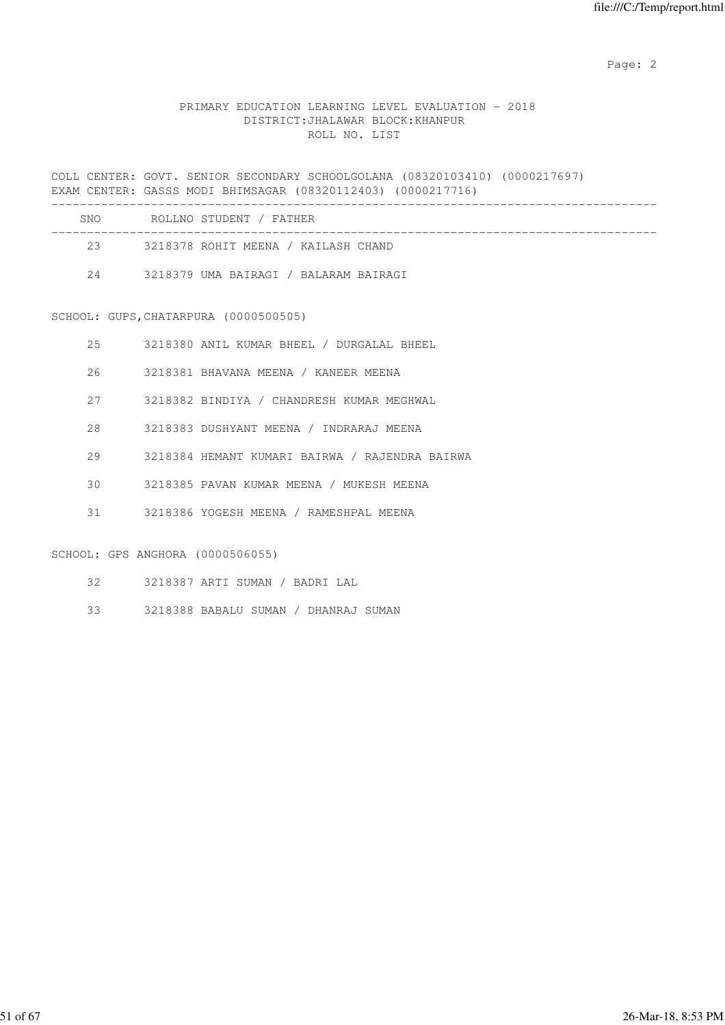Page: 2  $P$  and 2  $P$  and 2  $P$  and 2  $P$  and 2  $P$  and 2  $P$  and 2  $P$  and 2  $P$  and 2  $P$  and 2  $P$  and 2  $P$  and 2  $P$  and 2  $P$  and 2  $P$  and 2  $P$  and 2  $P$  and 2  $P$  and 2  $P$  and 2  $P$  and 2  $P$  and 2  $P$  and 2  $P$ 

#### PRIMARY EDUCATION LEARNING LEVEL EVALUATION - 2018 DISTRICT:JHALAWAR BLOCK:KHANPUR ROLL NO. LIST

COLL CENTER: GOVT. SENIOR SECONDARY SCHOOLGOLANA (08320103410) (0000217697) EXAM CENTER: GASSS MODI BHIMSAGAR (08320112403) (0000217716) -------------------------------------------------------------------------------------

| SNO. | ROLLNO STUDENT / FATHER               |  |
|------|---------------------------------------|--|
| 23   | 3218378 ROHIT MEENA / KAILASH CHAND   |  |
| 2.4  | 3218379 UMA BAIRAGI / BALARAM BAIRAGI |  |

#### SCHOOL: GUPS,CHATARPURA (0000500505)

- 25 3218380 ANIL KUMAR BHEEL / DURGALAL BHEEL
- 26 3218381 BHAVANA MEENA / KANEER MEENA
- 27 3218382 BINDIYA / CHANDRESH KUMAR MEGHWAL
- 28 3218383 DUSHYANT MEENA / INDRARAJ MEENA
- 29 3218384 HEMANT KUMARI BAIRWA / RAJENDRA BAIRWA
- 30 3218385 PAVAN KUMAR MEENA / MUKESH MEENA
- 31 3218386 YOGESH MEENA / RAMESHPAL MEENA

#### SCHOOL: GPS ANGHORA (0000506055)

- 32 3218387 ARTI SUMAN / BADRI LAL
- 33 3218388 BABALU SUMAN / DHANRAJ SUMAN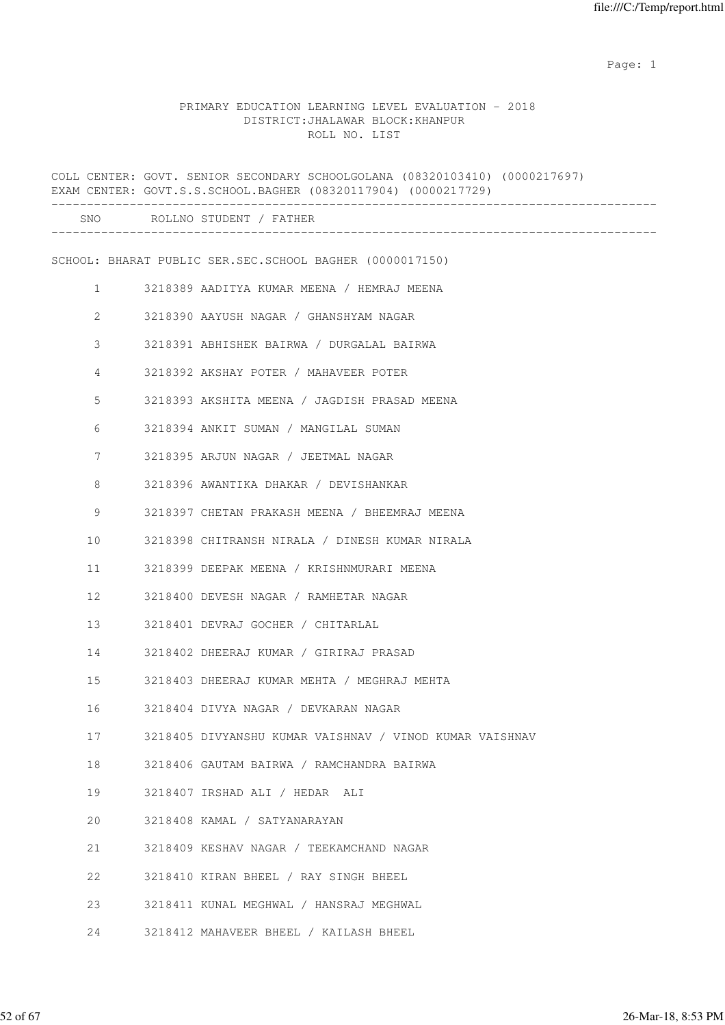example of the state of the state of the state of the state of the state of the state of the state of the state of the state of the state of the state of the state of the state of the state of the state of the state of the

### PRIMARY EDUCATION LEARNING LEVEL EVALUATION - 2018 DISTRICT:JHALAWAR BLOCK:KHANPUR ROLL NO. LIST

|              | COLL CENTER: GOVT. SENIOR SECONDARY SCHOOLGOLANA (08320103410) (0000217697)<br>EXAM CENTER: GOVT.S.S.SCHOOL.BAGHER (08320117904) (0000217729) |
|--------------|-----------------------------------------------------------------------------------------------------------------------------------------------|
|              | SNO ROLLNO STUDENT / FATHER                                                                                                                   |
|              | SCHOOL: BHARAT PUBLIC SER.SEC.SCHOOL BAGHER (0000017150)                                                                                      |
| $\mathbf{1}$ | 3218389 AADITYA KUMAR MEENA / HEMRAJ MEENA                                                                                                    |
| 2            | 3218390 AAYUSH NAGAR / GHANSHYAM NAGAR                                                                                                        |
| 3            | 3218391 ABHISHEK BAIRWA / DURGALAL BAIRWA                                                                                                     |
| 4            | 3218392 AKSHAY POTER / MAHAVEER POTER                                                                                                         |
| 5            | 3218393 AKSHITA MEENA / JAGDISH PRASAD MEENA                                                                                                  |
| 6            | 3218394 ANKIT SUMAN / MANGILAL SUMAN                                                                                                          |
| 7            | 3218395 ARJUN NAGAR / JEETMAL NAGAR                                                                                                           |
| 8            | 3218396 AWANTIKA DHAKAR / DEVISHANKAR                                                                                                         |
| 9            | 3218397 CHETAN PRAKASH MEENA / BHEEMRAJ MEENA                                                                                                 |
| 10           | 3218398 CHITRANSH NIRALA / DINESH KUMAR NIRALA                                                                                                |
| 11           | 3218399 DEEPAK MEENA / KRISHNMURARI MEENA                                                                                                     |
| 12           | 3218400 DEVESH NAGAR / RAMHETAR NAGAR                                                                                                         |
| 13           | 3218401 DEVRAJ GOCHER / CHITARLAL                                                                                                             |
| 14           | 3218402 DHEERAJ KUMAR / GIRIRAJ PRASAD                                                                                                        |
| 15           | 3218403 DHEERAJ KUMAR MEHTA / MEGHRAJ MEHTA                                                                                                   |
| 16           | 3218404 DIVYA NAGAR / DEVKARAN NAGAR                                                                                                          |
| 17           | 3218405 DIVYANSHU KUMAR VAISHNAV / VINOD KUMAR VAISHNAV                                                                                       |
| 18           | 3218406 GAUTAM BAIRWA / RAMCHANDRA BAIRWA                                                                                                     |
| 19           | 3218407 IRSHAD ALI / HEDAR ALI                                                                                                                |
| 20           | 3218408 KAMAL / SATYANARAYAN                                                                                                                  |
| 21           | 3218409 KESHAV NAGAR / TEEKAMCHAND NAGAR                                                                                                      |
| 22           | 3218410 KIRAN BHEEL / RAY SINGH BHEEL                                                                                                         |
| 23           | 3218411 KUNAL MEGHWAL / HANSRAJ MEGHWAL                                                                                                       |
| 24           | 3218412 MAHAVEER BHEEL / KAILASH BHEEL                                                                                                        |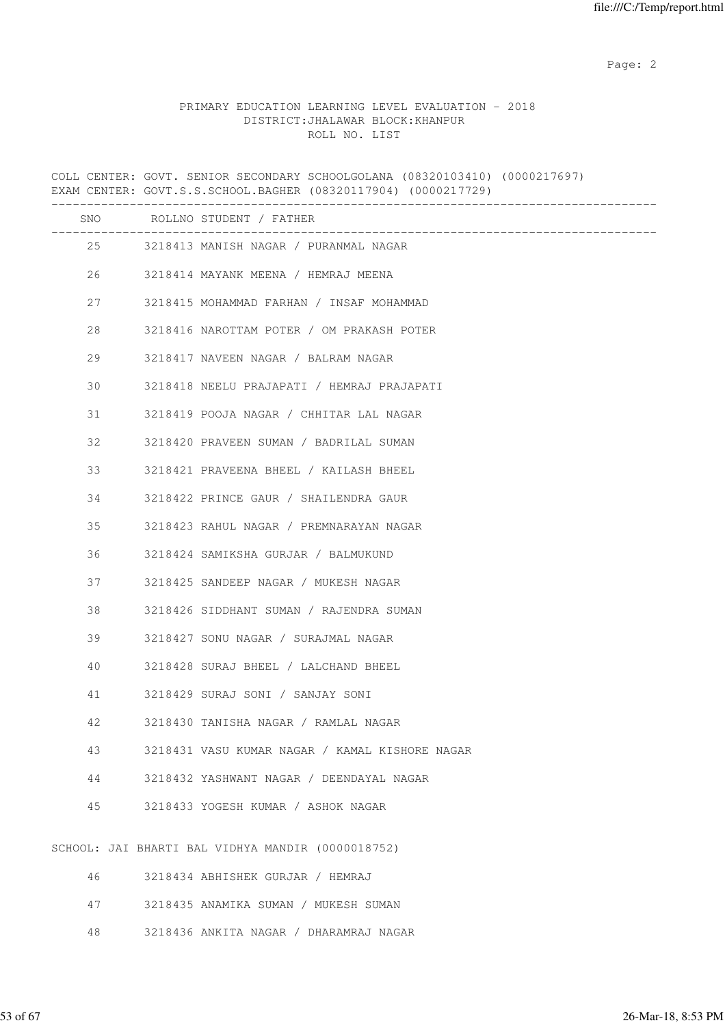Page: 2  $P$  and 2  $P$  and 2  $P$  and 2  $P$  and 2  $P$  and 2  $P$  and 2  $P$  and 2  $P$  and 2  $P$  and 2  $P$  and 2  $P$  and 2  $P$  and 2  $P$  and 2  $P$  and 2  $P$  and 2  $P$  and 2  $P$  and 2  $P$  and 2  $P$  and 2  $P$  and 2  $P$  and 2  $P$ 

#### PRIMARY EDUCATION LEARNING LEVEL EVALUATION - 2018 DISTRICT:JHALAWAR BLOCK:KHANPUR ROLL NO. LIST

COLL CENTER: GOVT. SENIOR SECONDARY SCHOOLGOLANA (08320103410) (0000217697) EXAM CENTER: GOVT.S.S.SCHOOL.BAGHER (08320117904) (0000217729) ------------------------------------------------------------------------------------- SNO ROLLNO STUDENT / FATHER ------------------------------------------------------------------------------------- 25 3218413 MANISH NAGAR / PURANMAL NAGAR 26 3218414 MAYANK MEENA / HEMRAJ MEENA 27 3218415 MOHAMMAD FARHAN / INSAF MOHAMMAD 28 3218416 NAROTTAM POTER / OM PRAKASH POTER 29 3218417 NAVEEN NAGAR / BALRAM NAGAR 30 3218418 NEELU PRAJAPATI / HEMRAJ PRAJAPATI 31 3218419 POOJA NAGAR / CHHITAR LAL NAGAR 32 3218420 PRAVEEN SUMAN / BADRILAL SUMAN 33 3218421 PRAVEENA BHEEL / KAILASH BHEEL 34 3218422 PRINCE GAUR / SHAILENDRA GAUR 35 3218423 RAHUL NAGAR / PREMNARAYAN NAGAR 36 3218424 SAMIKSHA GURJAR / BALMUKUND 37 3218425 SANDEEP NAGAR / MUKESH NAGAR 38 3218426 SIDDHANT SUMAN / RAJENDRA SUMAN 39 3218427 SONU NAGAR / SURAJMAL NAGAR 40 3218428 SURAJ BHEEL / LALCHAND BHEEL 41 3218429 SURAJ SONI / SANJAY SONI 42 3218430 TANISHA NAGAR / RAMLAL NAGAR 43 3218431 VASU KUMAR NAGAR / KAMAL KISHORE NAGAR 44 3218432 YASHWANT NAGAR / DEENDAYAL NAGAR 45 3218433 YOGESH KUMAR / ASHOK NAGAR SCHOOL: JAI BHARTI BAL VIDHYA MANDIR (0000018752) 46 3218434 ABHISHEK GURJAR / HEMRAJ 47 3218435 ANAMIKA SUMAN / MUKESH SUMAN 48 3218436 ANKITA NAGAR / DHARAMRAJ NAGAR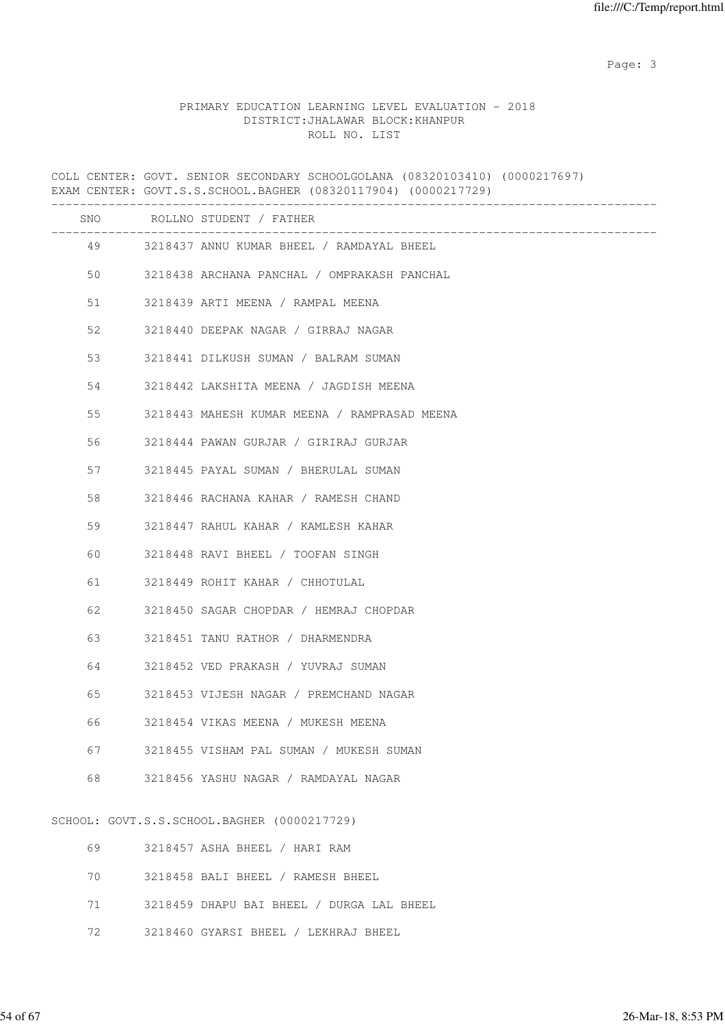#### PRIMARY EDUCATION LEARNING LEVEL EVALUATION - 2018 DISTRICT:JHALAWAR BLOCK:KHANPUR ROLL NO. LIST

COLL CENTER: GOVT. SENIOR SECONDARY SCHOOLGOLANA (08320103410) (0000217697) EXAM CENTER: GOVT.S.S.SCHOOL.BAGHER (08320117904) (0000217729) ------------------------------------------------------------------------------------- SNO ROLLNO STUDENT / FATHER ------------------------------------------------------------------------------------- 49 3218437 ANNU KUMAR BHEEL / RAMDAYAL BHEEL 50 3218438 ARCHANA PANCHAL / OMPRAKASH PANCHAL 51 3218439 ARTI MEENA / RAMPAL MEENA 52 3218440 DEEPAK NAGAR / GIRRAJ NAGAR 53 3218441 DILKUSH SUMAN / BALRAM SUMAN 54 3218442 LAKSHITA MEENA / JAGDISH MEENA 55 3218443 MAHESH KUMAR MEENA / RAMPRASAD MEENA 56 3218444 PAWAN GURJAR / GIRIRAJ GURJAR 57 3218445 PAYAL SUMAN / BHERULAL SUMAN 58 3218446 RACHANA KAHAR / RAMESH CHAND 59 3218447 RAHUL KAHAR / KAMLESH KAHAR 60 3218448 RAVI BHEEL / TOOFAN SINGH 61 3218449 ROHIT KAHAR / CHHOTULAL 62 3218450 SAGAR CHOPDAR / HEMRAJ CHOPDAR 63 3218451 TANU RATHOR / DHARMENDRA 64 3218452 VED PRAKASH / YUVRAJ SUMAN 65 3218453 VIJESH NAGAR / PREMCHAND NAGAR 66 3218454 VIKAS MEENA / MUKESH MEENA 67 3218455 VISHAM PAL SUMAN / MUKESH SUMAN 68 3218456 YASHU NAGAR / RAMDAYAL NAGAR SCHOOL: GOVT.S.S.SCHOOL.BAGHER (0000217729) 69 3218457 ASHA BHEEL / HARI RAM 70 3218458 BALI BHEEL / RAMESH BHEEL

71 3218459 DHAPU BAI BHEEL / DURGA LAL BHEEL

72 3218460 GYARSI BHEEL / LEKHRAJ BHEEL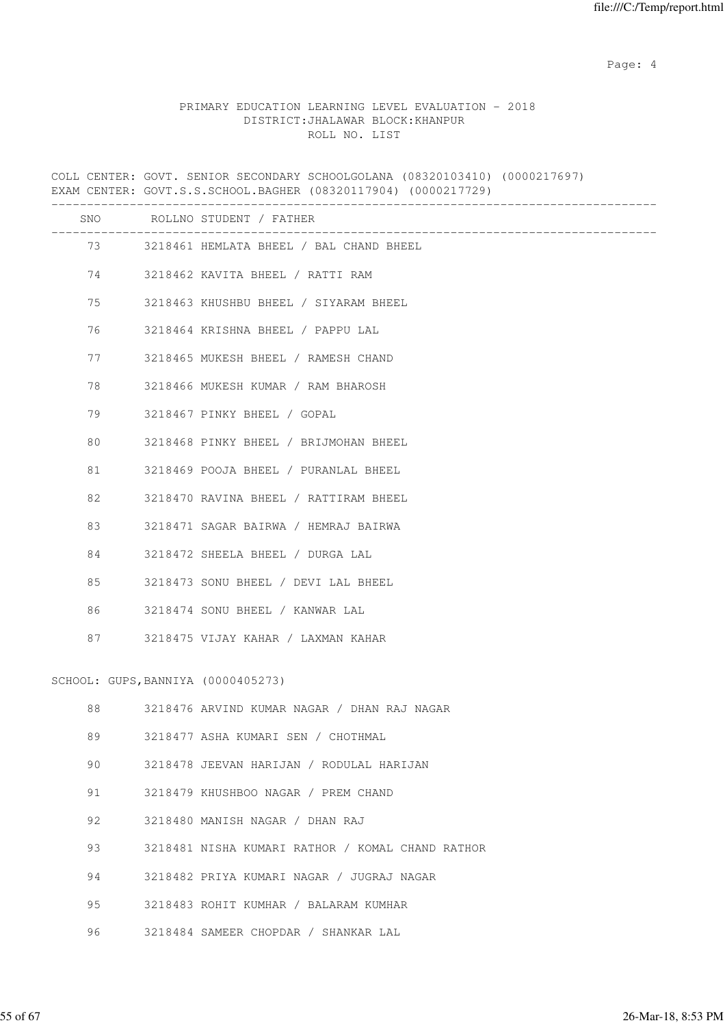Page: 4  $P$ 

#### PRIMARY EDUCATION LEARNING LEVEL EVALUATION - 2018 DISTRICT:JHALAWAR BLOCK:KHANPUR ROLL NO. LIST

COLL CENTER: GOVT. SENIOR SECONDARY SCHOOLGOLANA (08320103410) (0000217697) EXAM CENTER: GOVT.S.S.SCHOOL.BAGHER (08320117904) (0000217729) ------------------------------------------------------------------------------------- SNO ROLLNO STUDENT / FATHER ------------------------------------------------------------------------------------- 73 3218461 HEMLATA BHEEL / BAL CHAND BHEEL 74 3218462 KAVITA BHEEL / RATTI RAM 75 3218463 KHUSHBU BHEEL / SIYARAM BHEEL 76 3218464 KRISHNA BHEEL / PAPPU LAL 77 3218465 MUKESH BHEEL / RAMESH CHAND 78 3218466 MUKESH KUMAR / RAM BHAROSH 79 3218467 PINKY BHEEL / GOPAL 80 3218468 PINKY BHEEL / BRIJMOHAN BHEEL 81 3218469 POOJA BHEEL / PURANLAL BHEEL 82 3218470 RAVINA BHEEL / RATTIRAM BHEEL 83 3218471 SAGAR BAIRWA / HEMRAJ BAIRWA 84 3218472 SHEELA BHEEL / DURGA LAL 85 3218473 SONU BHEEL / DEVI LAL BHEEL 86 3218474 SONU BHEEL / KANWAR LAL 87 3218475 VIJAY KAHAR / LAXMAN KAHAR SCHOOL: GUPS,BANNIYA (0000405273) 88 3218476 ARVIND KUMAR NAGAR / DHAN RAJ NAGAR 89 3218477 ASHA KUMARI SEN / CHOTHMAL 90 3218478 JEEVAN HARIJAN / RODULAL HARIJAN 91 3218479 KHUSHBOO NAGAR / PREM CHAND 92 3218480 MANISH NAGAR / DHAN RAJ 93 3218481 NISHA KUMARI RATHOR / KOMAL CHAND RATHOR 94 3218482 PRIYA KUMARI NAGAR / JUGRAJ NAGAR 95 3218483 ROHIT KUMHAR / BALARAM KUMHAR 96 3218484 SAMEER CHOPDAR / SHANKAR LAL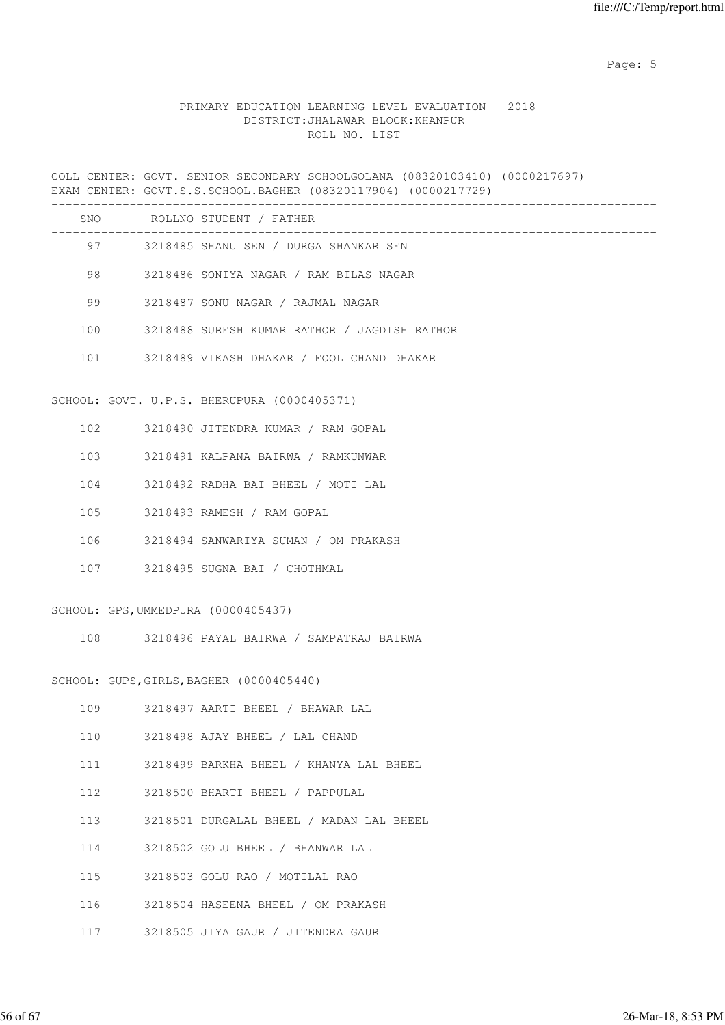Page: 5  $P$  and  $P$  and  $P$  and  $P$  and  $P$  and  $P$  and  $P$  and  $P$  and  $P$  and  $P$  and  $P$  and  $P$  and  $P$  and  $P$  and  $P$  and  $P$  and  $P$  and  $P$  and  $P$  and  $P$  and  $P$  and  $P$  and  $P$  and  $P$  and  $P$  and  $P$  and  $P$  an

#### PRIMARY EDUCATION LEARNING LEVEL EVALUATION - 2018 DISTRICT:JHALAWAR BLOCK:KHANPUR ROLL NO. LIST

COLL CENTER: GOVT. SENIOR SECONDARY SCHOOLGOLANA (08320103410) (0000217697) EXAM CENTER: GOVT.S.S.SCHOOL.BAGHER (08320117904) (0000217729) ------------------------------------------------------------------------------------- SNO ROLLNO STUDENT / FATHER ------------------------------------------------------------------------------------- 97 3218485 SHANU SEN / DURGA SHANKAR SEN 98 3218486 SONIYA NAGAR / RAM BILAS NAGAR 99 3218487 SONU NAGAR / RAJMAL NAGAR 100 3218488 SURESH KUMAR RATHOR / JAGDISH RATHOR 101 3218489 VIKASH DHAKAR / FOOL CHAND DHAKAR SCHOOL: GOVT. U.P.S. BHERUPURA (0000405371) 102 3218490 JITENDRA KUMAR / RAM GOPAL 103 3218491 KALPANA BAIRWA / RAMKUNWAR 104 3218492 RADHA BAI BHEEL / MOTI LAL 105 3218493 RAMESH / RAM GOPAL 106 3218494 SANWARIYA SUMAN / OM PRAKASH 107 3218495 SUGNA BAI / CHOTHMAL SCHOOL: GPS,UMMEDPURA (0000405437) 108 3218496 PAYAL BAIRWA / SAMPATRAJ BAIRWA SCHOOL: GUPS,GIRLS,BAGHER (0000405440) 109 3218497 AARTI BHEEL / BHAWAR LAL 110 3218498 AJAY BHEEL / LAL CHAND 111 3218499 BARKHA BHEEL / KHANYA LAL BHEEL 112 3218500 BHARTI BHEEL / PAPPULAL 113 3218501 DURGALAL BHEEL / MADAN LAL BHEEL 114 3218502 GOLU BHEEL / BHANWAR LAL 115 3218503 GOLU RAO / MOTILAL RAO 116 3218504 HASEENA BHEEL / OM PRAKASH 117 3218505 JIYA GAUR / JITENDRA GAUR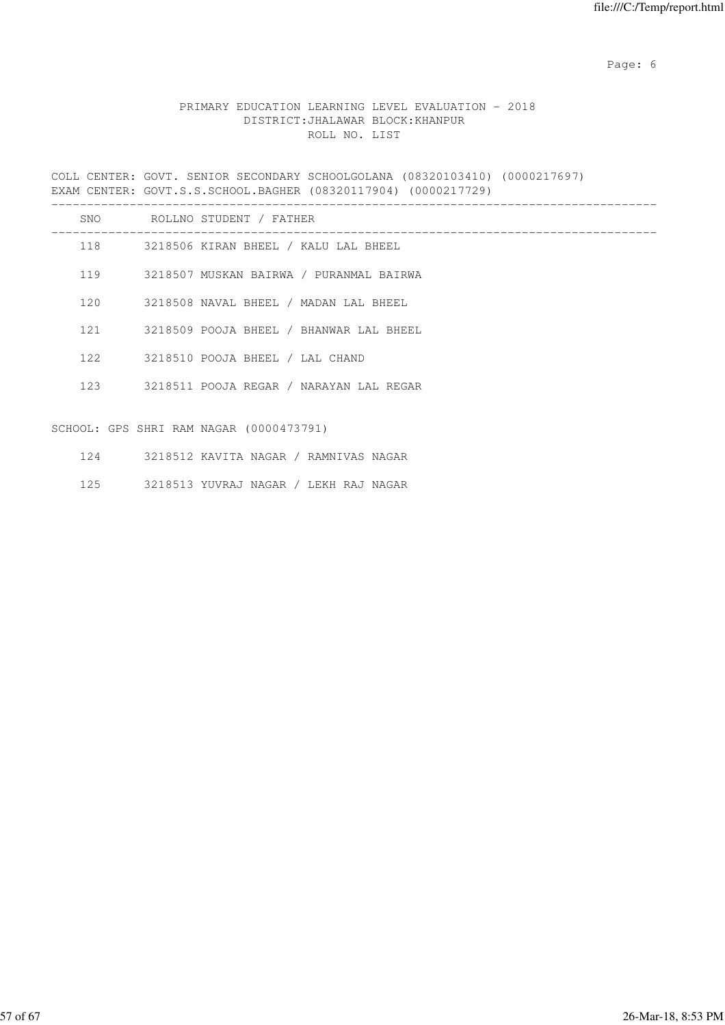Page: 6  $P$  and  $P$  and  $P$  and  $P$  and  $P$  and  $P$  and  $P$  and  $P$  and  $P$  and  $P$  and  $P$  and  $P$  and  $P$  and  $P$  and  $P$  and  $P$  and  $P$  and  $P$  and  $P$  and  $P$  and  $P$  and  $P$  and  $P$  and  $P$  and  $P$  and  $P$  and  $P$  an

#### PRIMARY EDUCATION LEARNING LEVEL EVALUATION - 2018 DISTRICT:JHALAWAR BLOCK:KHANPUR ROLL NO. LIST

COLL CENTER: GOVT. SENIOR SECONDARY SCHOOLGOLANA (08320103410) (0000217697) EXAM CENTER: GOVT.S.S.SCHOOL.BAGHER (08320117904) (0000217729) -------------------------------------------------------------------------------------

| SNO | ROLLNO STUDENT / FATHER                 |
|-----|-----------------------------------------|
| 118 | 3218506 KIRAN BHEEL / KALU LAL BHEEL    |
| 119 | 3218507 MUSKAN BAIRWA / PURANMAL BAIRWA |
| 120 | 3218508 NAVAL BHEEL / MADAN LAL BHEEL   |
| 121 | 3218509 POOJA BHEEL / BHANWAR LAL BHEEL |
| 122 | 3218510 POOJA BHEEL / LAL CHAND         |
| 123 | 3218511 POOJA REGAR / NARAYAN LAL REGAR |
|     | SCHOOL: GPS SHRI RAM NAGAR (0000473791) |

| 3218512 KAVITA NAGAR | / RAMNIVAS NAGAR |
|----------------------|------------------|
|----------------------|------------------|

125 3218513 YUVRAJ NAGAR / LEKH RAJ NAGAR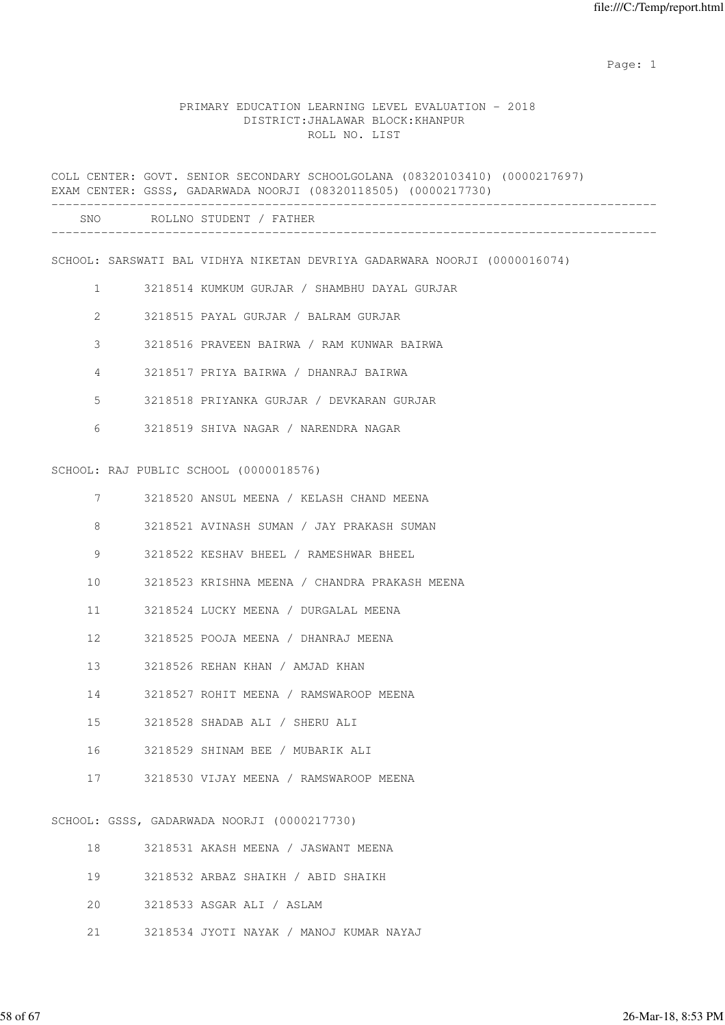example of the state of the state of the state of the state of the state of the state of the state of the state of the state of the state of the state of the state of the state of the state of the state of the state of the

#### PRIMARY EDUCATION LEARNING LEVEL EVALUATION - 2018 DISTRICT:JHALAWAR BLOCK:KHANPUR ROLL NO. LIST

COLL CENTER: GOVT. SENIOR SECONDARY SCHOOLGOLANA (08320103410) (0000217697) EXAM CENTER: GSSS, GADARWADA NOORJI (08320118505) (0000217730) ------------------------------------------------------------------------------------- SNO ROLLNO STUDENT / FATHER ------------------------------------------------------------------------------------- SCHOOL: SARSWATI BAL VIDHYA NIKETAN DEVRIYA GADARWARA NOORJI (0000016074) 1 3218514 KUMKUM GURJAR / SHAMBHU DAYAL GURJAR 2 3218515 PAYAL GURJAR / BALRAM GURJAR 3 3218516 PRAVEEN BAIRWA / RAM KUNWAR BAIRWA 4 3218517 PRIYA BAIRWA / DHANRAJ BAIRWA 5 3218518 PRIYANKA GURJAR / DEVKARAN GURJAR 6 3218519 SHIVA NAGAR / NARENDRA NAGAR SCHOOL: RAJ PUBLIC SCHOOL (0000018576) 7 3218520 ANSUL MEENA / KELASH CHAND MEENA 8 3218521 AVINASH SUMAN / JAY PRAKASH SUMAN 9 3218522 KESHAV BHEEL / RAMESHWAR BHEEL 10 3218523 KRISHNA MEENA / CHANDRA PRAKASH MEENA 11 3218524 LUCKY MEENA / DURGALAL MEENA 12 3218525 POOJA MEENA / DHANRAJ MEENA 13 3218526 REHAN KHAN / AMJAD KHAN 14 3218527 ROHIT MEENA / RAMSWAROOP MEENA 15 3218528 SHADAB ALI / SHERU ALI 16 3218529 SHINAM BEE / MUBARIK ALI 17 3218530 VIJAY MEENA / RAMSWAROOP MEENA SCHOOL: GSSS, GADARWADA NOORJI (0000217730) 18 3218531 AKASH MEENA / JASWANT MEENA

| 19 3218532 ARBAZ SHAIKH / ABID SHAIKH |
|---------------------------------------|
| 20 3218533 ASGAR ALI / ASLAM          |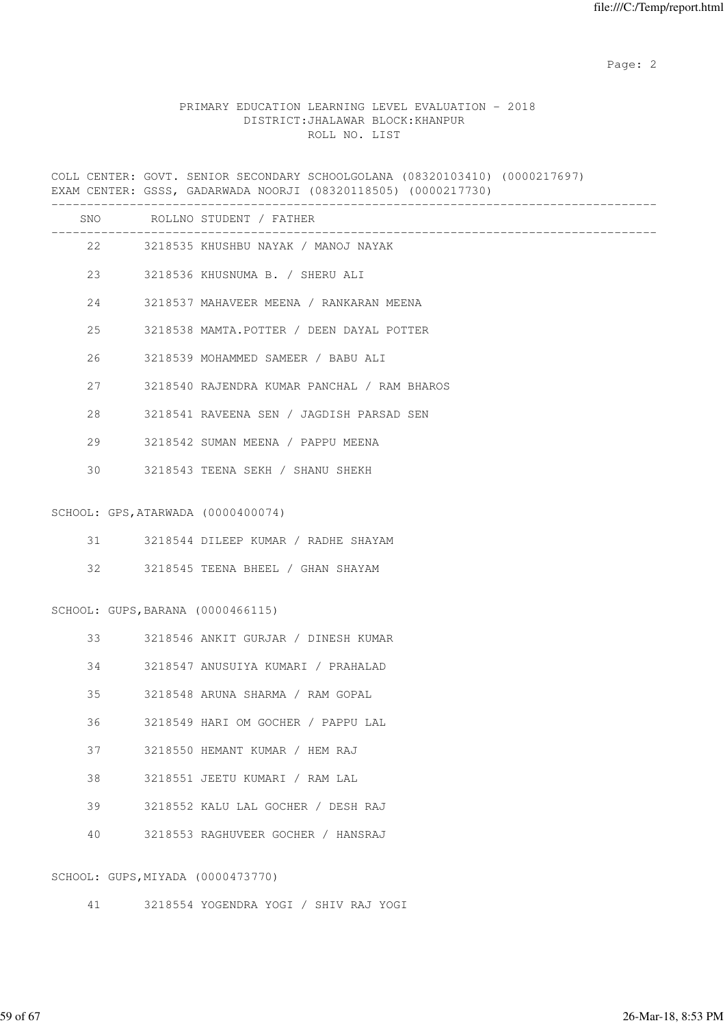Page: 2  $P$  and 2  $P$  and 2  $P$  and 2  $P$  and 2  $P$  and 2  $P$  and 2  $P$  and 2  $P$  and 2  $P$  and 2  $P$  and 2  $P$  and 2  $P$  and 2  $P$  and 2  $P$  and 2  $P$  and 2  $P$  and 2  $P$  and 2  $P$  and 2  $P$  and 2  $P$  and 2  $P$  and 2  $P$ 

| PRIMARY EDUCATION LEARNING LEVEL EVALUATION - 2018 |               |  |                                   |  |
|----------------------------------------------------|---------------|--|-----------------------------------|--|
|                                                    |               |  | DISTRICT: JHALAWAR BLOCK: KHANPUR |  |
|                                                    | ROLL NO. LIST |  |                                   |  |

|    |        | COLL CENTER: GOVT. SENIOR SECONDARY SCHOOLGOLANA (08320103410) (0000217697)<br>EXAM CENTER: GSSS, GADARWADA NOORJI (08320118505) (0000217730)<br>________________________________ |
|----|--------|-----------------------------------------------------------------------------------------------------------------------------------------------------------------------------------|
|    |        | SNO ROLLNO STUDENT / FATHER                                                                                                                                                       |
|    |        | 22 3218535 KHUSHBU NAYAK / MANOJ NAYAK                                                                                                                                            |
|    |        | 23 3218536 KHUSNUMA B. / SHERU ALI                                                                                                                                                |
| 24 |        | 3218537 MAHAVEER MEENA / RANKARAN MEENA                                                                                                                                           |
| 25 |        | 3218538 MAMTA.POTTER / DEEN DAYAL POTTER                                                                                                                                          |
| 26 |        | 3218539 MOHAMMED SAMEER / BABU ALI                                                                                                                                                |
| 27 |        | 3218540 RAJENDRA KUMAR PANCHAL / RAM BHAROS                                                                                                                                       |
| 28 |        | 3218541 RAVEENA SEN / JAGDISH PARSAD SEN                                                                                                                                          |
|    | 29     | 3218542 SUMAN MEENA / PAPPU MEENA                                                                                                                                                 |
| 30 |        | 3218543 TEENA SEKH / SHANU SHEKH                                                                                                                                                  |
|    |        | SCHOOL: GPS, ATARWADA (0000400074)                                                                                                                                                |
|    | 31 — 1 | 3218544 DILEEP KUMAR / RADHE SHAYAM                                                                                                                                               |
|    | 32     | 3218545 TEENA BHEEL / GHAN SHAYAM                                                                                                                                                 |
|    |        | SCHOOL: GUPS, BARANA (0000466115)                                                                                                                                                 |
|    | 33     | 3218546 ANKIT GURJAR / DINESH KUMAR                                                                                                                                               |
| 34 |        | 3218547 ANUSUIYA KUMARI / PRAHALAD                                                                                                                                                |
| 35 |        | 3218548 ARUNA SHARMA / RAM GOPAL                                                                                                                                                  |
| 36 |        | 3218549 HARI OM GOCHER / PAPPU LAL                                                                                                                                                |
| 37 |        | 3218550 HEMANT KUMAR / HEM RAJ                                                                                                                                                    |
| 38 |        | 3218551 JEETU KUMARI / RAM LAL                                                                                                                                                    |
| 39 |        | 3218552 KALU LAL GOCHER / DESH RAJ                                                                                                                                                |
| 40 |        | 3218553 RAGHUVEER GOCHER / HANSRAJ                                                                                                                                                |
|    |        | SCHOOL: GUPS, MIYADA (0000473770)                                                                                                                                                 |

41 3218554 YOGENDRA YOGI / SHIV RAJ YOGI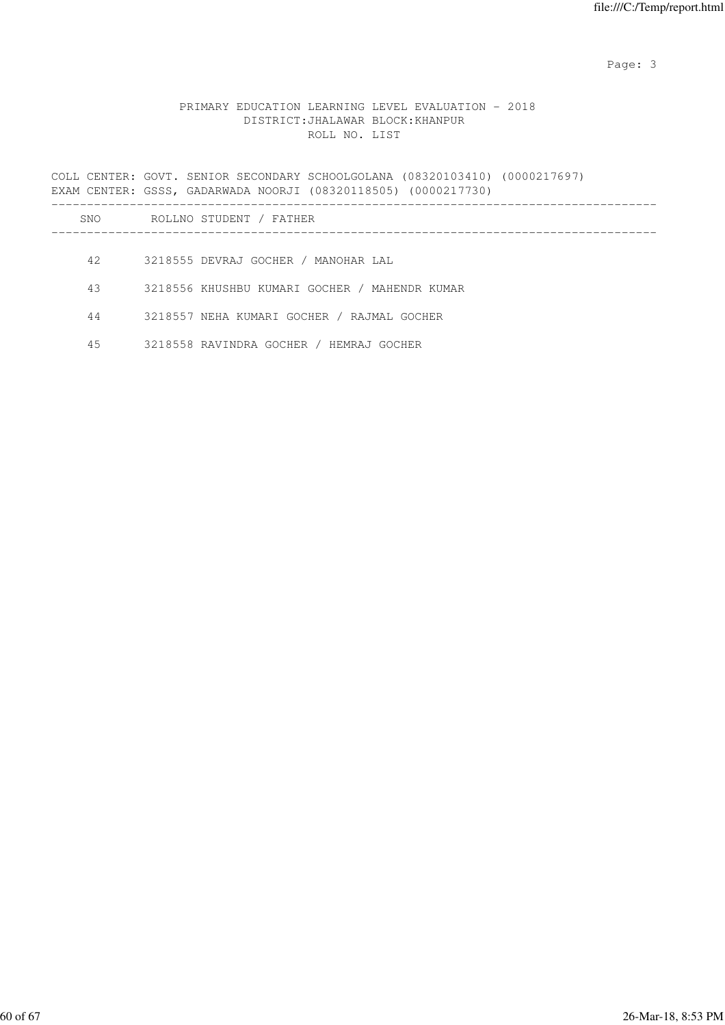# PRIMARY EDUCATION LEARNING LEVEL EVALUATION - 2018 DISTRICT:JHALAWAR BLOCK:KHANPUR ROLL NO. LIST

|     | COLL CENTER: GOVT. SENIOR SECONDARY SCHOOLGOLANA (08320103410) (0000217697)<br>EXAM CENTER: GSSS, GADARWADA NOORJI (08320118505) (0000217730) |
|-----|-----------------------------------------------------------------------------------------------------------------------------------------------|
| SNO | ROLLNO STUDENT / FATHER                                                                                                                       |
|     |                                                                                                                                               |
| 42  | 3218555 DEVRAJ GOCHER / MANOHAR LAL                                                                                                           |
| 43  | 3218556 KHUSHBU KUMARI GOCHER / MAHENDR KUMAR                                                                                                 |
| 44  | 3218557 NEHA KUMARI GOCHER / RAJMAL GOCHER                                                                                                    |
| 45  | 3218558 RAVINDRA GOCHER / HEMRAJ GOCHER                                                                                                       |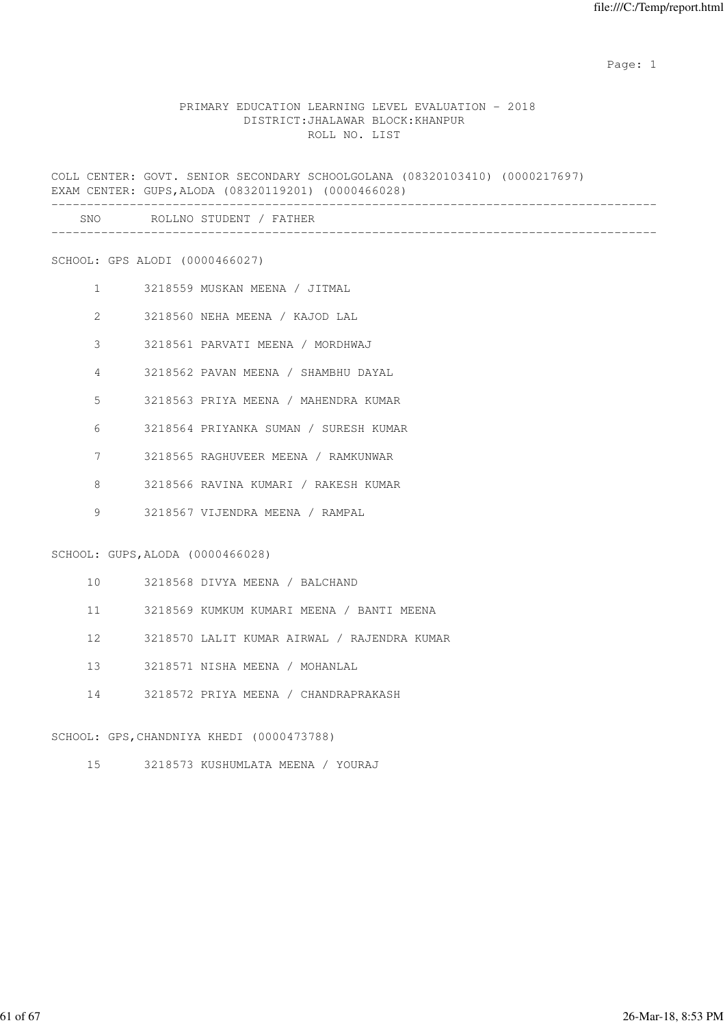#### PRIMARY EDUCATION LEARNING LEVEL EVALUATION - 2018 DISTRICT:JHALAWAR BLOCK:KHANPUR ROLL NO. LIST

COLL CENTER: GOVT. SENIOR SECONDARY SCHOOLGOLANA (08320103410) (0000217697) EXAM CENTER: GUPS,ALODA (08320119201) (0000466028) -------------------------------------------------------------------------------------

| SNC<br>$\sim$ $\sim$ | ، ۱۸۱۱ |  |
|----------------------|--------|--|
|                      |        |  |

SCHOOL: GPS ALODI (0000466027)

- 1 3218559 MUSKAN MEENA / JITMAL
- 2 3218560 NEHA MEENA / KAJOD LAL
- 3 3218561 PARVATI MEENA / MORDHWAJ
- 4 3218562 PAVAN MEENA / SHAMBHU DAYAL
- 5 3218563 PRIYA MEENA / MAHENDRA KUMAR
- 6 3218564 PRIYANKA SUMAN / SURESH KUMAR
- 7 3218565 RAGHUVEER MEENA / RAMKUNWAR
- 8 3218566 RAVINA KUMARI / RAKESH KUMAR
- 9 3218567 VIJENDRA MEENA / RAMPAL

# SCHOOL: GUPS,ALODA (0000466028)

- 10 3218568 DIVYA MEENA / BALCHAND
- 11 3218569 KUMKUM KUMARI MEENA / BANTI MEENA
- 12 3218570 LALIT KUMAR AIRWAL / RAJENDRA KUMAR
- 13 3218571 NISHA MEENA / MOHANLAL
- 14 3218572 PRIYA MEENA / CHANDRAPRAKASH

#### SCHOOL: GPS,CHANDNIYA KHEDI (0000473788)

15 3218573 KUSHUMLATA MEENA / YOURAJ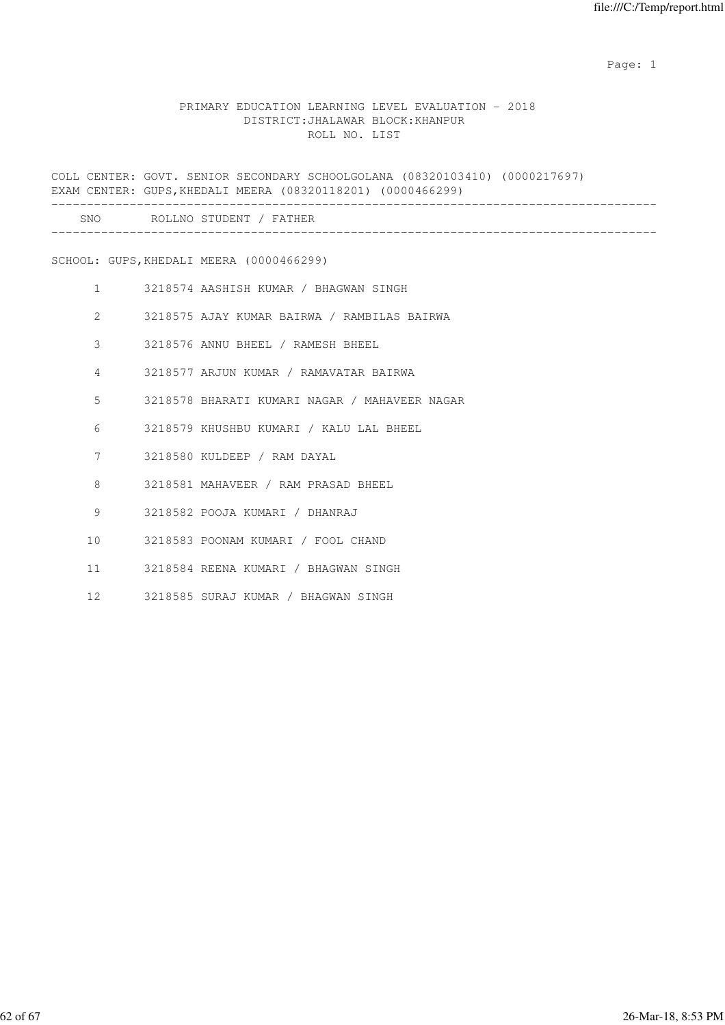#### PRIMARY EDUCATION LEARNING LEVEL EVALUATION - 2018 DISTRICT:JHALAWAR BLOCK:KHANPUR ROLL NO. LIST

COLL CENTER: GOVT. SENIOR SECONDARY SCHOOLGOLANA (08320103410) (0000217697) EXAM CENTER: GUPS,KHEDALI MEERA (08320118201) (0000466299) ------------------------------------------------------------------------------------- SNO ROLLNO STUDENT / FATHER ------------------------------------------------------------------------------------- SCHOOL: GUPS,KHEDALI MEERA (0000466299) 1 3218574 AASHISH KUMAR / BHAGWAN SINGH 2 3218575 AJAY KUMAR BAIRWA / RAMBILAS BAIRWA 3 3218576 ANNU BHEEL / RAMESH BHEEL 4 3218577 ARJUN KUMAR / RAMAVATAR BAIRWA 5 3218578 BHARATI KUMARI NAGAR / MAHAVEER NAGAR 6 3218579 KHUSHBU KUMARI / KALU LAL BHEEL 7 3218580 KULDEEP / RAM DAYAL 8 3218581 MAHAVEER / RAM PRASAD BHEEL 9 3218582 POOJA KUMARI / DHANRAJ 10 3218583 POONAM KUMARI / FOOL CHAND 11 3218584 REENA KUMARI / BHAGWAN SINGH

12 3218585 SURAJ KUMAR / BHAGWAN SINGH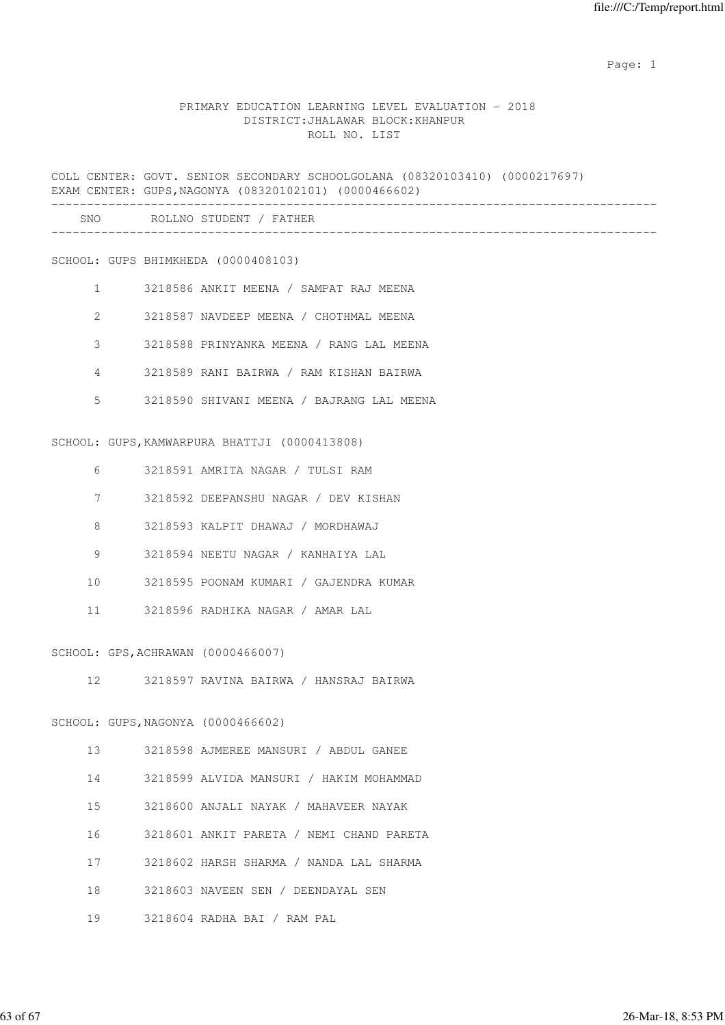#### PRIMARY EDUCATION LEARNING LEVEL EVALUATION - 2018 DISTRICT:JHALAWAR BLOCK:KHANPUR ROLL NO. LIST

COLL CENTER: GOVT. SENIOR SECONDARY SCHOOLGOLANA (08320103410) (0000217697) EXAM CENTER: GUPS,NAGONYA (08320102101) (0000466602) ------------------------------------------------------------------------------------- SNO ROLLNO STUDENT / FATHER -------------------------------------------------------------------------------------

SCHOOL: GUPS BHIMKHEDA (0000408103)

- 1 3218586 ANKIT MEENA / SAMPAT RAJ MEENA
- 2 3218587 NAVDEEP MEENA / CHOTHMAL MEENA
- 3 3218588 PRINYANKA MEENA / RANG LAL MEENA
- 4 3218589 RANI BAIRWA / RAM KISHAN BAIRWA
- 5 3218590 SHIVANI MEENA / BAJRANG LAL MEENA

SCHOOL: GUPS,KAMWARPURA BHATTJI (0000413808)

- 6 3218591 AMRITA NAGAR / TULSI RAM
- 7 3218592 DEEPANSHU NAGAR / DEV KISHAN
- 8 3218593 KALPIT DHAWAJ / MORDHAWAJ
- 9 3218594 NEETU NAGAR / KANHAIYA LAL
- 10 3218595 POONAM KUMARI / GAJENDRA KUMAR
- 11 3218596 RADHIKA NAGAR / AMAR LAL

SCHOOL: GPS,ACHRAWAN (0000466007)

12 3218597 RAVINA BAIRWA / HANSRAJ BAIRWA

#### SCHOOL: GUPS,NAGONYA (0000466602)

- 13 3218598 AJMEREE MANSURI / ABDUL GANEE
- 14 3218599 ALVIDA MANSURI / HAKIM MOHAMMAD
- 15 3218600 ANJALI NAYAK / MAHAVEER NAYAK
- 16 3218601 ANKIT PARETA / NEMI CHAND PARETA
- 17 3218602 HARSH SHARMA / NANDA LAL SHARMA
- 18 3218603 NAVEEN SEN / DEENDAYAL SEN
- 19 3218604 RADHA BAI / RAM PAL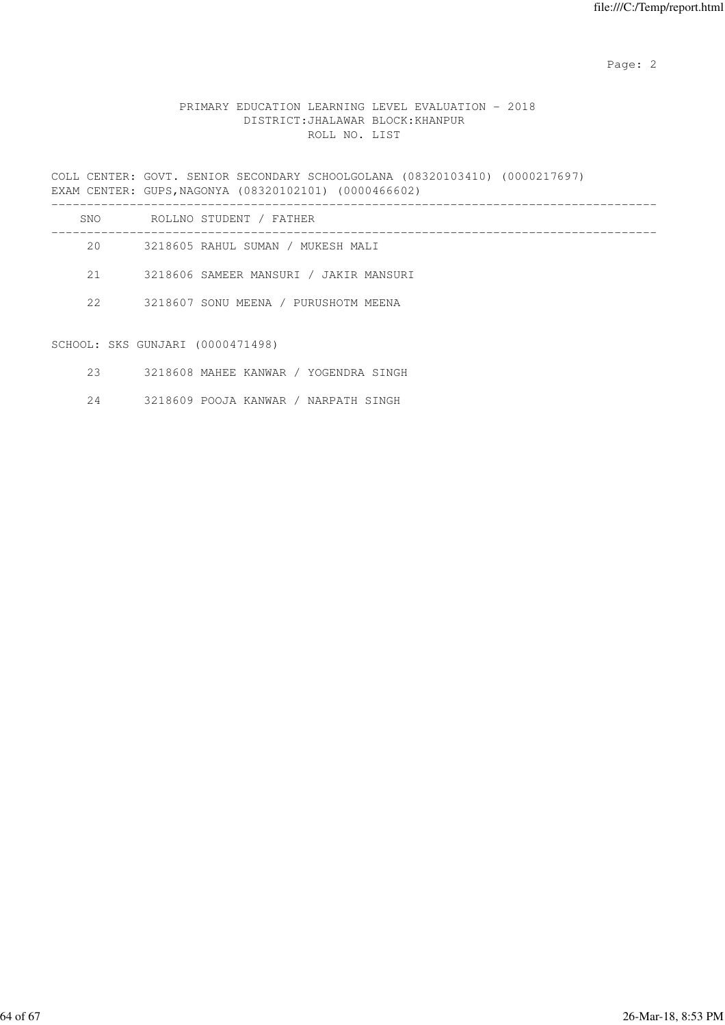Page: 2  $P$  and 2  $P$  and 2  $P$  and 2  $P$  and 2  $P$  and 2  $P$  and 2  $P$  and 2  $P$  and 2  $P$  and 2  $P$  and 2  $P$  and 2  $P$  and 2  $P$  and 2  $P$  and 2  $P$  and 2  $P$  and 2  $P$  and 2  $P$  and 2  $P$  and 2  $P$  and 2  $P$  and 2  $P$ 

### PRIMARY EDUCATION LEARNING LEVEL EVALUATION - 2018 DISTRICT:JHALAWAR BLOCK:KHANPUR ROLL NO. LIST

COLL CENTER: GOVT. SENIOR SECONDARY SCHOOLGOLANA (08320103410) (0000217697) EXAM CENTER: GUPS,NAGONYA (08320102101) (0000466602) -------------------------------------------------------------------------------------

| SNO | ROLLNO STUDENT / FATHER                |
|-----|----------------------------------------|
| 20  | 3218605 RAHUL SUMAN / MUKESH MALI      |
| 2.1 | 3218606 SAMEER MANSURI / JAKIR MANSURI |
| 22  | 3218607 SONU MEENA / PURUSHOTM MEENA   |
|     |                                        |

SCHOOL: SKS GUNJARI (0000471498)

|  | 3218608 MAHEE KANWAR |  |  |  | YOGENDRA SINGH |  |  |
|--|----------------------|--|--|--|----------------|--|--|
|--|----------------------|--|--|--|----------------|--|--|

24 3218609 POOJA KANWAR / NARPATH SINGH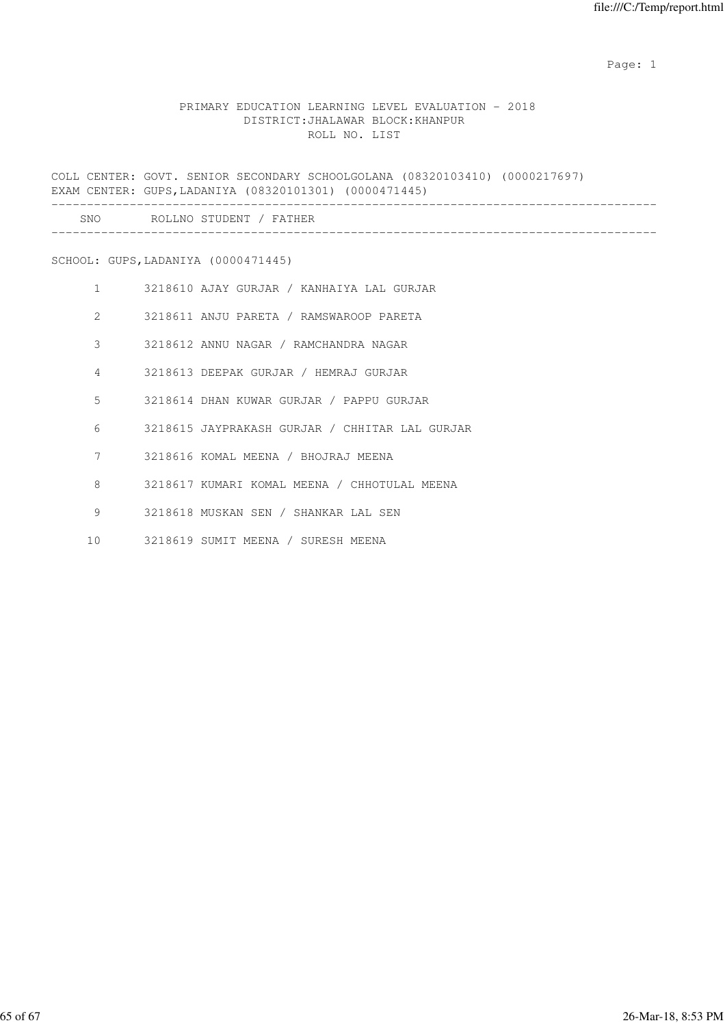#### PRIMARY EDUCATION LEARNING LEVEL EVALUATION - 2018 DISTRICT:JHALAWAR BLOCK:KHANPUR ROLL NO. LIST

COLL CENTER: GOVT. SENIOR SECONDARY SCHOOLGOLANA (08320103410) (0000217697) EXAM CENTER: GUPS,LADANIYA (08320101301) (0000471445) ------------------------------------------------------------------------------------- SNO ROLLNO STUDENT / FATHER -------------------------------------------------------------------------------------

SCHOOL: GUPS,LADANIYA (0000471445)

| $\mathbf{1}$    | 3218610 AJAY GURJAR / KANHAIYA LAL GURJAR      |
|-----------------|------------------------------------------------|
| $\mathcal{L}$   | 3218611 ANJU PARETA / RAMSWAROOP PARETA        |
| 3               | 3218612 ANNU NAGAR / RAMCHANDRA NAGAR          |
| 4               | 3218613 DEEPAK GURJAR / HEMRAJ GURJAR          |
| 5               | 3218614 DHAN KUWAR GURJAR / PAPPU GURJAR       |
| 6               | 3218615 JAYPRAKASH GURJAR / CHHITAR LAL GURJAR |
| 7               | 3218616 KOMAL MEENA / BHOJRAJ MEENA            |
| 8               | 3218617 KUMARI KOMAL MEENA / CHHOTULAL MEENA   |
| 9               | 3218618 MUSKAN SEN / SHANKAR LAL SEN           |
| 10 <sup>°</sup> | 3218619 SUMIT MEENA / SURESH MEENA             |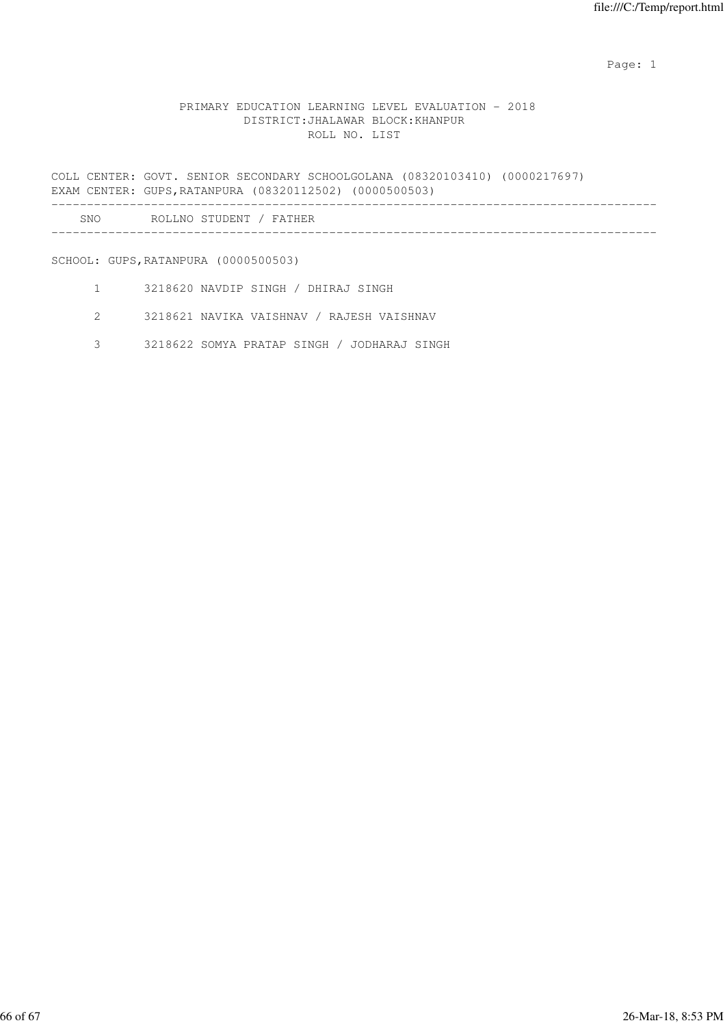### PRIMARY EDUCATION LEARNING LEVEL EVALUATION - 2018 DISTRICT:JHALAWAR BLOCK:KHANPUR ROLL NO. LIST

COLL CENTER: GOVT. SENIOR SECONDARY SCHOOLGOLANA (08320103410) (0000217697) EXAM CENTER: GUPS,RATANPURA (08320112502) (0000500503) -------------------------------------------------------------------------------------

| SNC | -R C<br>NΙ<br>. |
|-----|-----------------|
|     |                 |

SCHOOL: GUPS,RATANPURA (0000500503)

- 1 3218620 NAVDIP SINGH / DHIRAJ SINGH
- 2 3218621 NAVIKA VAISHNAV / RAJESH VAISHNAV
- 3 3218622 SOMYA PRATAP SINGH / JODHARAJ SINGH